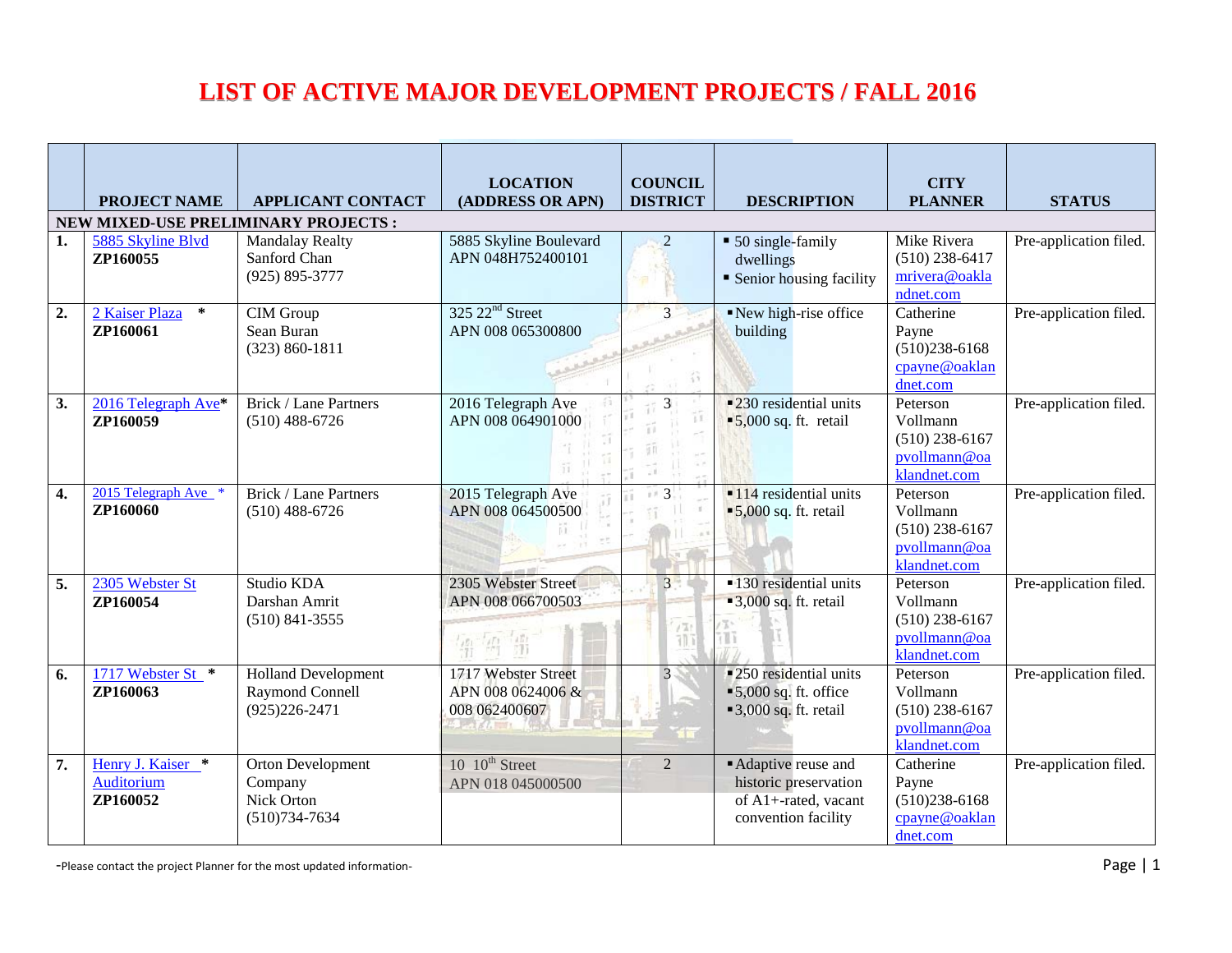## **LIST OF ACTIVE MAJOR DEVELOPMENT PROJECTS / FALL 2016**

|    | <b>PROJECT NAME</b>                         | <b>APPLICANT CONTACT</b>                                                  | <b>LOCATION</b><br>(ADDRESS OR APN)                       | <b>COUNCIL</b><br><b>DISTRICT</b> | <b>DESCRIPTION</b>                                                                                           | <b>CITY</b><br><b>PLANNER</b>                                            | <b>STATUS</b>          |
|----|---------------------------------------------|---------------------------------------------------------------------------|-----------------------------------------------------------|-----------------------------------|--------------------------------------------------------------------------------------------------------------|--------------------------------------------------------------------------|------------------------|
|    |                                             | NEW MIXED-USE PRELIMINARY PROJECTS :                                      |                                                           |                                   |                                                                                                              |                                                                          |                        |
| 1. | 5885 Skyline Blvd<br>ZP160055               | <b>Mandalay Realty</b><br>Sanford Chan<br>$(925) 895 - 3777$              | 5885 Skyline Boulevard<br>APN 048H752400101               | $\overline{2}$                    | • 50 single-family<br>dwellings<br>• Senior housing facility                                                 | Mike Rivera<br>$(510)$ 238-6417<br>mrivera@oakla<br>ndnet.com            | Pre-application filed. |
| 2. | 2 Kaiser Plaza<br>$\ast$<br>ZP160061        | <b>CIM</b> Group<br>Sean Buran<br>$(323) 860 - 1811$                      | 325 22 <sup>nd</sup> Street<br>APN 008 065300800          | 3                                 | New high-rise office<br>building                                                                             | Catherine<br>Payne<br>$(510)238 - 6168$<br>cpayne@oaklan<br>dnet.com     | Pre-application filed. |
| 3. | 2016 Telegraph Ave*<br>ZP160059             | <b>Brick / Lane Partners</b><br>$(510)$ 488-6726                          | 2016 Telegraph Ave<br>APN 008 064901000                   | 3                                 | $\blacksquare$ 230 residential units<br>$\blacktriangleright$ 5,000 sq. ft. retail                           | Peterson<br>Vollmann<br>$(510)$ 238-6167<br>pvollmann@oa<br>klandnet.com | Pre-application filed. |
| 4. | 2015 Telegraph Ave<br>ZP160060              | <b>Brick / Lane Partners</b><br>$(510)$ 488-6726                          | 2015 Telegraph Ave<br>APN 008 064500500                   | 3                                 | $\blacksquare$ 114 residential units<br>$\blacktriangleright$ 5,000 sq. ft. retail                           | Peterson<br>Vollmann<br>$(510)$ 238-6167<br>pvollmann@oa<br>klandnet.com | Pre-application filed. |
| 5. | 2305 Webster St<br>ZP160054                 | Studio KDA<br>Darshan Amrit<br>$(510)$ 841-3555                           | 2305 Webster Street<br>APN 008 066700503<br>第一項 第         | $\mathcal{R}$                     | <b>-130</b> residential units<br>$\blacksquare$ 3,000 sq. ft. retail<br>ïΤ                                   | Peterson<br>Vollmann<br>$(510)$ 238-6167<br>pvollmann@oa<br>klandnet.com | Pre-application filed. |
| 6. | 1717 Webster St *<br>ZP160063               | <b>Holland Development</b><br><b>Raymond Connell</b><br>$(925)226 - 2471$ | 1717 Webster Street<br>APN 008 0624006 &<br>008 062400607 | $\overline{3}$                    | ■ 250 residential units<br>$\blacktriangleright$ 5,000 sq. ft. office<br>$\blacksquare$ 3,000 sq. ft. retail | Peterson<br>Vollmann<br>$(510)$ 238-6167<br>pvollmann@oa<br>klandnet.com | Pre-application filed. |
| 7. | Henry J. Kaiser *<br>Auditorium<br>ZP160052 | Orton Development<br>Company<br>Nick Orton<br>$(510)734-7634$             | 10 10 <sup>th</sup> Street<br>APN 018 045000500           | 2                                 | Adaptive reuse and<br>historic preservation<br>of A1+-rated, vacant<br>convention facility                   | Catherine<br>Payne<br>$(510)238 - 6168$<br>cpayne@oaklan<br>dnet.com     | Pre-application filed. |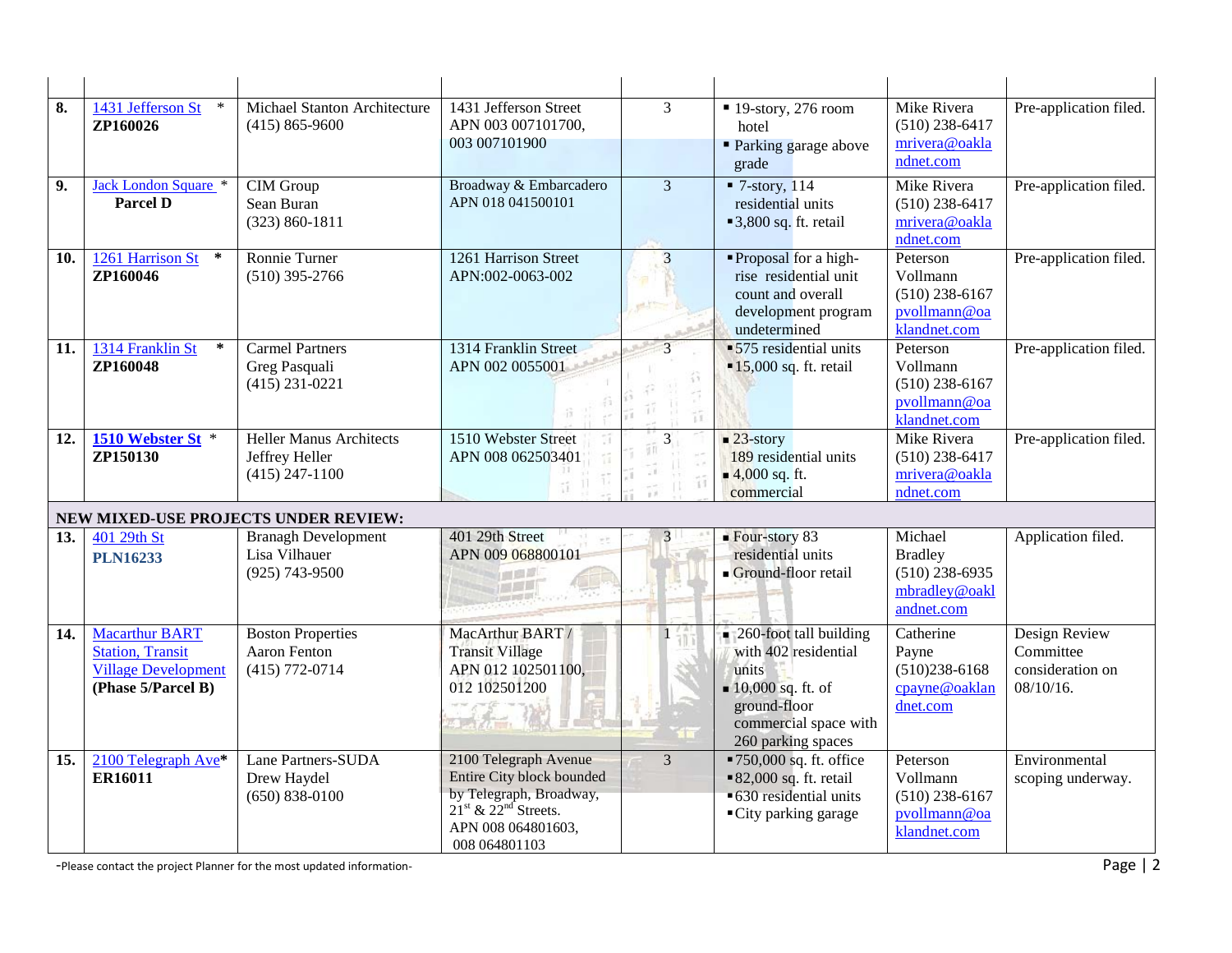| 8.  | 1431 Jefferson St<br>ZP160026                                                                        | Michael Stanton Architecture<br>$(415) 865 - 9600$                    | 1431 Jefferson Street<br>APN 003 007101700,<br>003 007101900                                                                                                                | $\overline{3}$             | $\blacksquare$ 19-story, 276 room<br>hotel<br>• Parking garage above<br>grade                                                                                     | Mike Rivera<br>$(510)$ 238-6417<br>mrivera@oakla<br>ndnet.com                | Pre-application filed.                                         |
|-----|------------------------------------------------------------------------------------------------------|-----------------------------------------------------------------------|-----------------------------------------------------------------------------------------------------------------------------------------------------------------------------|----------------------------|-------------------------------------------------------------------------------------------------------------------------------------------------------------------|------------------------------------------------------------------------------|----------------------------------------------------------------|
| 9.  | Jack London Square *<br><b>Parcel D</b>                                                              | <b>CIM</b> Group<br>Sean Buran<br>$(323) 860 - 1811$                  | Broadway & Embarcadero<br>APN 018 041500101                                                                                                                                 | $\overline{3}$             | $\blacksquare$ 7-story, 114<br>residential units<br>■ 3,800 sq. ft. retail                                                                                        | Mike Rivera<br>$(510)$ 238-6417<br>mrivera@oakla<br>ndnet.com                | Pre-application filed.                                         |
| 10. | 1261 Harrison St<br>$\ast$<br>ZP160046                                                               | Ronnie Turner<br>$(510)$ 395-2766                                     | 1261 Harrison Street<br>APN:002-0063-002                                                                                                                                    | 3<br>ed.T3                 | "Proposal for a high-<br>rise residential unit<br>count and overall<br>development program<br>undetermined                                                        | Peterson<br>Vollmann<br>$(510)$ 238-6167<br>pvollmann@oa<br>klandnet.com     | Pre-application filed.                                         |
| 11. | 1314 Franklin St<br>$\ast$<br>ZP160048                                                               | <b>Carmel Partners</b><br>Greg Pasquali<br>$(415)$ 231-0221           | 1314 Franklin Street<br>APN 002 0055001                                                                                                                                     | īΪ<br>$\tilde{\mathbb{1}}$ | •575 residential units<br>$\blacksquare$ 15,000 sq. ft. retail                                                                                                    | Peterson<br>Vollmann<br>$(510)$ 238-6167<br>pvollmann@oa<br>klandnet.com     | Pre-application filed.                                         |
| 12. | 1510 Webster St *<br>ZP150130                                                                        | <b>Heller Manus Architects</b><br>Jeffrey Heller<br>$(415)$ 247-1100  | 1510 Webster Street<br>APN 008 062503401                                                                                                                                    | 3 <sup>1</sup><br>1.31     | $\blacksquare$ 23-story<br>189 residential units<br>$\blacksquare$ 4,000 sq. ft.<br>commercial                                                                    | Mike Rivera<br>$(510)$ 238-6417<br>mrivera@oakla<br>ndnet.com                | Pre-application filed.                                         |
|     |                                                                                                      | NEW MIXED-USE PROJECTS UNDER REVIEW:                                  |                                                                                                                                                                             |                            |                                                                                                                                                                   |                                                                              |                                                                |
| 13. | 401 29th St<br><b>PLN16233</b>                                                                       | <b>Branagh Development</b><br>Lisa Vilhauer<br>$(925) 743 - 9500$     | 401 29th Street<br>APN 009 068800101                                                                                                                                        | 3 <sup>1</sup>             | $\blacksquare$ Four-story 83<br>residential units<br>Ground-floor retail                                                                                          | Michael<br><b>Bradley</b><br>$(510)$ 238-6935<br>mbradley@oakl<br>andnet.com | Application filed.                                             |
| 14. | <b>Macarthur BART</b><br><b>Station, Transit</b><br><b>Village Development</b><br>(Phase 5/Parcel B) | <b>Boston Properties</b><br><b>Aaron Fenton</b><br>$(415) 772 - 0714$ | MacArthur BART /<br><b>Transit Village</b><br>APN 012 102501100,<br>012 102501200                                                                                           |                            | $\Box$ 260-foot tall building<br>with 402 residential<br>units<br>$\blacksquare$ 10,000 sq. ft. of<br>ground-floor<br>commercial space with<br>260 parking spaces | Catherine<br>Payne<br>$(510)238 - 6168$<br>cpayne@oaklan<br>dnet.com         | Design Review<br>Committee<br>consideration on<br>$08/10/16$ . |
| 15. | 2100 Telegraph Ave*<br>ER16011                                                                       | <b>Lane Partners-SUDA</b><br>Drew Haydel<br>$(650) 838 - 0100$        | 2100 Telegraph Avenue<br><b>Entire City block bounded</b><br>by Telegraph, Broadway,<br>21 <sup>st</sup> & 22 <sup>nd</sup> Streets.<br>APN 008 064801603,<br>008 064801103 | 3                          | ■750,000 sq. ft. office<br>■ 82,000 sq. ft. retail<br>■ 630 residential units<br>■ City parking garage                                                            | Peterson<br>Vollmann<br>$(510)$ 238-6167<br>pvollmann@oa<br>klandnet.com     | Environmental<br>scoping underway.                             |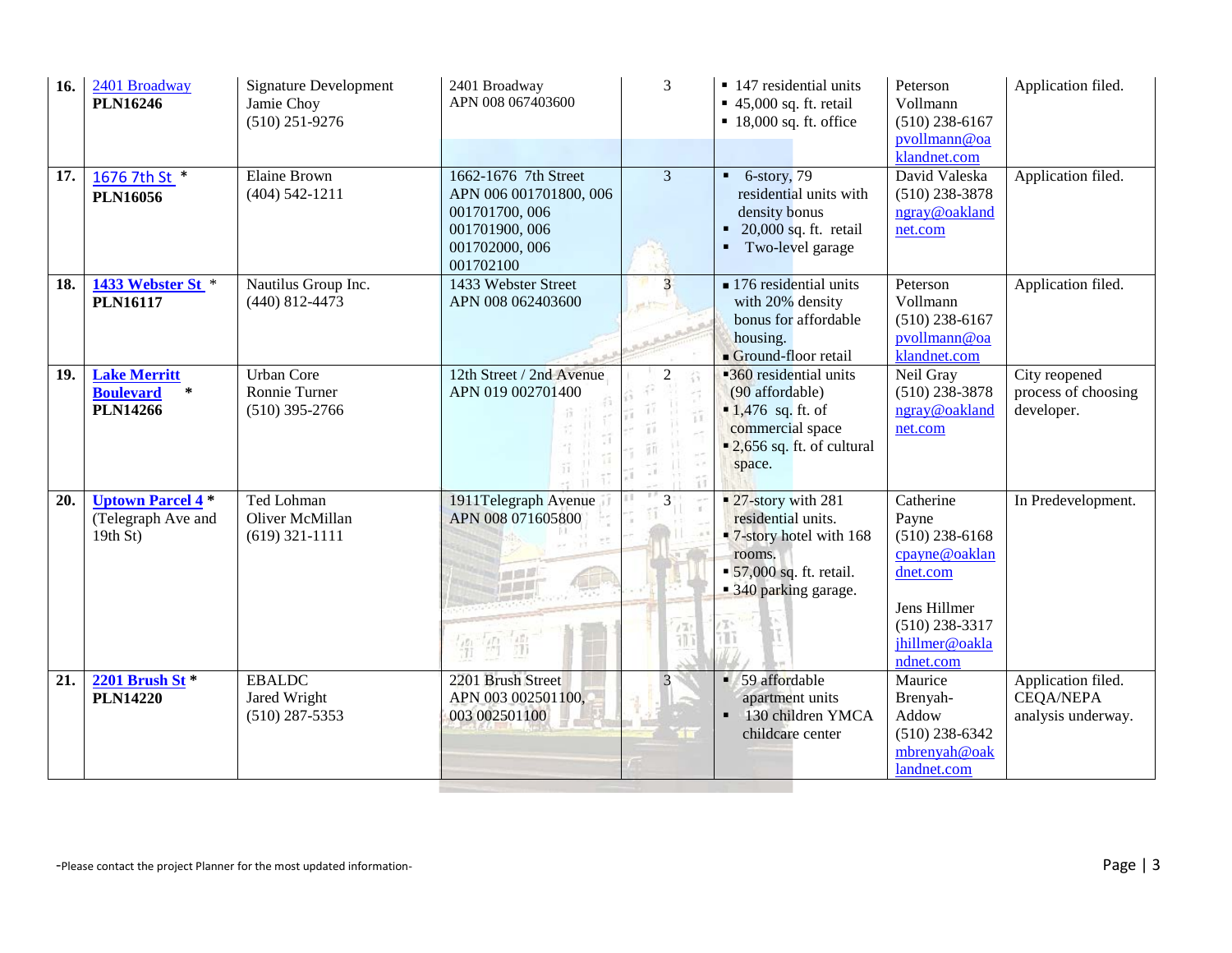| 16. | 2401 Broadway<br><b>PLN16246</b>                                     | <b>Signature Development</b><br>Jamie Choy<br>$(510)$ 251-9276 | 2401 Broadway<br>APN 008 067403600                                                                                | 3              | $\blacksquare$ 147 residential units<br>$\blacksquare$ 45,000 sq. ft. retail<br>$\blacksquare$ 18,000 sq. ft. office                                  | Peterson<br>Vollmann<br>$(510)$ 238-6167<br>pvollmann@oa                                                                               | Application filed.                                           |
|-----|----------------------------------------------------------------------|----------------------------------------------------------------|-------------------------------------------------------------------------------------------------------------------|----------------|-------------------------------------------------------------------------------------------------------------------------------------------------------|----------------------------------------------------------------------------------------------------------------------------------------|--------------------------------------------------------------|
| 17. | 1676 7th St *<br><b>PLN16056</b>                                     | <b>Elaine Brown</b><br>$(404)$ 542-1211                        | 1662-1676 7th Street<br>APN 006 001701800, 006<br>001701700, 006<br>001701900, 006<br>001702000, 006<br>001702100 | $\overline{3}$ | $6$ -story, 79<br>$\blacksquare$<br>residential units with<br>density bonus<br>20,000 sq. ft. retail<br>$\blacksquare$<br>Two-level garage            | klandnet.com<br>David Valeska<br>$(510)$ 238-3878<br>ngray@oakland<br>net.com                                                          | Application filed.                                           |
| 18. | 1433 Webster St *<br><b>PLN16117</b>                                 | Nautilus Group Inc.<br>$(440)$ 812-4473                        | 1433 Webster Street<br>APN 008 062403600                                                                          |                | $\blacksquare$ 176 residential units<br>with 20% density<br>bonus for affordable<br>housing.<br>Ground-floor retail                                   | Peterson<br>Vollmann<br>$(510)$ 238-6167<br>pvollmann@oa<br>klandnet.com                                                               | Application filed.                                           |
| 19. | <b>Lake Merritt</b><br><b>Boulevard</b><br>$\ast$<br><b>PLN14266</b> | <b>Urban Core</b><br>Ronnie Turner<br>$(510)$ 395-2766         | 12th Street / 2nd Avenue<br>APN 019 002701400                                                                     | $\overline{2}$ | 360 residential units<br>(90 affordable)<br>$\blacksquare$ 1,476 sq. ft. of<br>commercial space<br>$\blacksquare$ 2,656 sq. ft. of cultural<br>space. | Neil Gray<br>$(510)$ 238-3878<br>ngray@oakland<br>net.com                                                                              | City reopened<br>process of choosing<br>developer.           |
| 20. | <b>Uptown Parcel 4*</b><br>(Telegraph Ave and<br>19th St             | Ted Lohman<br>Oliver McMillan<br>$(619)$ 321-1111              | 1911Telegraph Avenue<br>APN 008 071605800<br>画面画<br>$\frac{\delta F_{\rm f}}{\delta F_{\rm f}}$<br>缙<br>N)        | 3              | ■ 27-story with 281<br>residential units.<br><b>7-story hotel with 168</b><br>rooms.<br>• 57,000 sq. ft. retail.<br>■ 340 parking garage.             | Catherine<br>Payne<br>$(510)$ 238-6168<br>cpayne@oaklan<br>dnet.com<br>Jens Hillmer<br>$(510)$ 238-3317<br>jhillmer@oakla<br>ndnet.com | In Predevelopment.                                           |
| 21. | 2201 Brush St $*$<br><b>PLN14220</b>                                 | <b>EBALDC</b><br>Jared Wright<br>$(510)$ 287-5353              | 2201 Brush Street<br>APN 003 002501100,<br>003 002501100                                                          | 3              | • 59 affordable<br>apartment units<br>130 children YMCA<br>childcare center                                                                           | Maurice<br>Brenyah-<br>Addow<br>$(510)$ 238-6342<br>mbrenyah@oak<br>landnet.com                                                        | Application filed.<br><b>CEQA/NEPA</b><br>analysis underway. |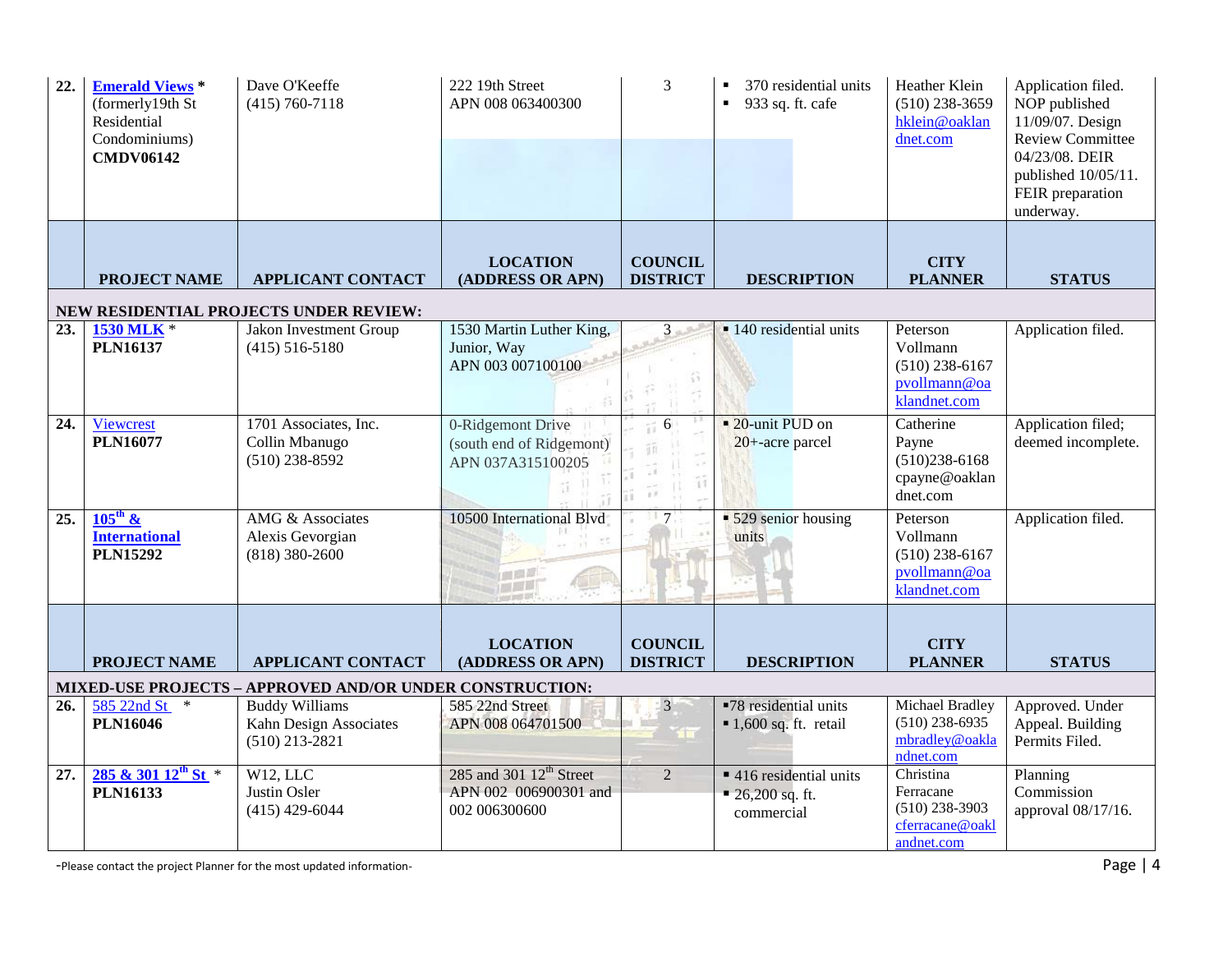| 22.               | <b>Emerald Views *</b><br>(formerly19th St<br>Residential<br>Condominiums) | Dave O'Keeffe<br>$(415) 760 - 7118$                      | 222 19th Street<br>APN 008 063400300          | 3               | 370 residential units<br>933 sq. ft. cafe<br>$\blacksquare$  | Heather Klein<br>$(510)$ 238-3659<br>hklein@oaklan<br>dnet.com | Application filed.<br>NOP published<br>11/09/07. Design<br><b>Review Committee</b> |  |  |  |
|-------------------|----------------------------------------------------------------------------|----------------------------------------------------------|-----------------------------------------------|-----------------|--------------------------------------------------------------|----------------------------------------------------------------|------------------------------------------------------------------------------------|--|--|--|
|                   | <b>CMDV06142</b>                                                           |                                                          |                                               |                 |                                                              |                                                                | 04/23/08. DEIR<br>published 10/05/11.<br>FEIR preparation<br>underway.             |  |  |  |
|                   |                                                                            |                                                          | <b>LOCATION</b>                               | <b>COUNCIL</b>  |                                                              | <b>CITY</b>                                                    |                                                                                    |  |  |  |
|                   | <b>PROJECT NAME</b>                                                        | <b>APPLICANT CONTACT</b>                                 | (ADDRESS OR APN)                              | <b>DISTRICT</b> | <b>DESCRIPTION</b>                                           | <b>PLANNER</b>                                                 | <b>STATUS</b>                                                                      |  |  |  |
|                   | NEW RESIDENTIAL PROJECTS UNDER REVIEW:                                     |                                                          |                                               |                 |                                                              |                                                                |                                                                                    |  |  |  |
| 23.               | 1530 MLK *                                                                 | Jakon Investment Group                                   | 1530 Martin Luther King,                      | 3 <sup>1</sup>  | $\blacksquare$ 140 residential units                         | Peterson                                                       | Application filed.                                                                 |  |  |  |
|                   | <b>PLN16137</b>                                                            | $(415)$ 516-5180                                         | Junior, Way<br>APN 003 007100100              |                 |                                                              | Vollmann<br>$(510)$ 238-6167                                   |                                                                                    |  |  |  |
|                   |                                                                            |                                                          |                                               |                 |                                                              | pvollmann@oa<br>klandnet.com                                   |                                                                                    |  |  |  |
| 24.               | Viewcrest<br><b>PLN16077</b>                                               | 1701 Associates, Inc.<br>Collin Mbanugo                  | 0-Ridgemont Drive                             | 6               | ■ 20-unit PUD on<br>$20 +$ -acre parcel                      | Catherine<br>Payne                                             | Application filed;<br>deemed incomplete.                                           |  |  |  |
|                   |                                                                            | $(510)$ 238-8592                                         | (south end of Ridgemont)<br>APN 037A315100205 |                 |                                                              | $(510)238-6168$                                                |                                                                                    |  |  |  |
|                   |                                                                            |                                                          |                                               | 箝<br>$j$ $j$    |                                                              | cpayne@oaklan<br>dnet.com                                      |                                                                                    |  |  |  |
| $\overline{25}$ . | $105^{\text{th}}$ &<br><b>International</b>                                | AMG & Associates<br>Alexis Gevorgian                     | 10500 International Blvd                      | 7               | $\overline{\phantom{1}}$ 529 senior housing<br>units         | Peterson<br>Vollmann                                           | Application filed.                                                                 |  |  |  |
|                   | <b>PLN15292</b>                                                            | $(818)$ 380-2600                                         |                                               |                 |                                                              | $(510)$ 238-6167                                               |                                                                                    |  |  |  |
|                   |                                                                            |                                                          | <b>LEA</b>                                    |                 |                                                              | pvollmann@oa<br>klandnet.com                                   |                                                                                    |  |  |  |
|                   |                                                                            |                                                          |                                               |                 |                                                              |                                                                |                                                                                    |  |  |  |
|                   |                                                                            |                                                          | <b>LOCATION</b>                               | <b>COUNCIL</b>  |                                                              | <b>CITY</b>                                                    |                                                                                    |  |  |  |
|                   | <b>PROJECT NAME</b>                                                        | <b>APPLICANT CONTACT</b>                                 | (ADDRESS OR APN)                              | <b>DISTRICT</b> | <b>DESCRIPTION</b>                                           | <b>PLANNER</b>                                                 | <b>STATUS</b>                                                                      |  |  |  |
|                   |                                                                            | MIXED-USE PROJECTS - APPROVED AND/OR UNDER CONSTRUCTION: |                                               |                 |                                                              |                                                                |                                                                                    |  |  |  |
| 26.               | 585 22nd St<br>$\ast$<br><b>PLN16046</b>                                   | <b>Buddy Williams</b><br>Kahn Design Associates          | 585 22nd Street<br>APN 008 064701500          | $\overline{3}$  | ■78 residential units<br>$\blacksquare$ 1,600 sq. ft. retail | Michael Bradley<br>$(510)$ 238-6935                            | Approved. Under<br>Appeal. Building                                                |  |  |  |
|                   |                                                                            | $(510)$ 213-2821                                         |                                               | <b>TER</b>      |                                                              | mbradley@oakla<br>ndnet.com                                    | Permits Filed.                                                                     |  |  |  |
| 27.               | $285 \& 301 12^{th}$ St *                                                  | $W12$ , LLC                                              | 285 and 301 12 <sup>th</sup> Street           | $\overline{2}$  | ■ 416 residential units                                      | Christina<br>Ferracane                                         | Planning                                                                           |  |  |  |
|                   | <b>PLN16133</b>                                                            | Justin Osler<br>$(415)$ 429-6044                         | APN 002 006900301 and<br>002 006300600        |                 | $\blacksquare$ 26,200 sq. ft.<br>commercial                  | $(510)$ 238-3903                                               | Commission<br>approval 08/17/16.                                                   |  |  |  |
|                   |                                                                            |                                                          |                                               |                 |                                                              | cferracane@oakl<br>andnet.com                                  |                                                                                    |  |  |  |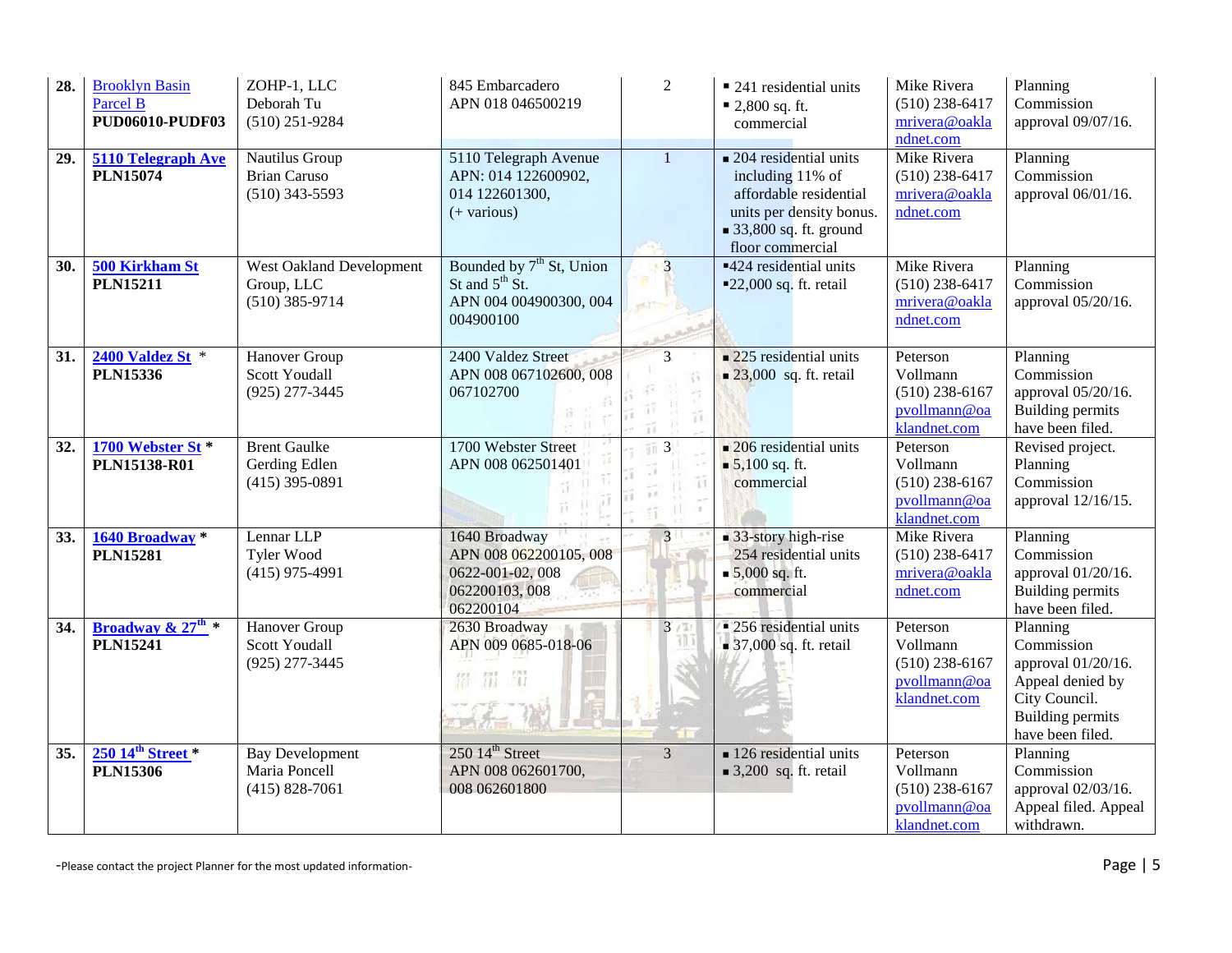| 28.              | <b>Brooklyn Basin</b><br>Parcel B<br><b>PUD06010-PUDF03</b> | ZOHP-1, LLC<br>Deborah Tu<br>$(510)$ 251-9284                 | 845 Embarcadero<br>APN 018 046500219                                                      | $\overline{2}$                                                                                 | ■ 241 residential units<br>$\blacksquare$ 2,800 sq. ft.<br>commercial                                                                                                      | Mike Rivera<br>$(510)$ 238-6417<br>mrivera@oakla<br>ndnet.com            | Planning<br>Commission<br>approval 09/07/16.                                                                                     |
|------------------|-------------------------------------------------------------|---------------------------------------------------------------|-------------------------------------------------------------------------------------------|------------------------------------------------------------------------------------------------|----------------------------------------------------------------------------------------------------------------------------------------------------------------------------|--------------------------------------------------------------------------|----------------------------------------------------------------------------------------------------------------------------------|
| 29.              | 5110 Telegraph Ave<br><b>PLN15074</b>                       | Nautilus Group<br><b>Brian Caruso</b><br>$(510)$ 343-5593     | 5110 Telegraph Avenue<br>APN: 014 122600902,<br>014 122601300,<br>$(+$ various)           | 1                                                                                              | $\blacksquare$ 204 residential units<br>including 11% of<br>affordable residential<br>units per density bonus.<br>$\blacksquare$ 33,800 sq. ft. ground<br>floor commercial | Mike Rivera<br>$(510)$ 238-6417<br>mrivera@oakla<br>ndnet.com            | Planning<br>Commission<br>approval 06/01/16.                                                                                     |
| 30.              | 500 Kirkham St<br><b>PLN15211</b>                           | West Oakland Development<br>Group, LLC<br>$(510)$ 385-9714    | Bounded by $7th$ St, Union<br>St and $5th$ St.<br>APN 004 004900300, 004<br>004900100     | $\overline{3}$<br>ette                                                                         | $\overline{424}$ residential units<br>$\blacksquare$ 22,000 sq. ft. retail                                                                                                 | Mike Rivera<br>$(510)$ 238-6417<br>mrivera@oakla<br>ndnet.com            | Planning<br>Commission<br>approval 05/20/16.                                                                                     |
| 31.              | 2400 Valdez St *<br><b>PLN15336</b>                         | Hanover Group<br><b>Scott Youdall</b><br>$(925)$ 277-3445     | 2400 Valdez Street<br>APN 008 067102600, 008<br>067102700                                 | 3<br>îî                                                                                        | $\blacksquare$ 225 residential units<br>23,000 sq. ft. retail                                                                                                              | Peterson<br>Vollmann<br>$(510)$ 238-6167<br>pvollmann@oa<br>klandnet.com | Planning<br>Commission<br>approval 05/20/16.<br><b>Building permits</b><br>have been filed.                                      |
| 32.              | 1700 Webster St*<br><b>PLN15138-R01</b>                     | <b>Brent Gaulke</b><br>Gerding Edlen<br>$(415)$ 395-0891      | 1700 Webster Street<br>APN 008 062501401<br>аJ                                            | $\overline{3}$<br>Ĥ<br>1.21<br>$\sigma^{\mu\nu}$<br>$\vert \ \vert$<br>$\pm 1$<br>$51^{\circ}$ | $\blacksquare$ 206 residential units<br>$\blacksquare$ 5,100 sq. ft.<br>commercial                                                                                         | Peterson<br>Vollmann<br>$(510)$ 238-6167<br>pvollmann@oa<br>klandnet.com | Revised project.<br>Planning<br>Commission<br>approval 12/16/15.                                                                 |
| 33.              | 1640 Broadway *<br><b>PLN15281</b>                          | Lennar LLP<br><b>Tyler Wood</b><br>$(415)$ 975-4991           | 1640 Broadway<br>APN 008 062200105, 008<br>0622-001-02, 008<br>062200103,008<br>062200104 | 3 <sup>1</sup>                                                                                 | $\blacksquare$ 33-story high-rise<br>254 residential units<br>$\blacksquare$ 5,000 sq. ft.<br>commercial                                                                   | Mike Rivera<br>$(510)$ 238-6417<br>mrivera@oakla<br>ndnet.com            | Planning<br>Commission<br>approval 01/20/16.<br><b>Building permits</b><br>have been filed.                                      |
| $\overline{34.}$ | Broadway & $27^{\text{th}}$ *<br><b>PLN15241</b>            | Hanover Group<br><b>Scott Youdall</b><br>$(925)$ 277-3445     | 2630 Broadway<br>APN 009 0685-018-06<br>留罚罚                                               | 3                                                                                              | • 256 residential units<br>$\blacksquare$ 37,000 sq. ft. retail                                                                                                            | Peterson<br>Vollmann<br>$(510)$ 238-6167<br>pvollmann@oa<br>klandnet.com | Planning<br>Commission<br>approval 01/20/16.<br>Appeal denied by<br>City Council.<br><b>Building permits</b><br>have been filed. |
| 35.              | $250~14^{\text{th}}$ Street *<br><b>PLN15306</b>            | <b>Bay Development</b><br>Maria Poncell<br>$(415) 828 - 7061$ | 250 14 <sup>th</sup> Street<br>APN 008 062601700,<br>008 062601800                        | $\overline{3}$                                                                                 | $\blacksquare$ 126 residential units<br>$\blacksquare$ 3,200 sq. ft. retail                                                                                                | Peterson<br>Vollmann<br>$(510)$ 238-6167<br>pvollmann@oa<br>klandnet.com | Planning<br>Commission<br>approval 02/03/16.<br>Appeal filed. Appeal<br>withdrawn.                                               |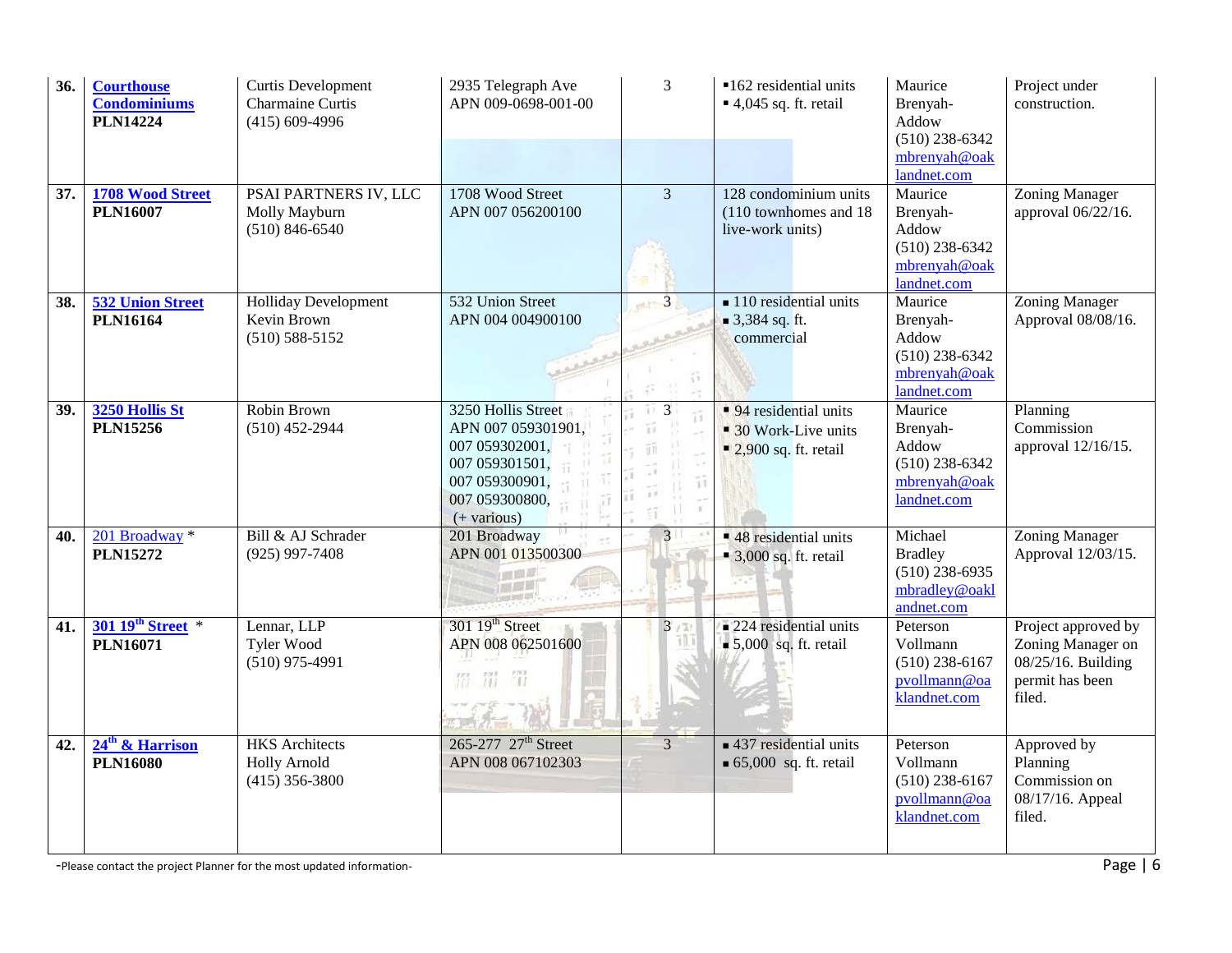| 36. | <b>Courthouse</b><br><b>Condominiums</b><br><b>PLN14224</b> | Curtis Development<br>Charmaine Curtis<br>$(415)$ 609-4996       | 2935 Telegraph Ave<br>APN 009-0698-001-00                                                                                         | 3                                                                     | ■162 residential units<br>$\blacksquare$ 4,045 sq. ft. retail                       | Maurice<br>Brenyah-<br>Addow<br>$(510)$ 238-6342<br>mbrenyah@oak                               | Project under<br>construction.                                                              |
|-----|-------------------------------------------------------------|------------------------------------------------------------------|-----------------------------------------------------------------------------------------------------------------------------------|-----------------------------------------------------------------------|-------------------------------------------------------------------------------------|------------------------------------------------------------------------------------------------|---------------------------------------------------------------------------------------------|
| 37. | 1708 Wood Street<br><b>PLN16007</b>                         | PSAI PARTNERS IV, LLC<br>Molly Mayburn<br>$(510) 846 - 6540$     | 1708 Wood Street<br>APN 007 056200100                                                                                             | $\overline{3}$                                                        | 128 condominium units<br>(110 townhomes and 18)<br>live-work units)                 | landnet.com<br>Maurice<br>Brenyah-<br>Addow<br>$(510)$ 238-6342<br>mbrenyah@oak<br>landnet.com | Zoning Manager<br>approval 06/22/16.                                                        |
| 38. | <b>532 Union Street</b><br><b>PLN16164</b>                  | <b>Holliday Development</b><br>Kevin Brown<br>$(510) 588 - 5152$ | 532 Union Street<br>APN 004 004900100                                                                                             | $-12$                                                                 | $\blacksquare$ 110 residential units<br>$\blacksquare$ 3,384 sq. ft.<br>commercial  | Maurice<br>Brenyah-<br>Addow<br>$(510)$ 238-6342<br>mbrenyah@oak<br>landnet.com                | <b>Zoning Manager</b><br>Approval 08/08/16.                                                 |
| 39. | 3250 Hollis St<br><b>PLN15256</b>                           | Robin Brown<br>$(510)$ 452-2944                                  | 3250 Hollis Street<br>APN 007 059301901,<br>007 059302001,<br>007 059301501,<br>007 059300901,<br>007 059300800,<br>$(+$ various) | 3<br>$+1$<br>11<br>Ψü<br>28<br>îî<br>1.1<br>Ш<br>$\tilde{1}\tilde{1}$ | 94 residential units<br>• 30 Work-Live units<br>$\blacksquare$ 2,900 sq. ft. retail | Maurice<br>Brenyah-<br>Addow<br>$(510)$ 238-6342<br>mbrenyah@oak<br>landnet.com                | Planning<br>Commission<br>approval 12/16/15.                                                |
| 40. | 201 Broadway *<br><b>PLN15272</b>                           | Bill & AJ Schrader<br>$(925)$ 997-7408                           | 201 Broadway<br>APN 001 013500300                                                                                                 | 3 <sup>1</sup>                                                        | $\overline{48}$ residential units<br>$\blacksquare$ 3,000 sq. ft. retail            | Michael<br><b>Bradley</b><br>$(510)$ 238-6935<br>mbradley@oakl<br>andnet.com                   | <b>Zoning Manager</b><br>Approval 12/03/15.                                                 |
| 41. | 301 19th Street *<br><b>PLN16071</b>                        | Lennar, LLP<br>Tyler Wood<br>$(510)$ 975-4991                    | $301\ 19th$ Street<br>APN 008 062501600<br>留<br>罰<br>留                                                                            | 3                                                                     | $\blacksquare$ 224 residential units<br>$\bullet$ 5,000 sq. ft. retail              | Peterson<br>Vollmann<br>$(510)$ 238-6167<br>pvollmann@oa<br>klandnet.com                       | Project approved by<br>Zoning Manager on<br>08/25/16. Building<br>permit has been<br>filed. |
| 42. | 24 <sup>th</sup> & Harrison<br><b>PLN16080</b>              | <b>HKS</b> Architects<br><b>Holly Arnold</b><br>$(415)$ 356-3800 | 265-277 27 <sup>th</sup> Street<br>APN 008 067102303                                                                              | 3                                                                     | $\blacksquare$ 437 residential units<br>$\bullet$ 65,000 sq. ft. retail             | Peterson<br>Vollmann<br>$(510)$ 238-6167<br>pvollmann@oa<br>klandnet.com                       | Approved by<br>Planning<br>Commission on<br>08/17/16. Appeal<br>filed.                      |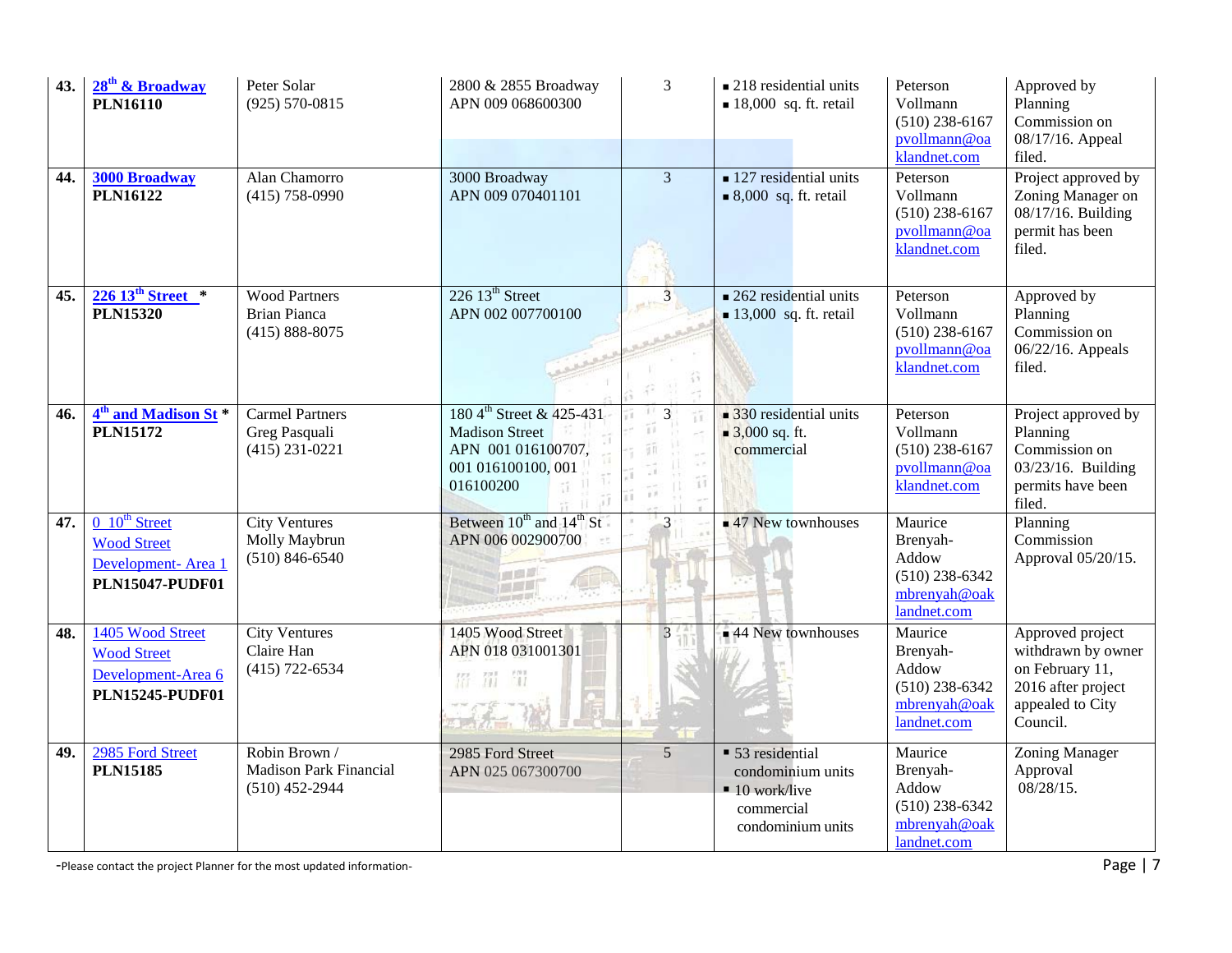| 43. | 28 <sup>th</sup> & Broadway<br><b>PLN16110</b>                                            | Peter Solar<br>$(925) 570 - 0815$                                  | 2800 & 2855 Broadway<br>APN 009 068600300                                                                              | 3                                        | $\blacksquare$ 218 residential units<br>$\blacksquare$ 18,000 sq. ft. retail                            | Peterson<br>Vollmann<br>$(510)$ 238-6167<br>pvollmann@oa<br>klandnet.com        | Approved by<br>Planning<br>Commission on<br>08/17/16. Appeal<br>filed.                                          |
|-----|-------------------------------------------------------------------------------------------|--------------------------------------------------------------------|------------------------------------------------------------------------------------------------------------------------|------------------------------------------|---------------------------------------------------------------------------------------------------------|---------------------------------------------------------------------------------|-----------------------------------------------------------------------------------------------------------------|
| 44. | <b>3000 Broadway</b><br><b>PLN16122</b>                                                   | Alan Chamorro<br>$(415)$ 758-0990                                  | 3000 Broadway<br>APN 009 070401101                                                                                     | $\overline{\mathbf{3}}$                  | $\blacksquare$ 127 residential units<br>$\bullet$ 8,000 sq. ft. retail                                  | Peterson<br>Vollmann<br>$(510)$ 238-6167<br>pvollmann@oa<br>klandnet.com        | Project approved by<br>Zoning Manager on<br>$08/17/16$ . Building<br>permit has been<br>filed.                  |
| 45. | $226\,13^{\text{th}}\,\text{Street}$ *<br><b>PLN15320</b>                                 | <b>Wood Partners</b><br><b>Brian Pianca</b><br>$(415) 888 - 8075$  | $226$ 13 <sup>th</sup> Street<br>APN 002 007700100                                                                     | 3 <sup>1</sup>                           | $\blacksquare$ 262 residential units<br>$\blacksquare$ 13,000 sq. ft. retail                            | Peterson<br>Vollmann<br>$(510)$ 238-6167<br>pvollmann@oa<br>klandnet.com        | Approved by<br>Planning<br>Commission on<br>06/22/16. Appeals<br>filed.                                         |
| 46. | $4th$ and Madison St $*$<br><b>PLN15172</b>                                               | <b>Carmel Partners</b><br>Greg Pasquali<br>$(415)$ 231-0221        | 180 4 <sup>th</sup> Street & 425-431<br><b>Madison Street</b><br>APN 001 016100707,<br>001 016100100, 001<br>016100200 | $\overline{3}$<br>Ŧ3<br>百日<br>11<br>g st | $\blacksquare$ 330 residential units<br>$\blacksquare$ 3,000 sq. ft.<br>commercial                      | Peterson<br>Vollmann<br>$(510)$ 238-6167<br>pvollmann@oa<br>klandnet.com        | Project approved by<br>Planning<br>Commission on<br>03/23/16. Building<br>permits have been<br>filed.           |
| 47. | $0\;10^{th}$ Street<br><b>Wood Street</b><br>Development-Area 1<br><b>PLN15047-PUDF01</b> | <b>City Ventures</b><br>Molly Maybrun<br>$(510) 846 - 6540$        | Between 10 <sup>th</sup> and 14 <sup>th</sup> St<br>APN 006 002900700<br>通過局                                           | 3                                        | $\blacksquare$ 47 New townhouses                                                                        | Maurice<br>Brenyah-<br>Addow<br>$(510)$ 238-6342<br>mbrenyah@oak<br>landnet.com | Planning<br>Commission<br>Approval 05/20/15.                                                                    |
| 48. | 1405 Wood Street<br><b>Wood Street</b><br>Development-Area 6<br><b>PLN15245-PUDF01</b>    | <b>City Ventures</b><br>Claire Han<br>$(415)$ 722-6534             | 1405 Wood Street<br>APN 018 031001301<br>器 罚 罚                                                                         | 3                                        | 44 New townhouses                                                                                       | Maurice<br>Brenyah-<br>Addow<br>$(510)$ 238-6342<br>mbrenyah@oak<br>landnet.com | Approved project<br>withdrawn by owner<br>on February 11,<br>2016 after project<br>appealed to City<br>Council. |
| 49. | 2985 Ford Street<br><b>PLN15185</b>                                                       | Robin Brown /<br><b>Madison Park Financial</b><br>$(510)$ 452-2944 | 2985 Ford Street<br>APN 025 067300700                                                                                  | 5                                        | • 53 residential<br>condominium units<br>$\blacksquare$ 10 work/live<br>commercial<br>condominium units | Maurice<br>Brenyah-<br>Addow<br>$(510)$ 238-6342<br>mbrenyah@oak<br>landnet.com | <b>Zoning Manager</b><br>Approval<br>08/28/15.                                                                  |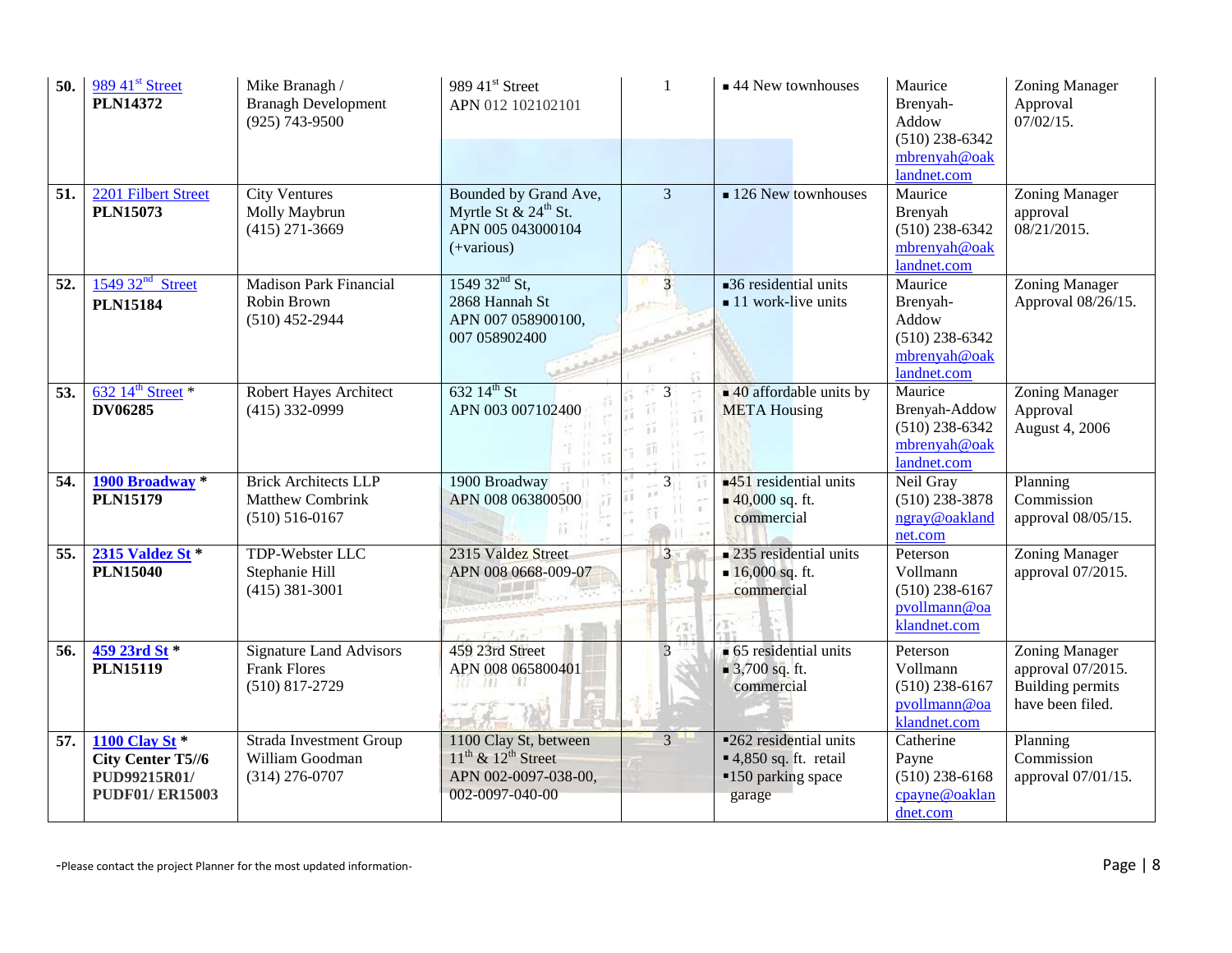| 50. | 989 41 <sup>st</sup> Street<br><b>PLN14372</b>                                      | Mike Branagh /<br><b>Branagh Development</b><br>$(925)$ 743-9500             | 989 41 <sup>st</sup> Street<br>APN 012 102102101                                                 | $\mathbf{1}$   | $\blacksquare$ 44 New townhouses                                                         | Maurice<br>Brenyah-<br>Addow<br>$(510)$ 238-6342<br>mbrenyah@oak<br>landnet.com | Zoning Manager<br>Approval<br>$07/02/15$ .                                         |
|-----|-------------------------------------------------------------------------------------|------------------------------------------------------------------------------|--------------------------------------------------------------------------------------------------|----------------|------------------------------------------------------------------------------------------|---------------------------------------------------------------------------------|------------------------------------------------------------------------------------|
| 51. | 2201 Filbert Street<br><b>PLN15073</b>                                              | <b>City Ventures</b><br>Molly Maybrun<br>$(415)$ 271-3669                    | Bounded by Grand Ave,<br>Myrtle St & 24 <sup>th</sup> St.<br>APN 005 043000104<br>$(+various)$   | $\overline{3}$ | $\blacksquare$ 126 New townhouses                                                        | Maurice<br>Brenyah<br>$(510)$ 238-6342<br>mbrenyah@oak<br>landnet.com           | Zoning Manager<br>approval<br>08/21/2015.                                          |
| 52. | $154932nd$ Street<br><b>PLN15184</b>                                                | <b>Madison Park Financial</b><br>Robin Brown<br>$(510)$ 452-2944             | 1549 $32nd$ St,<br>2868 Hannah St<br>APN 007 058900100,<br>007 058902400                         | 3<br>et i to   | $\Box$ 36 residential units<br>$\blacksquare$ 11 work-live units                         | Maurice<br>Brenyah-<br>Addow<br>$(510)$ 238-6342<br>mbrenyah@oak<br>landnet.com | <b>Zoning Manager</b><br>Approval 08/26/15.                                        |
| 53. | $632$ 14 <sup>th</sup> Street *<br><b>DV06285</b>                                   | Robert Hayes Architect<br>$(415)$ 332-0999                                   | 632 $14^{th}$ St<br>APN 003 007102400                                                            | 3              | $\blacksquare$ 40 affordable units by<br><b>META Housing</b>                             | Maurice<br>Brenyah-Addow<br>$(510)$ 238-6342<br>mbrenyah@oak<br>landnet.com     | Zoning Manager<br>Approval<br>August 4, 2006                                       |
| 54. | 1900 Broadway *<br><b>PLN15179</b>                                                  | <b>Brick Architects LLP</b><br><b>Matthew Combrink</b><br>$(510) 516 - 0167$ | 1900 Broadway<br>APN 008 063800500                                                               | $\mathfrak{Z}$ | $\blacksquare$ 451 residential units<br>$\blacksquare$ 40,000 sq. ft.<br>commercial      | Neil Gray<br>$(510)$ 238-3878<br>ngray@oakland<br>net.com                       | Planning<br>Commission<br>approval 08/05/15.                                       |
| 55. | 2315 Valdez St *<br><b>PLN15040</b>                                                 | TDP-Webster LLC<br>Stephanie Hill<br>$(415)$ 381-3001                        | 2315 Valdez Street<br>APN 008 0668-009-07                                                        | 3<br>171       | $\blacksquare$ 235 residential units<br>$16,000$ sq. ft.<br>commercial                   | Peterson<br>Vollmann<br>$(510)$ 238-6167<br>pvollmann@oa<br>klandnet.com        | <b>Zoning Manager</b><br>approval 07/2015.                                         |
| 56. | 459 23rd St *<br><b>PLN15119</b>                                                    | <b>Signature Land Advisors</b><br><b>Frank Flores</b><br>$(510)$ 817-2729    | 459 23rd Street<br>APN 008 065800401<br>ИL<br>63 L                                               |                | $\bullet$ 65 residential units<br>$\bullet$ 3,700 sq. ft.<br>commercial                  | Peterson<br>Vollmann<br>$(510)$ 238-6167<br>pvollmann@oa<br>klandnet.com        | Zoning Manager<br>approval 07/2015.<br><b>Building permits</b><br>have been filed. |
| 57. | <b>1100 Clay St *</b><br>City Center T5//6<br>PUD99215R01/<br><b>PUDF01/ER15003</b> | <b>Strada Investment Group</b><br>William Goodman<br>$(314)$ 276-0707        | 1100 Clay St, between<br>$11^{th}$ & $12^{th}$ Street<br>APN 002-0097-038-00,<br>002-0097-040-00 | $\overline{3}$ | <b>-262</b> residential units<br>$-4,850$ sq. ft. retail<br>■150 parking space<br>garage | Catherine<br>Payne<br>$(510)$ 238-6168<br>cpayne@oaklan<br>dnet.com             | Planning<br>Commission<br>approval 07/01/15.                                       |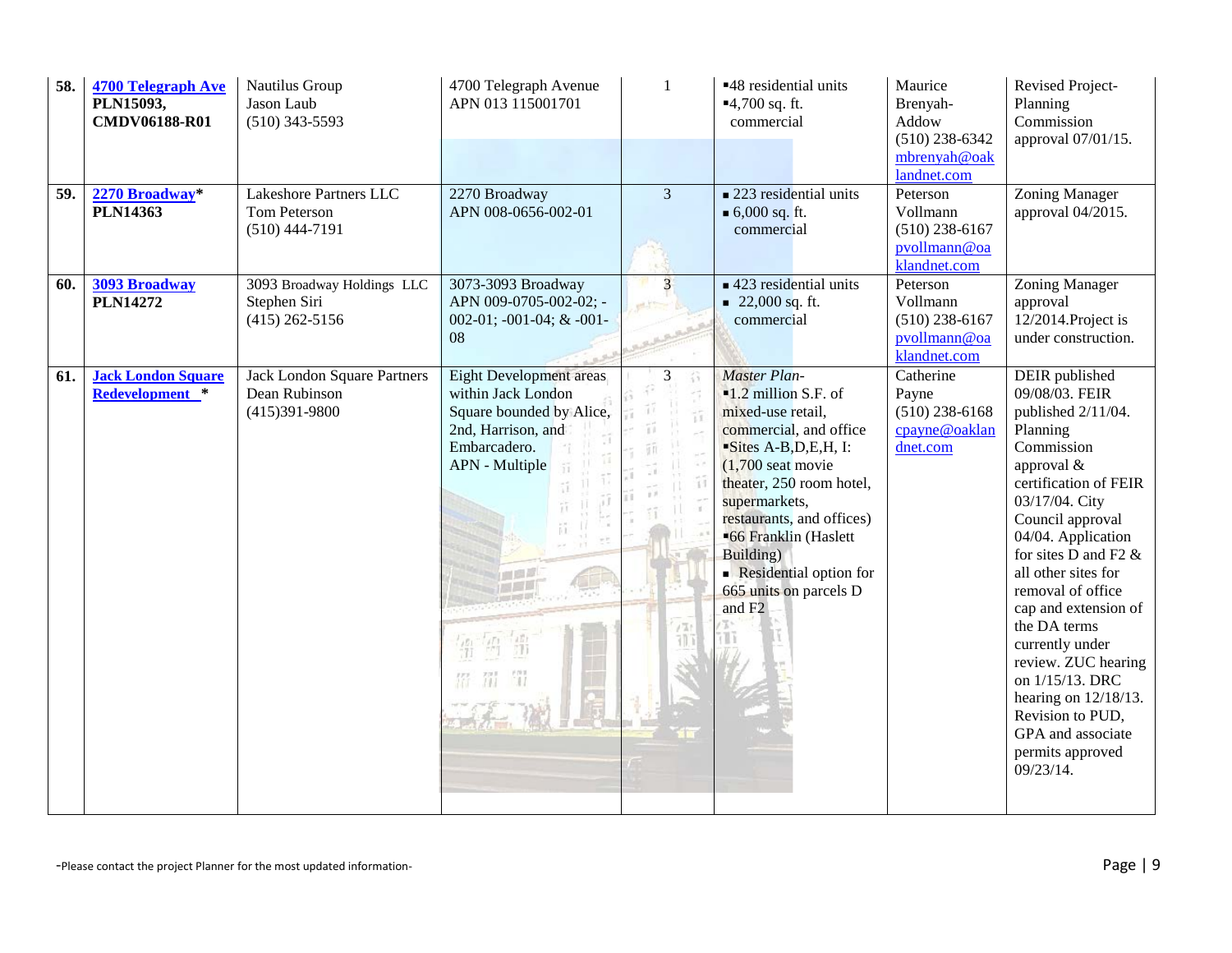| 58. | <b>4700 Telegraph Ave</b><br>PLN15093,<br><b>CMDV06188-R01</b> | Nautilus Group<br>Jason Laub<br>$(510)$ 343-5593 | 4700 Telegraph Avenue<br>APN 013 115001701 | $\mathbf{1}$     | ■48 residential units<br>$-4,700$ sq. ft.<br>commercial | Maurice<br>Brenyah-<br>Addow<br>$(510)$ 238-6342<br>mbrenyah@oak<br>landnet.com | Revised Project-<br>Planning<br>Commission<br>approval 07/01/15. |
|-----|----------------------------------------------------------------|--------------------------------------------------|--------------------------------------------|------------------|---------------------------------------------------------|---------------------------------------------------------------------------------|------------------------------------------------------------------|
| 59. | 2270 Broadway*                                                 | Lakeshore Partners LLC                           | 2270 Broadway                              | $\overline{3}$   | $\blacksquare$ 223 residential units                    | Peterson                                                                        | Zoning Manager                                                   |
|     | <b>PLN14363</b>                                                | Tom Peterson<br>$(510)$ 444-7191                 | APN 008-0656-002-01                        |                  | ■ 6,000 sq. ft.<br>commercial                           | Vollmann<br>$(510)$ 238-6167<br>pvollmann@oa<br>klandnet.com                    | approval 04/2015.                                                |
| 60. | 3093 Broadway                                                  | 3093 Broadway Holdings LLC                       | 3073-3093 Broadway                         | $\overline{3}$   | $\blacksquare$ 423 residential units                    | Peterson                                                                        | Zoning Manager                                                   |
|     | <b>PLN14272</b>                                                | Stephen Siri                                     | APN 009-0705-002-02; -                     |                  | $\blacksquare$ 22,000 sq. ft.                           | Vollmann                                                                        | approval                                                         |
|     |                                                                | $(415)$ 262-5156                                 | 002-01; -001-04; & -001-                   |                  | commercial                                              | $(510)$ 238-6167                                                                | 12/2014.Project is                                               |
|     |                                                                |                                                  | 08                                         |                  |                                                         | pvollmann@oa<br>klandnet.com                                                    | under construction.                                              |
| 61. | <b>Jack London Square</b>                                      | Jack London Square Partners                      | <b>Eight Development areas</b>             | 3                | <b>Master Plan-</b>                                     | Catherine                                                                       | DEIR published                                                   |
|     | Redevelopment *                                                | Dean Rubinson                                    | within Jack London                         |                  | $-1.2$ million S.F. of                                  | Payne                                                                           | 09/08/03. FEIR                                                   |
|     |                                                                | $(415)391 - 9800$                                | Square bounded by Alice,                   |                  | mixed-use retail,                                       | $(510)$ 238-6168                                                                | published 2/11/04.                                               |
|     |                                                                |                                                  | 2nd, Harrison, and                         |                  | commercial, and office                                  | cpayne@oaklan                                                                   | Planning                                                         |
|     |                                                                |                                                  | Embarcadero.                               |                  | Sites A-B, D, E, H, I:                                  | dnet.com                                                                        | Commission                                                       |
|     |                                                                |                                                  | APN - Multiple                             |                  | $(1,700 \text{ seat} \text{ movie})$                    |                                                                                 | approval &                                                       |
|     |                                                                |                                                  |                                            |                  | theater, 250 room hotel,                                |                                                                                 | certification of FEIR                                            |
|     |                                                                |                                                  |                                            |                  | supermarkets,                                           |                                                                                 | 03/17/04. City                                                   |
|     |                                                                |                                                  |                                            |                  | restaurants, and offices)                               |                                                                                 | Council approval                                                 |
|     |                                                                |                                                  |                                            |                  | ■66 Franklin (Haslett<br>Building)                      |                                                                                 | 04/04. Application<br>for sites D and F2 $\&$                    |
|     |                                                                |                                                  |                                            |                  | Residential option for                                  |                                                                                 | all other sites for                                              |
|     |                                                                |                                                  |                                            |                  | 665 units on parcels D                                  |                                                                                 | removal of office                                                |
|     |                                                                |                                                  |                                            |                  | and F <sub>2</sub>                                      |                                                                                 | cap and extension of                                             |
|     |                                                                |                                                  |                                            | $t$ <sup>7</sup> |                                                         |                                                                                 | the DA terms                                                     |
|     |                                                                |                                                  |                                            | 700              |                                                         |                                                                                 | currently under                                                  |
|     |                                                                |                                                  |                                            |                  |                                                         |                                                                                 | review. ZUC hearing                                              |
|     |                                                                |                                                  | 器 罚                                        |                  |                                                         |                                                                                 | on 1/15/13. DRC                                                  |
|     |                                                                |                                                  |                                            |                  |                                                         |                                                                                 | hearing on $12/18/13$ .                                          |
|     |                                                                |                                                  | $\frac{1}{2}$                              |                  |                                                         |                                                                                 | Revision to PUD,                                                 |
|     |                                                                |                                                  |                                            |                  |                                                         |                                                                                 | GPA and associate                                                |
|     |                                                                |                                                  |                                            |                  |                                                         |                                                                                 | permits approved<br>09/23/14.                                    |
|     |                                                                |                                                  |                                            |                  |                                                         |                                                                                 |                                                                  |
|     |                                                                |                                                  |                                            |                  |                                                         |                                                                                 |                                                                  |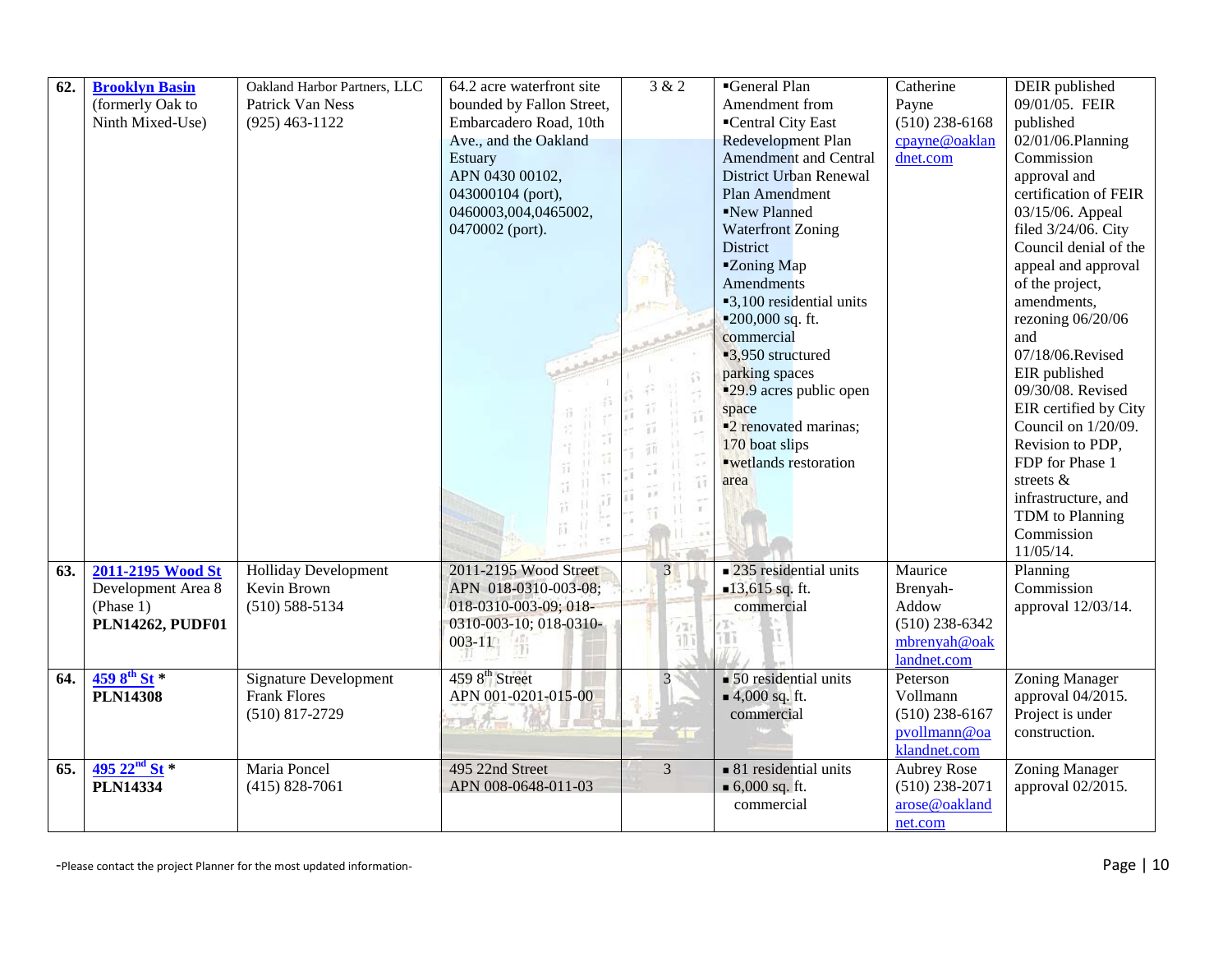| 62. | <b>Brooklyn Basin</b>   | Oakland Harbor Partners, LLC | 64.2 acre waterfront site  | 3 & 2          | General Plan                         | Catherine          | DEIR published                         |
|-----|-------------------------|------------------------------|----------------------------|----------------|--------------------------------------|--------------------|----------------------------------------|
|     | (formerly Oak to        | Patrick Van Ness             | bounded by Fallon Street,  |                | Amendment from                       | Payne              | 09/01/05. FEIR                         |
|     | Ninth Mixed-Use)        | $(925)$ 463-1122             | Embarcadero Road, 10th     |                | ■Central City East                   | $(510)$ 238-6168   | published                              |
|     |                         |                              | Ave., and the Oakland      |                | Redevelopment Plan                   | cpayne@oaklan      | 02/01/06.Planning                      |
|     |                         |                              | <b>Estuary</b>             |                | <b>Amendment and Central</b>         | dnet.com           | Commission                             |
|     |                         |                              | APN 0430 00102,            |                | District Urban Renewal               |                    | approval and                           |
|     |                         |                              | 043000104 (port),          |                | Plan Amendment                       |                    | certification of FEIR                  |
|     |                         |                              | 0460003,004,0465002,       |                | New Planned                          |                    | 03/15/06. Appeal                       |
|     |                         |                              | 0470002 (port).            |                | <b>Waterfront Zoning</b>             |                    | filed 3/24/06. City                    |
|     |                         |                              |                            |                | District                             |                    | Council denial of the                  |
|     |                         |                              |                            |                | "Zoning Map                          |                    | appeal and approval                    |
|     |                         |                              |                            |                | Amendments                           |                    | of the project,                        |
|     |                         |                              |                            |                | ■3,100 residential units             |                    | amendments,                            |
|     |                         |                              |                            |                | ■ $200,000$ sq. ft.                  |                    | rezoning 06/20/06                      |
|     |                         |                              |                            |                | commercial                           |                    | and                                    |
|     |                         |                              |                            |                | ■3,950 structured                    |                    | 07/18/06.Revised                       |
|     |                         |                              |                            |                | parking spaces                       |                    | EIR published                          |
|     |                         |                              |                            |                | ■29.9 acres public open              |                    | 09/30/08. Revised                      |
|     |                         |                              |                            | Ť.             | space                                |                    | EIR certified by City                  |
|     |                         |                              |                            | ĩΪ             | ■2 renovated marinas;                |                    | Council on 1/20/09.                    |
|     |                         |                              |                            |                | 170 boat slips                       |                    | Revision to PDP,                       |
|     |                         |                              |                            |                | "wetlands restoration                |                    | FDP for Phase 1                        |
|     |                         |                              |                            |                | area                                 |                    | streets &                              |
|     |                         |                              |                            |                |                                      |                    | infrastructure, and<br>TDM to Planning |
|     |                         |                              |                            |                |                                      |                    | Commission                             |
|     |                         |                              |                            |                |                                      |                    | 11/05/14.                              |
| 63. | 2011-2195 Wood St       | <b>Holliday Development</b>  | 2011-2195 Wood Street      | 3              | $\blacksquare$ 235 residential units | Maurice            | Planning                               |
|     | Development Area 8      | Kevin Brown                  | APN 018-0310-003-08;       |                | $-13,615$ sq. ft.                    | Brenyah-           | Commission                             |
|     | (Phase 1)               | $(510) 588 - 5134$           | 018-0310-003-09; 018-      |                | commercial                           | Addow              | approval 12/03/14.                     |
|     | <b>PLN14262, PUDF01</b> |                              | 0310-003-10; 018-0310-     | /Tr            |                                      | $(510)$ 238-6342   |                                        |
|     |                         |                              | $003 - 11$                 | ŦD.            | Tī                                   | mbrenyah@oak       |                                        |
|     |                         |                              |                            |                |                                      | landnet.com        |                                        |
| 64. | $4598^{th}$ St *        | <b>Signature Development</b> | 459 8 <sup>th</sup> Street | $\overline{3}$ | $\blacksquare$ 50 residential units  | Peterson           | Zoning Manager                         |
|     | <b>PLN14308</b>         | <b>Frank Flores</b>          | APN 001-0201-015-00        |                | $4,000$ sq. ft.                      | Vollmann           | approval 04/2015.                      |
|     |                         | $(510)$ 817-2729             |                            |                | commercial                           | $(510)$ 238-6167   | Project is under                       |
|     |                         |                              |                            |                |                                      | pvollmann@oa       | construction.                          |
|     |                         |                              |                            |                |                                      | klandnet.com       |                                        |
| 65. | 495 $22nd$ St $*$       | Maria Poncel                 | 495 22nd Street            | $\overline{3}$ | $\blacksquare$ 81 residential units  | <b>Aubrey Rose</b> | Zoning Manager                         |
|     | <b>PLN14334</b>         | $(415) 828 - 7061$           | APN 008-0648-011-03        |                | $\bullet$ 6,000 sq. ft.              | $(510)$ 238-2071   | approval 02/2015.                      |
|     |                         |                              |                            |                | commercial                           | arose@oakland      |                                        |
|     |                         |                              |                            |                |                                      | net.com            |                                        |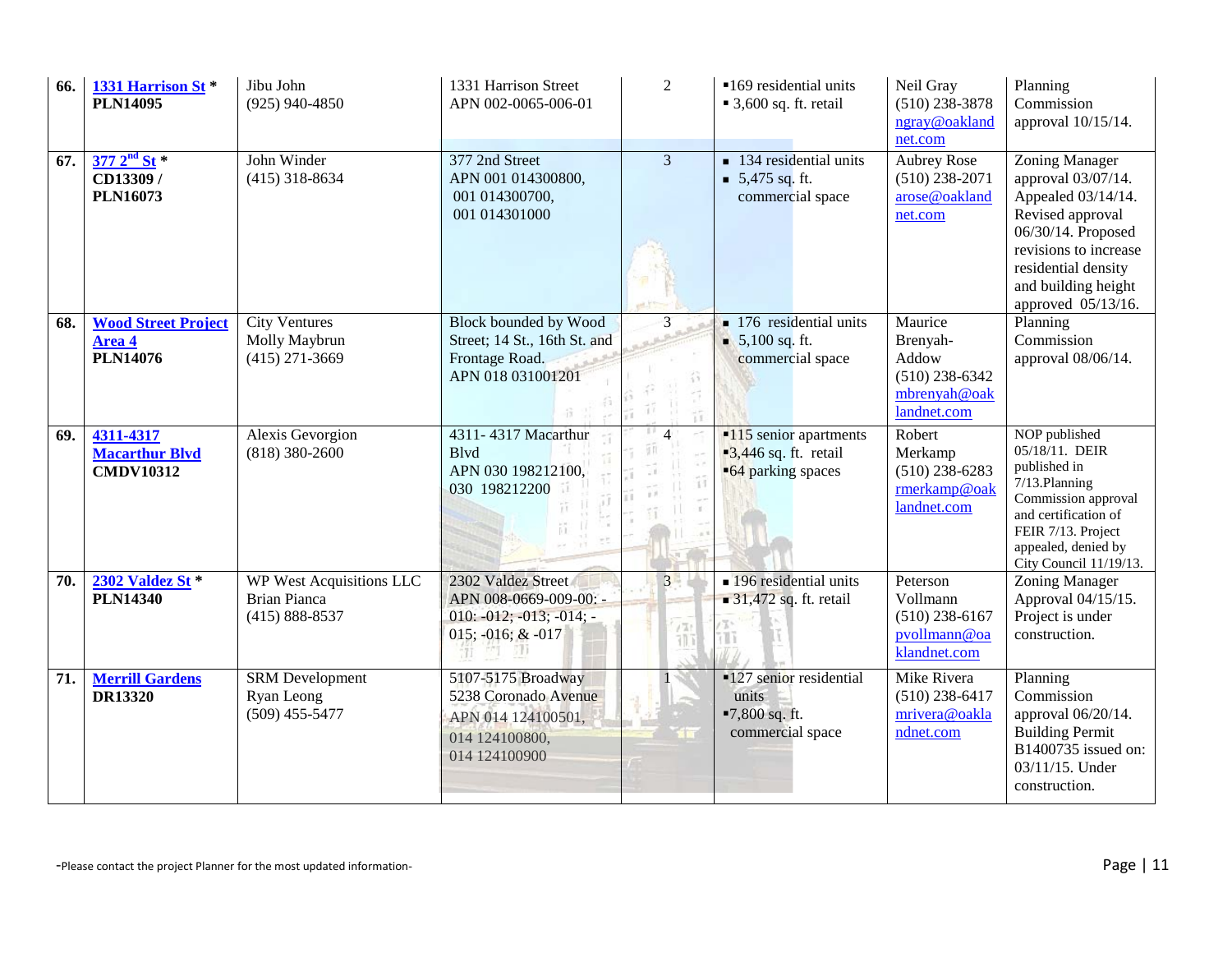| 66. | 1331 Harrison St <sup>*</sup><br><b>PLN14095</b>        | Jibu John<br>$(925)$ 940-4850                                                | 1331 Harrison Street<br>APN 002-0065-006-01                                                         | 2              | ■169 residential units<br>$\blacksquare$ 3,600 sq. ft. retail                            | Neil Gray<br>$(510)$ 238-3878<br>ngray@oakland<br>net.com                       | Planning<br>Commission<br>approval 10/15/14.                                                                                                                                                             |
|-----|---------------------------------------------------------|------------------------------------------------------------------------------|-----------------------------------------------------------------------------------------------------|----------------|------------------------------------------------------------------------------------------|---------------------------------------------------------------------------------|----------------------------------------------------------------------------------------------------------------------------------------------------------------------------------------------------------|
| 67. | $377 \, 2^{nd} \, St *$<br>CD13309/<br><b>PLN16073</b>  | John Winder<br>$(415)$ 318-8634                                              | 377 2nd Street<br>APN 001 014300800,<br>001 014300700,<br>001 014301000                             | $\overline{3}$ | $\blacksquare$ 134 residential units<br>$\blacksquare$ 5,475 sq. ft.<br>commercial space | <b>Aubrey Rose</b><br>$(510)$ 238-2071<br>arose@oakland<br>net.com              | <b>Zoning Manager</b><br>approval 03/07/14.<br>Appealed 03/14/14.<br>Revised approval<br>06/30/14. Proposed<br>revisions to increase<br>residential density<br>and building height<br>approved 05/13/16. |
| 68. | <b>Wood Street Project</b><br>Area 4<br><b>PLN14076</b> | <b>City Ventures</b><br>Molly Maybrun<br>$(415)$ 271-3669                    | <b>Block bounded by Wood</b><br>Street; 14 St., 16th St. and<br>Frontage Road.<br>APN 018 031001201 | $\overline{3}$ | $\blacksquare$ 176 residential units<br>$\bullet$ 5,100 sq. ft.<br>commercial space      | Maurice<br>Brenyah-<br>Addow<br>$(510)$ 238-6342<br>mbrenyah@oak<br>landnet.com | Planning<br>Commission<br>approval 08/06/14.                                                                                                                                                             |
| 69. | 4311-4317<br><b>Macarthur Blvd</b><br><b>CMDV10312</b>  | Alexis Gevorgion<br>$(818)$ 380-2600                                         | 4311-4317 Macarthur<br><b>B</b> lvd<br>APN 030 198212100,<br>030 198212200                          |                | $-115$ senior apartments<br>$\blacksquare$ 3,446 sq. ft. retail<br>■64 parking spaces    | Robert<br>Merkamp<br>$(510)$ 238-6283<br>rmerkamp@oak<br>landnet.com            | NOP published<br>05/18/11. DEIR<br>published in<br>7/13.Planning<br>Commission approval<br>and certification of<br>FEIR 7/13. Project<br>appealed, denied by<br>City Council 11/19/13.                   |
| 70. | 2302 Valdez St *<br><b>PLN14340</b>                     | <b>WP West Acquisitions LLC</b><br><b>Brian Pianca</b><br>$(415) 888 - 8537$ | 2302 Valdez Street<br>APN 008-0669-009-00: -<br>$010: -012; -013; -014; -$<br>015; -016; & -017     | 3 <sup>1</sup> | • 196 residential units<br>$\blacksquare$ 31,472 sq. ft. retail                          | Peterson<br>Vollmann<br>$(510)$ 238-6167<br>pvollmann@oa<br>klandnet.com        | Zoning Manager<br>Approval 04/15/15.<br>Project is under<br>construction.                                                                                                                                |
| 71. | <b>Merrill Gardens</b><br><b>DR13320</b>                | <b>SRM</b> Development<br>Ryan Leong<br>$(509)$ 455-5477                     | 5107-5175 Broadway<br>5238 Coronado Avenue<br>APN 014 124100501,<br>014 124100800,<br>014 124100900 |                | <b>-127 senior residential</b><br>units<br>■7,800 sq. ft.<br>commercial space            | Mike Rivera<br>$(510)$ 238-6417<br>mrivera@oakla<br>ndnet.com                   | Planning<br>Commission<br>approval 06/20/14.<br><b>Building Permit</b><br>B1400735 issued on:<br>03/11/15. Under<br>construction.                                                                        |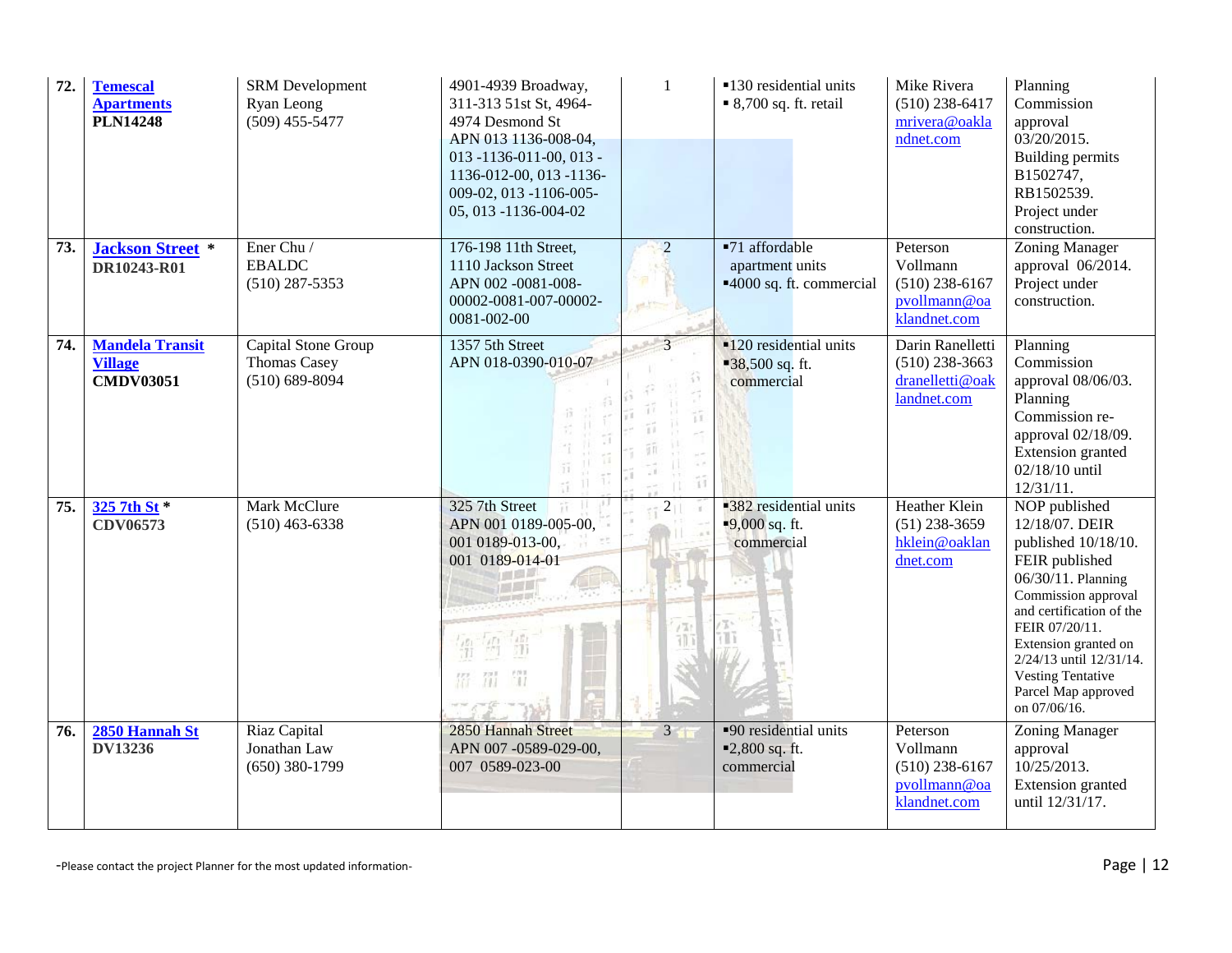| 72. | <b>Temescal</b><br><b>Apartments</b><br><b>PLN14248</b>      | <b>SRM</b> Development<br>Ryan Leong<br>$(509)$ 455-5477         | 4901-4939 Broadway,<br>311-313 51st St, 4964-<br>4974 Desmond St<br>APN 013 1136-008-04,<br>$013 - 1136 - 011 - 00, 013 -$<br>1136-012-00, 013 -1136-<br>009-02, 013 -1106-005-<br>05, 013 -1136-004-02 | $\mathbf{1}$                  | ■130 residential units<br>$\bullet$ 8,700 sq. ft. retail                | Mike Rivera<br>$(510)$ 238-6417<br>mrivera@oakla<br>ndnet.com            | Planning<br>Commission<br>approval<br>03/20/2015.<br><b>Building permits</b><br>B1502747,<br>RB1502539.<br>Project under<br>construction.                                                                                                                                                 |
|-----|--------------------------------------------------------------|------------------------------------------------------------------|---------------------------------------------------------------------------------------------------------------------------------------------------------------------------------------------------------|-------------------------------|-------------------------------------------------------------------------|--------------------------------------------------------------------------|-------------------------------------------------------------------------------------------------------------------------------------------------------------------------------------------------------------------------------------------------------------------------------------------|
| 73. | <b>Jackson Street</b> *<br>DR10243-R01                       | Ener Chu /<br><b>EBALDC</b><br>$(510)$ 287-5353                  | 176-198 11th Street,<br>1110 Jackson Street<br>APN 002 -0081-008-<br>00002-0081-007-00002-<br>0081-002-00                                                                                               | $\overline{2}$                | ■71 affordable<br>apartment units<br>■4000 sq. ft. commercial           | Peterson<br>Vollmann<br>$(510)$ 238-6167<br>pvollmann@oa<br>klandnet.com | <b>Zoning Manager</b><br>approval 06/2014.<br>Project under<br>construction.                                                                                                                                                                                                              |
| 74. | <b>Mandela Transit</b><br><b>Village</b><br><b>CMDV03051</b> | Capital Stone Group<br><b>Thomas Casey</b><br>$(510) 689 - 8094$ | 1357 5th Street<br>APN 018-0390-010-07                                                                                                                                                                  | $\overline{\mathcal{E}}$<br>Ħ | $\blacksquare$ 120 residential units<br>$-38,500$ sq. ft.<br>commercial | Darin Ranelletti<br>$(510)$ 238-3663<br>dranelletti@oak<br>landnet.com   | Planning<br>Commission<br>approval 08/06/03.<br>Planning<br>Commission re-<br>approval 02/18/09.<br>Extension granted<br>02/18/10 until<br>12/31/11.                                                                                                                                      |
| 75. | 325 7th St *<br>CDV06573                                     | Mark McClure<br>$(510)$ 463-6338                                 | 325 7th Street<br>APN 001 0189-005-00,<br>001 0189-013-00,<br>001 0189-014-01<br>費                                                                                                                      | $\overline{2}$<br>115         | <b>382</b> residential units<br>$-9,000$ sq. ft.<br>commercial          | Heather Klein<br>$(51)$ 238-3659<br>hklein@oaklan<br>dnet.com            | NOP published<br>12/18/07. DEIR<br>published 10/18/10.<br>FEIR published<br>06/30/11. Planning<br>Commission approval<br>and certification of the<br>FEIR 07/20/11.<br>Extension granted on<br>2/24/13 until 12/31/14.<br><b>Vesting Tentative</b><br>Parcel Map approved<br>on 07/06/16. |
| 76. | 2850 Hannah St<br><b>DV13236</b>                             | Riaz Capital<br>Jonathan Law<br>$(650)$ 380-1799                 | 2850 Hannah Street<br>APN 007-0589-029-00,<br>007 0589-023-00                                                                                                                                           | $3 -$                         | ■90 residential units<br>■2,800 sq. ft.<br>commercial                   | Peterson<br>Vollmann<br>$(510)$ 238-6167<br>pvollmann@oa<br>klandnet.com | Zoning Manager<br>approval<br>10/25/2013.<br>Extension granted<br>until 12/31/17.                                                                                                                                                                                                         |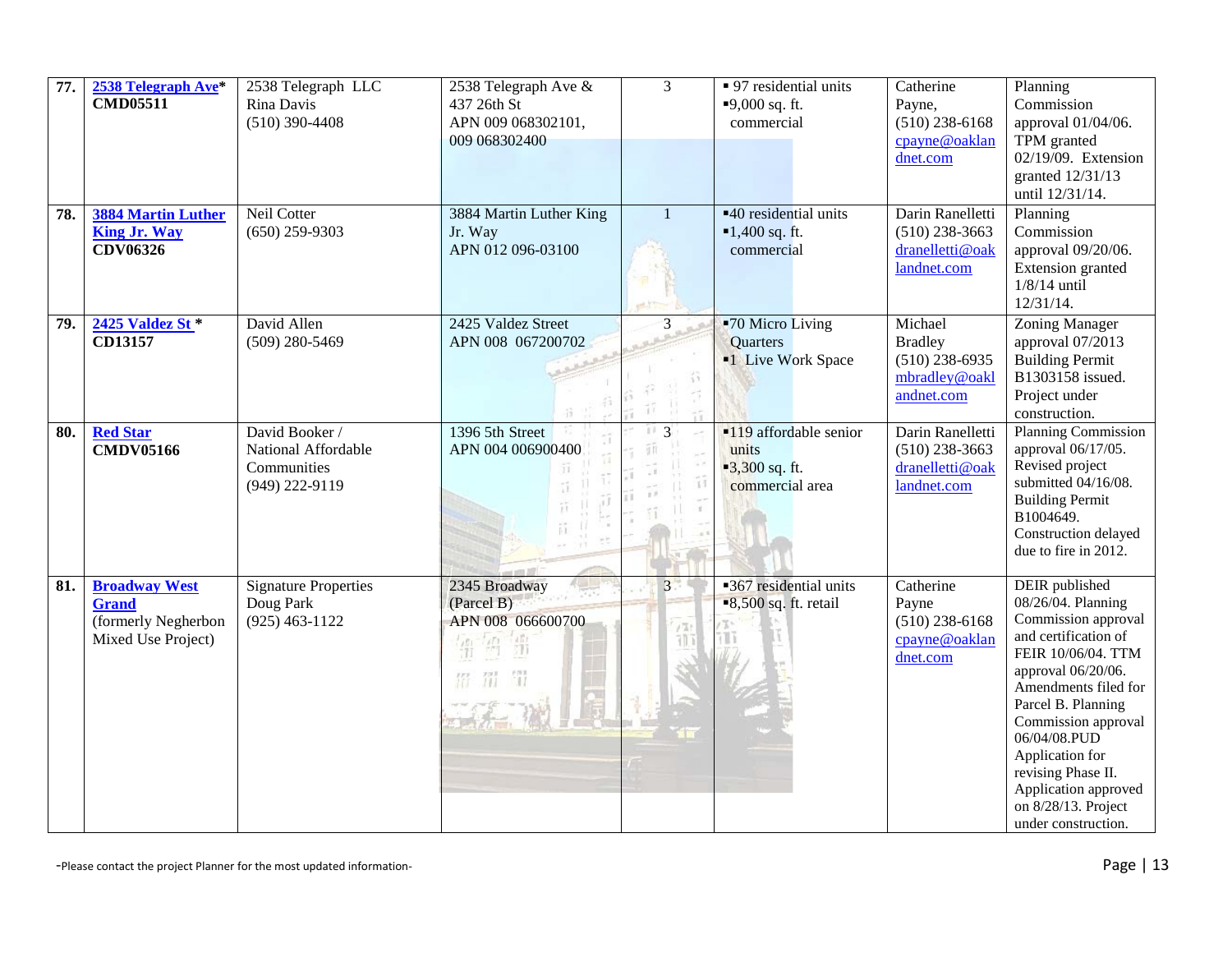| 77. | 2538 Telegraph Ave*<br><b>CMD05511</b>                                            | 2538 Telegraph LLC<br>Rina Davis<br>$(510)$ 390-4408                   | 2538 Telegraph Ave &<br>437 26th St<br>APN 009 068302101,<br>009 068302400 | $\overline{3}$           | • 97 residential units<br>$-9,000$ sq. ft.<br>commercial               | Catherine<br>Payne,<br>$(510)$ 238-6168<br>cpayne@oaklan<br>dnet.com         | Planning<br>Commission<br>approval 01/04/06.<br>TPM granted<br>02/19/09. Extension<br>granted 12/31/13<br>until 12/31/14.                                                                                                                                                                                                                  |
|-----|-----------------------------------------------------------------------------------|------------------------------------------------------------------------|----------------------------------------------------------------------------|--------------------------|------------------------------------------------------------------------|------------------------------------------------------------------------------|--------------------------------------------------------------------------------------------------------------------------------------------------------------------------------------------------------------------------------------------------------------------------------------------------------------------------------------------|
| 78. | 3884 Martin Luther<br><b>King Jr. Way</b><br>CDV06326                             | Neil Cotter<br>$(650)$ 259-9303                                        | 3884 Martin Luther King<br>Jr. Way<br>APN 012 096-03100                    |                          | ■40 residential units<br>$-1,400$ sq. ft.<br>commercial                | Darin Ranelletti<br>$(510)$ 238-3663<br>dranelletti@oak<br>landnet.com       | Planning<br>Commission<br>approval 09/20/06.<br>Extension granted<br>$1/8/14$ until<br>12/31/14.                                                                                                                                                                                                                                           |
| 79. | 2425 Valdez St *<br>CD13157                                                       | David Allen<br>$(509)$ 280-5469                                        | 2425 Valdez Street<br>APN 008 067200702                                    | $\overline{\mathcal{E}}$ | ■70 Micro Living<br>Quarters<br><sup>•1</sup> Live Work Space          | Michael<br><b>Bradley</b><br>$(510)$ 238-6935<br>mbradley@oakl<br>andnet.com | Zoning Manager<br>approval 07/2013<br><b>Building Permit</b><br>B1303158 issued.<br>Project under<br>construction.                                                                                                                                                                                                                         |
| 80. | <b>Red Star</b><br><b>CMDV05166</b>                                               | David Booker /<br>National Affordable<br>Communities<br>(949) 222-9119 | 1396 5th Street<br>APN 004 006900400                                       | 113<br>Ŧ.                | •119 affordable senior<br>units<br>$-3,300$ sq. ft.<br>commercial area | Darin Ranelletti<br>$(510)$ 238-3663<br>dranelletti@oak<br>landnet.com       | Planning Commission<br>approval 06/17/05.<br>Revised project<br>submitted 04/16/08.<br><b>Building Permit</b><br>B1004649.<br>Construction delayed<br>due to fire in 2012.                                                                                                                                                                 |
| 81. | <b>Broadway West</b><br><b>Grand</b><br>(formerly Negherbon<br>Mixed Use Project) | <b>Signature Properties</b><br>Doug Park<br>$(925)$ 463-1122           | 2345 Broadway<br>(Parcel B)<br>APN 008 066600700<br>請<br>罚                 | $3 -$<br>$1 - 1$         | ■367 residential units<br>$\blacksquare$ 8,500 sq. ft. retail          | Catherine<br>Payne<br>$(510)$ 238-6168<br>cpayne@oaklan<br>dnet.com          | <b>DEIR</b> published<br>08/26/04. Planning<br>Commission approval<br>and certification of<br>FEIR 10/06/04. TTM<br>approval 06/20/06.<br>Amendments filed for<br>Parcel B. Planning<br>Commission approval<br>06/04/08.PUD<br>Application for<br>revising Phase II.<br>Application approved<br>on 8/28/13. Project<br>under construction. |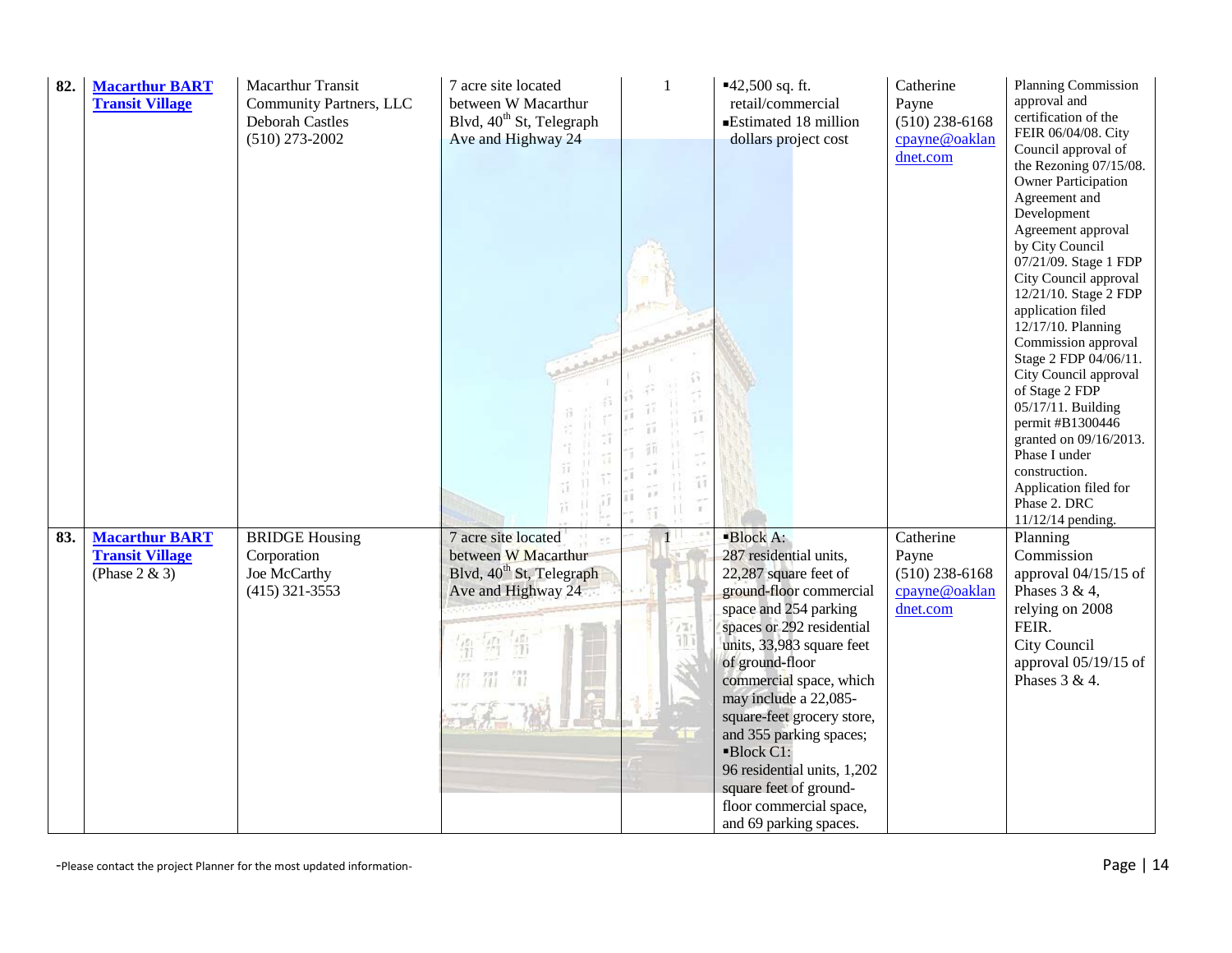| 82. | <b>Macarthur BART</b><br><b>Transit Village</b> | Macarthur Transit<br>Community Partners, LLC<br><b>Deborah Castles</b><br>$(510)$ 273-2002 | 7 acre site located<br>between W Macarthur<br>Blvd, 40 <sup>th</sup> St, Telegraph<br>Ave and Highway 24 | $\mathbf{1}$ | $-42,500$ sq. ft.<br>retail/commercial<br>Estimated 18 million<br>dollars project cost                                                                                                                                                                                                        | Catherine<br>Payne<br>$(510)$ 238-6168<br>cpayne@oaklan<br>dnet.com | Planning Commission<br>approval and<br>certification of the<br>FEIR 06/04/08. City<br>Council approval of<br>the Rezoning 07/15/08.<br><b>Owner Participation</b><br>Agreement and<br>Development<br>Agreement approval<br>by City Council<br>07/21/09. Stage 1 FDP<br>City Council approval<br>12/21/10. Stage 2 FDP<br>application filed<br>12/17/10. Planning<br>Commission approval<br>Stage 2 FDP 04/06/11.<br>City Council approval<br>of Stage 2 FDP<br>05/17/11. Building<br>permit #B1300446<br>granted on 09/16/2013.<br>Phase I under<br>construction.<br>Application filed for<br>Phase 2. DRC<br>11/12/14 pending. |
|-----|-------------------------------------------------|--------------------------------------------------------------------------------------------|----------------------------------------------------------------------------------------------------------|--------------|-----------------------------------------------------------------------------------------------------------------------------------------------------------------------------------------------------------------------------------------------------------------------------------------------|---------------------------------------------------------------------|---------------------------------------------------------------------------------------------------------------------------------------------------------------------------------------------------------------------------------------------------------------------------------------------------------------------------------------------------------------------------------------------------------------------------------------------------------------------------------------------------------------------------------------------------------------------------------------------------------------------------------|
|     | <b>Transit Village</b><br>(Phase $2 & 3$ )      | Corporation<br>Joe McCarthy<br>$(415)$ 321-3553                                            | between W Macarthur<br>Blvd, 40 <sup>th</sup> St, Telegraph<br>Ave and Highway 24<br>罚                   | 借            | 287 residential units,<br>22,287 square feet of<br>ground-floor commercial<br>space and 254 parking<br>spaces or 292 residential<br>units, 33,983 square feet<br>of ground-floor<br>commercial space, which<br>may include a 22,085-<br>square-feet grocery store,<br>and 355 parking spaces; | Payne<br>$(510)$ 238-6168<br>cpayne@oaklan<br>dnet.com              | Commission<br>approval $04/15/15$ of<br>Phases $3 & 4$ ,<br>relying on 2008<br>FEIR.<br>City Council<br>approval $05/19/15$ of<br>Phases $3 & 4$ .                                                                                                                                                                                                                                                                                                                                                                                                                                                                              |
|     |                                                 |                                                                                            |                                                                                                          |              | Block C1:<br>96 residential units, 1,202<br>square feet of ground-<br>floor commercial space,<br>and 69 parking spaces.                                                                                                                                                                       |                                                                     |                                                                                                                                                                                                                                                                                                                                                                                                                                                                                                                                                                                                                                 |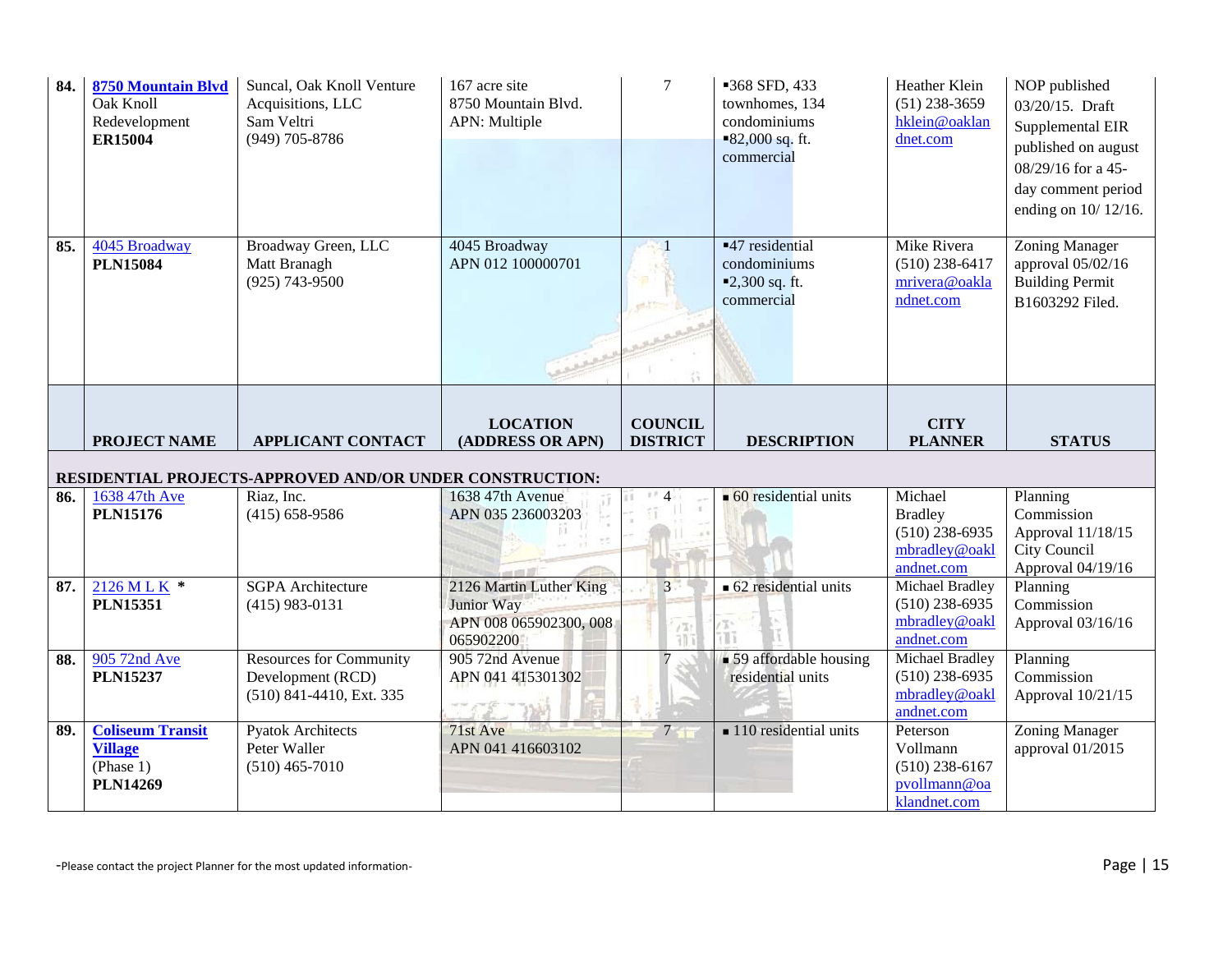| 84.        | <b>8750 Mountain Blvd</b><br>Oak Knoll<br>Redevelopment<br><b>ER15004</b> | Suncal, Oak Knoll Venture<br>Acquisitions, LLC<br>Sam Veltri<br>(949) 705-8786                              | 167 acre site<br>8750 Mountain Blvd.<br>APN: Multiple                        | 7                                 | ■368 SFD, 433<br>townhomes, 134<br>condominiums<br>$-82,000$ sq. ft.<br>commercial   | Heather Klein<br>$(51)$ 238-3659<br>hklein@oaklan<br>dnet.com                  | NOP published<br>03/20/15. Draft<br>Supplemental EIR<br>published on august<br>08/29/16 for a 45-<br>day comment period<br>ending on 10/12/16. |
|------------|---------------------------------------------------------------------------|-------------------------------------------------------------------------------------------------------------|------------------------------------------------------------------------------|-----------------------------------|--------------------------------------------------------------------------------------|--------------------------------------------------------------------------------|------------------------------------------------------------------------------------------------------------------------------------------------|
| 85.        | 4045 Broadway<br><b>PLN15084</b>                                          | Broadway Green, LLC<br>Matt Branagh<br>$(925) 743 - 9500$                                                   | 4045 Broadway<br>APN 012 100000701                                           |                                   | $-47$ residential<br>condominiums<br>$-2,300$ sq. ft.<br>commercial                  | Mike Rivera<br>$(510)$ 238-6417<br>mrivera@oakla<br>ndnet.com                  | Zoning Manager<br>approval 05/02/16<br><b>Building Permit</b><br>B1603292 Filed.                                                               |
|            | <b>PROJECT NAME</b>                                                       | <b>APPLICANT CONTACT</b>                                                                                    | <b>LOCATION</b><br>(ADDRESS OR APN)                                          | <b>COUNCIL</b><br><b>DISTRICT</b> | <b>DESCRIPTION</b>                                                                   | <b>CITY</b><br><b>PLANNER</b>                                                  | <b>STATUS</b>                                                                                                                                  |
|            |                                                                           | RESIDENTIAL PROJECTS-APPROVED AND/OR UNDER CONSTRUCTION:                                                    |                                                                              |                                   |                                                                                      |                                                                                |                                                                                                                                                |
| 86.        | 1638 47th Ave<br><b>PLN15176</b>                                          | Riaz, Inc.<br>$(415) 658 - 9586$                                                                            | 1638 47th Avenue<br>APN 035 236003203                                        |                                   | $\bullet$ 60 residential units                                                       | Michael<br><b>Bradley</b>                                                      | Planning<br>Commission                                                                                                                         |
| 87.        |                                                                           |                                                                                                             |                                                                              |                                   |                                                                                      | $(510)$ 238-6935<br>mbradley@oakl<br>andnet.com                                | Approval 11/18/15<br>City Council<br>Approval 04/19/16                                                                                         |
|            | 2126 MLK *<br><b>PLN15351</b>                                             | <b>SGPA</b> Architecture<br>$(415)$ 983-0131                                                                | 2126 Martin Luther King<br>Junior Way<br>APN 008 065902300, 008<br>065902200 | $3 -$<br>$\ell$ %                 | $\blacksquare$ 62 residential units<br>ίT                                            | Michael Bradley<br>$(510)$ 238-6935<br>mbradley@oakl<br>andnet.com             | Planning<br>Commission<br>Approval 03/16/16                                                                                                    |
| 88.<br>89. | 905 72nd Ave<br><b>PLN15237</b><br><b>Coliseum Transit</b>                | <b>Resources for Community</b><br>Development (RCD)<br>(510) 841-4410, Ext. 335<br><b>Pyatok Architects</b> | 905 72nd Avenue<br>APN 041 415301302<br>71st Ave                             | 7 <sup>1</sup>                    | • 59 affordable housing<br>residential units<br>$\blacksquare$ 110 residential units | Michael Bradley<br>$(510)$ 238-6935<br>mbradley@oakl<br>andnet.com<br>Peterson | Planning<br>Commission<br>Approval 10/21/15<br><b>Zoning Manager</b>                                                                           |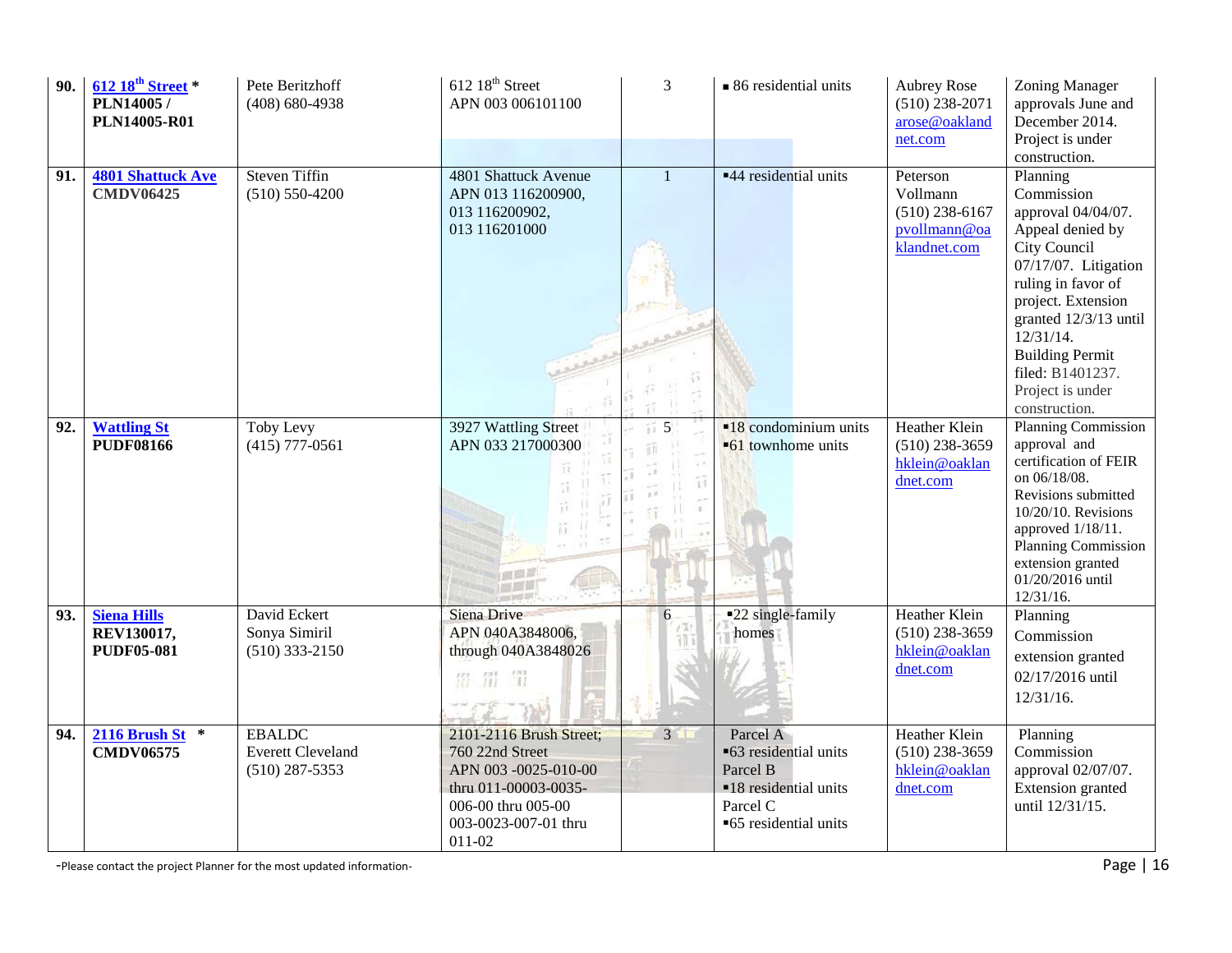| 90. | $612~18^{\text{th}}$ Street *<br>PLN14005/<br><b>PLN14005-R01</b> | Pete Beritzhoff<br>$(408) 680 - 4938$                         | $612~18^{\text{th}}$ Street<br>APN 003 006101100                                                                                                  | 3            | • 86 residential units                                                                                      | <b>Aubrey Rose</b><br>$(510)$ 238-2071<br>arose@oakland<br>net.com       | Zoning Manager<br>approvals June and<br>December 2014.<br>Project is under<br>construction.                                                                                                                                                                                   |
|-----|-------------------------------------------------------------------|---------------------------------------------------------------|---------------------------------------------------------------------------------------------------------------------------------------------------|--------------|-------------------------------------------------------------------------------------------------------------|--------------------------------------------------------------------------|-------------------------------------------------------------------------------------------------------------------------------------------------------------------------------------------------------------------------------------------------------------------------------|
| 91. | <b>4801 Shattuck Ave</b><br><b>CMDV06425</b>                      | <b>Steven Tiffin</b><br>$(510) 550 - 4200$                    | 4801 Shattuck Avenue<br>APN 013 116200900,<br>013 116200902,<br>013 116201000                                                                     | $\mathbf{1}$ | ■44 residential units                                                                                       | Peterson<br>Vollmann<br>$(510)$ 238-6167<br>pvollmann@oa<br>klandnet.com | Planning<br>Commission<br>approval 04/04/07.<br>Appeal denied by<br>City Council<br>07/17/07. Litigation<br>ruling in favor of<br>project. Extension<br>granted 12/3/13 until<br>12/31/14.<br><b>Building Permit</b><br>filed: B1401237.<br>Project is under<br>construction. |
| 92. | <b>Wattling St</b><br><b>PUDF08166</b>                            | Toby Levy<br>$(415)$ 777-0561                                 | 3927 Wattling Street<br>APN 033 217000300                                                                                                         | 5<br>11      | $\blacksquare$ 18 condominium units<br>•61 townhome units                                                   | <b>Heather Klein</b><br>$(510)$ 238-3659<br>hklein@oaklan<br>dnet.com    | <b>Planning Commission</b><br>approval and<br>certification of FEIR<br>on 06/18/08.<br>Revisions submitted<br>10/20/10. Revisions<br>approved 1/18/11.<br><b>Planning Commission</b><br>extension granted<br>01/20/2016 until<br>$12/31/16$ .                                 |
| 93. | <b>Siena Hills</b><br>REV130017,<br><b>PUDF05-081</b>             | David Eckert<br>Sonya Simiril<br>$(510)$ 333-2150             | Siena Drive<br>APN 040A3848006,<br>through 040A3848026<br>m<br>招 罚                                                                                | 6            | ■22 single-family<br>homes                                                                                  | Heather Klein<br>$(510)$ 238-3659<br>hklein@oaklan<br>dnet.com           | Planning<br>Commission<br>extension granted<br>02/17/2016 until<br>$12/31/16$ .                                                                                                                                                                                               |
| 94. | $2116$ Brush St $*$<br><b>CMDV06575</b>                           | <b>EBALDC</b><br><b>Everett Cleveland</b><br>$(510)$ 287-5353 | 2101-2116 Brush Street;<br>760 22nd Street<br>APN 003-0025-010-00<br>thru 011-00003-0035-<br>006-00 thru 005-00<br>003-0023-007-01 thru<br>011-02 | $3 \square$  | Parcel A<br>■63 residential units<br>Parcel B<br>■18 residential units<br>Parcel C<br>■65 residential units | <b>Heather Klein</b><br>$(510)$ 238-3659<br>hklein@oaklan<br>dnet.com    | Planning<br>Commission<br>approval 02/07/07.<br>Extension granted<br>until 12/31/15.                                                                                                                                                                                          |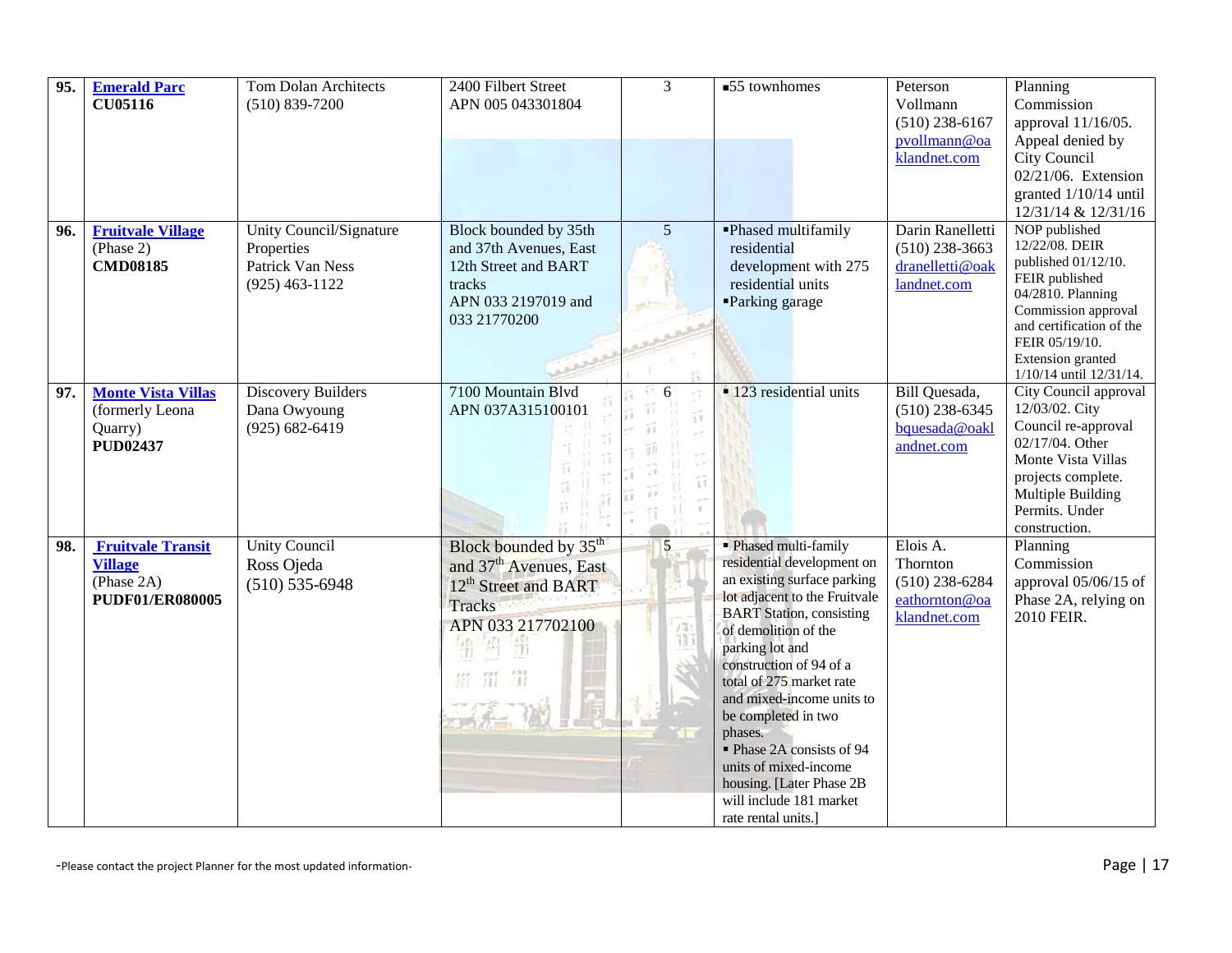| 95. | <b>Emerald Parc</b><br><b>CU05116</b>                                              | <b>Tom Dolan Architects</b><br>$(510) 839 - 7200$                             | 2400 Filbert Street<br>APN 005 043301804                                                                                                                    | $\overline{3}$       | ■55 townhomes                                                                                                                                                                                                                                                                                                                                                                                                                                               | Peterson<br>Vollmann<br>$(510)$ 238-6167<br>pvollmann@oa<br>klandnet.com  | Planning<br>Commission<br>approval 11/16/05.<br>Appeal denied by<br>City Council                                                                                                                  |
|-----|------------------------------------------------------------------------------------|-------------------------------------------------------------------------------|-------------------------------------------------------------------------------------------------------------------------------------------------------------|----------------------|-------------------------------------------------------------------------------------------------------------------------------------------------------------------------------------------------------------------------------------------------------------------------------------------------------------------------------------------------------------------------------------------------------------------------------------------------------------|---------------------------------------------------------------------------|---------------------------------------------------------------------------------------------------------------------------------------------------------------------------------------------------|
|     |                                                                                    |                                                                               |                                                                                                                                                             |                      |                                                                                                                                                                                                                                                                                                                                                                                                                                                             |                                                                           | 02/21/06. Extension<br>granted 1/10/14 until<br>12/31/14 & 12/31/16<br>NOP published                                                                                                              |
| 96. | <b>Fruitvale Village</b><br>(Phase 2)<br><b>CMD08185</b>                           | Unity Council/Signature<br>Properties<br>Patrick Van Ness<br>$(925)$ 463-1122 | Block bounded by 35th<br>and 37th Avenues, East<br>12th Street and BART<br>tracks<br>APN 033 2197019 and<br>033 21770200                                    | 5<br>进步              | -Phased multifamily<br>residential<br>development with 275<br>residential units<br>Parking garage                                                                                                                                                                                                                                                                                                                                                           | Darin Ranelletti<br>$(510)$ 238-3663<br>dranelletti@oak<br>landnet.com    | 12/22/08. DEIR<br>published 01/12/10.<br>FEIR published<br>04/2810. Planning<br>Commission approval<br>and certification of the<br>FEIR 05/19/10.<br>Extension granted<br>1/10/14 until 12/31/14. |
| 97. | <b>Monte Vista Villas</b><br>(formerly Leona<br>Quarry)<br><b>PUD02437</b>         | Discovery Builders<br>Dana Owyoung<br>$(925) 682 - 6419$                      | 7100 Mountain Blvd<br>APN 037A315100101                                                                                                                     |                      | • 123 residential units                                                                                                                                                                                                                                                                                                                                                                                                                                     | Bill Quesada,<br>$(510)$ 238-6345<br>bquesada@oakl<br>andnet.com          | City Council approval<br>12/03/02. City<br>Council re-approval<br>02/17/04. Other<br>Monte Vista Villas<br>projects complete.<br>Multiple Building<br>Permits. Under<br>construction.             |
| 98. | <b>Fruitvale Transit</b><br><b>Village</b><br>(Phase 2A)<br><b>PUDF01/ER080005</b> | <b>Unity Council</b><br>Ross Ojeda<br>$(510) 535 - 6948$                      | Block bounded by 35 <sup>th</sup><br>and 37 <sup>th</sup> Avenues, East<br>12 <sup>th</sup> Street and BART<br><b>Tracks</b><br>APN 033 217702100<br>簈<br>罚 | $5\overline{)}$<br>借 | • Phased multi-family<br>residential development on<br>an existing surface parking<br>lot adjacent to the Fruitvale<br><b>BART</b> Station, consisting<br>of demolition of the<br>parking lot and<br>construction of 94 of a<br>total of 275 market rate<br>and mixed-income units to<br>be completed in two<br>phases.<br>• Phase 2A consists of 94<br>units of mixed-income<br>housing. [Later Phase 2B<br>will include 181 market<br>rate rental units.] | Elois A.<br>Thornton<br>$(510)$ 238-6284<br>eathornton@oa<br>klandnet.com | Planning<br>Commission<br>approval 05/06/15 of<br>Phase 2A, relying on<br>2010 FEIR.                                                                                                              |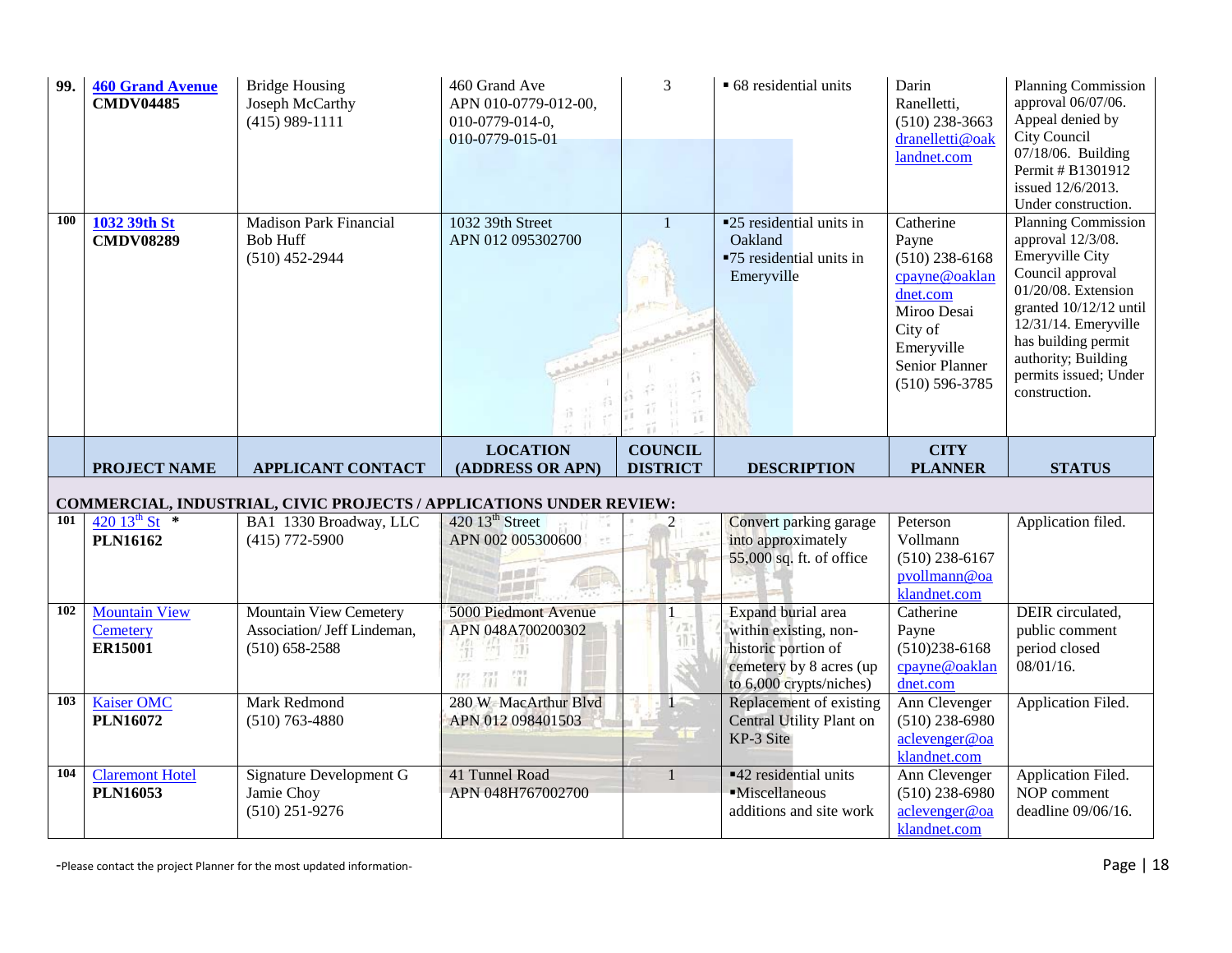| 99.                                                                 | <b>460 Grand Avenue</b><br><b>CMDV04485</b> | <b>Bridge Housing</b><br>Joseph McCarthy<br>$(415)$ 989-1111                       | 460 Grand Ave<br>APN 010-0779-012-00,<br>010-0779-014-0,<br>010-0779-015-01 | 3                                 | • 68 residential units                                                                                                   | Darin<br>Ranelletti,<br>$(510)$ 238-3663<br>dranelletti@oak<br>landnet.com                                                                          | Planning Commission<br>approval 06/07/06.<br>Appeal denied by<br>City Council<br>07/18/06. Building<br>Permit # B1301912<br>issued 12/6/2013.<br>Under construction.                                                                                           |
|---------------------------------------------------------------------|---------------------------------------------|------------------------------------------------------------------------------------|-----------------------------------------------------------------------------|-----------------------------------|--------------------------------------------------------------------------------------------------------------------------|-----------------------------------------------------------------------------------------------------------------------------------------------------|----------------------------------------------------------------------------------------------------------------------------------------------------------------------------------------------------------------------------------------------------------------|
| 100                                                                 | 1032 39th St<br><b>CMDV08289</b>            | <b>Madison Park Financial</b><br><b>Bob Huff</b><br>$(510)$ 452-2944               | 1032 39th Street<br>APN 012 095302700                                       |                                   | ■25 residential units in<br>Oakland<br>■75 residential units in<br>Emeryville                                            | Catherine<br>Payne<br>$(510)$ 238-6168<br>cpayne@oaklan<br>dnet.com<br>Miroo Desai<br>City of<br>Emeryville<br>Senior Planner<br>$(510) 596 - 3785$ | <b>Planning Commission</b><br>approval 12/3/08.<br><b>Emeryville City</b><br>Council approval<br>01/20/08. Extension<br>granted 10/12/12 until<br>12/31/14. Emeryville<br>has building permit<br>authority; Building<br>permits issued; Under<br>construction. |
|                                                                     | <b>PROJECT NAME</b>                         | <b>APPLICANT CONTACT</b>                                                           | <b>LOCATION</b><br>(ADDRESS OR APN)                                         | <b>COUNCIL</b><br><b>DISTRICT</b> | <b>DESCRIPTION</b>                                                                                                       | <b>CITY</b><br><b>PLANNER</b>                                                                                                                       | <b>STATUS</b>                                                                                                                                                                                                                                                  |
| COMMERCIAL, INDUSTRIAL, CIVIC PROJECTS / APPLICATIONS UNDER REVIEW: |                                             |                                                                                    |                                                                             |                                   |                                                                                                                          |                                                                                                                                                     |                                                                                                                                                                                                                                                                |
|                                                                     |                                             |                                                                                    |                                                                             |                                   |                                                                                                                          |                                                                                                                                                     |                                                                                                                                                                                                                                                                |
| 101                                                                 | 420 $13^{th}$ St $*$<br><b>PLN16162</b>     | BA1 1330 Broadway, LLC<br>$(415)$ 772-5900                                         | 420 13 <sup>th</sup> Street<br>APN 002 005300600                            | $\overline{2}$                    | Convert parking garage<br>into approximately                                                                             | Peterson<br>Vollmann                                                                                                                                | Application filed.                                                                                                                                                                                                                                             |
|                                                                     |                                             |                                                                                    |                                                                             |                                   | 55,000 sq. ft. of office                                                                                                 | $(510)$ 238-6167<br>pvollmann@oa<br>klandnet.com                                                                                                    |                                                                                                                                                                                                                                                                |
| 102                                                                 | <b>Mountain View</b><br>Cemetery<br>ER15001 | <b>Mountain View Cemetery</b><br>Association/ Jeff Lindeman,<br>$(510) 658 - 2588$ | 5000 Piedmont Avenue<br>APN 048A700200302<br>Лij<br><b>SOLU</b><br>罚        | ≠W.                               | Expand burial area<br>within existing, non-<br>historic portion of<br>cemetery by 8 acres (up<br>to 6,000 crypts/niches) | Catherine<br>Payne<br>$(510)238-6168$<br>cpayne@oaklan<br>dnet.com                                                                                  | DEIR circulated,<br>public comment<br>period closed<br>08/01/16.                                                                                                                                                                                               |
| 103                                                                 | <b>Kaiser OMC</b><br><b>PLN16072</b>        | Mark Redmond<br>$(510)$ 763-4880                                                   | 280 W MacArthur Blvd<br>APN 012 098401503                                   | $1 -$<br><b>STOP</b>              | Replacement of existing<br><b>Central Utility Plant on</b><br>KP-3 Site                                                  | Ann Clevenger<br>$(510)$ 238-6980<br>aclevenger@oa<br>klandnet.com                                                                                  | Application Filed.                                                                                                                                                                                                                                             |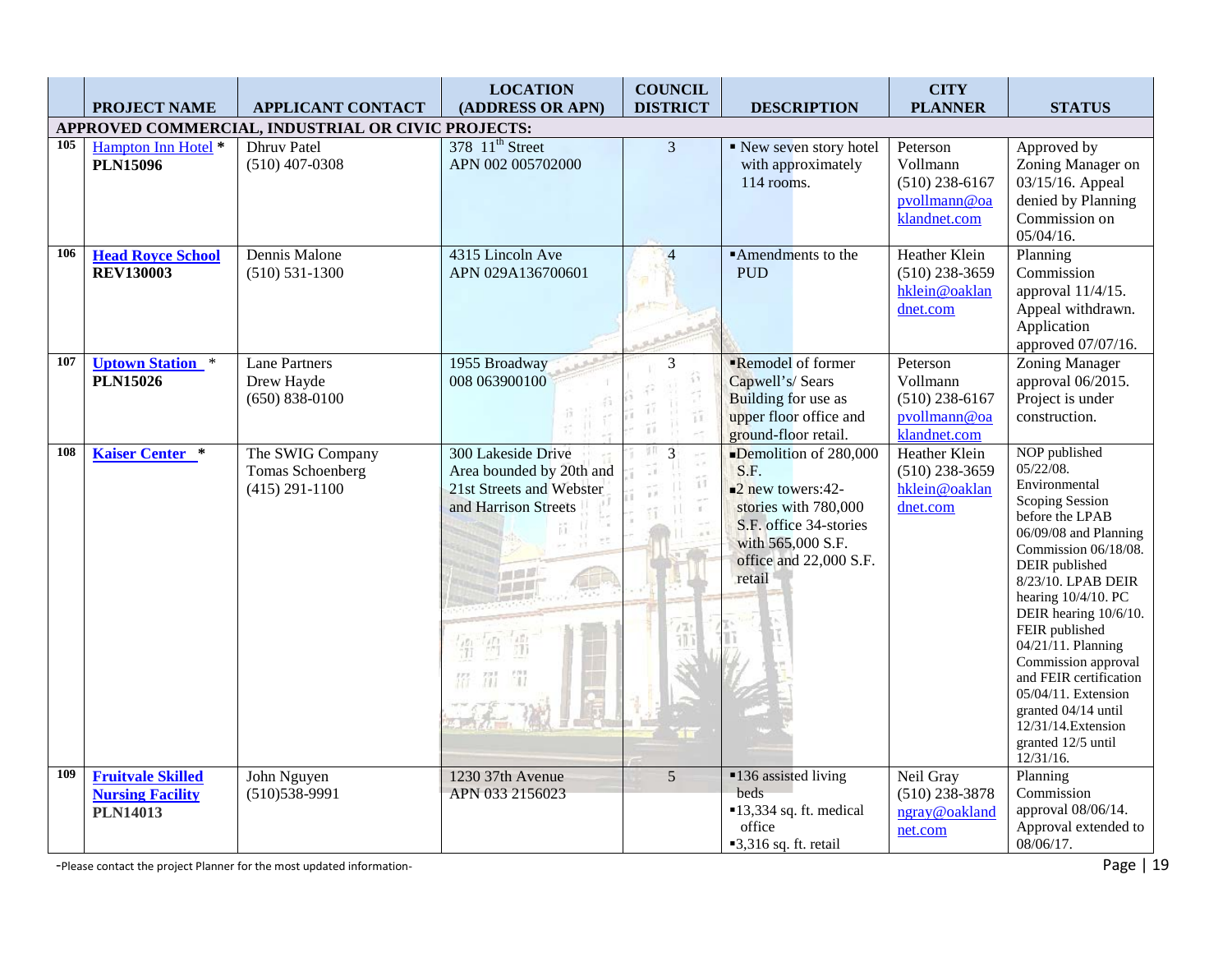|     | <b>PROJECT NAME</b>                                                    | <b>APPLICANT CONTACT</b>                                   | <b>LOCATION</b><br>(ADDRESS OR APN)                                                                | <b>COUNCIL</b><br><b>DISTRICT</b> | <b>DESCRIPTION</b>                                                                                                                                                            | <b>CITY</b><br><b>PLANNER</b>                                            | <b>STATUS</b>                                                                                                                                                                                                                                                                                                                                                                                                                           |
|-----|------------------------------------------------------------------------|------------------------------------------------------------|----------------------------------------------------------------------------------------------------|-----------------------------------|-------------------------------------------------------------------------------------------------------------------------------------------------------------------------------|--------------------------------------------------------------------------|-----------------------------------------------------------------------------------------------------------------------------------------------------------------------------------------------------------------------------------------------------------------------------------------------------------------------------------------------------------------------------------------------------------------------------------------|
|     |                                                                        | APPROVED COMMERCIAL, INDUSTRIAL OR CIVIC PROJECTS:         |                                                                                                    |                                   |                                                                                                                                                                               |                                                                          |                                                                                                                                                                                                                                                                                                                                                                                                                                         |
| 105 | Hampton Inn Hotel *<br><b>PLN15096</b>                                 | <b>Dhruv</b> Patel<br>$(510)$ 407-0308                     | 378 11 <sup>th</sup> Street<br>APN 002 005702000                                                   | $\overline{3}$                    | New seven story hotel<br>with approximately<br>114 rooms.                                                                                                                     | Peterson<br>Vollmann<br>$(510)$ 238-6167<br>pvollmann@oa<br>klandnet.com | Approved by<br>Zoning Manager on<br>03/15/16. Appeal<br>denied by Planning<br>Commission on<br>$05/04/16$ .                                                                                                                                                                                                                                                                                                                             |
| 106 | <b>Head Royce School</b><br><b>REV130003</b>                           | Dennis Malone<br>$(510) 531 - 1300$                        | 4315 Lincoln Ave<br>APN 029A136700601                                                              | $\overline{4}$                    | ■Amendments to the<br><b>PUD</b>                                                                                                                                              | Heather Klein<br>$(510)$ 238-3659<br>hklein@oaklan<br>dnet.com           | Planning<br>Commission<br>approval 11/4/15.<br>Appeal withdrawn.<br>Application<br>approved 07/07/16.                                                                                                                                                                                                                                                                                                                                   |
| 107 | <b>Uptown Station</b><br>$\ast$<br><b>PLN15026</b>                     | <b>Lane Partners</b><br>Drew Hayde<br>$(650) 838 - 0100$   | 1955 Broadway<br>008 063900100                                                                     | 3<br>ň                            | Remodel of former<br>Capwell's/Sears<br><b>Building for use as</b><br>upper floor office and<br>ground-floor retail.                                                          | Peterson<br>Vollmann<br>$(510)$ 238-6167<br>pvollmann@oa<br>klandnet.com | <b>Zoning Manager</b><br>approval 06/2015.<br>Project is under<br>construction.                                                                                                                                                                                                                                                                                                                                                         |
| 108 | <b>Kaiser Center</b> *                                                 | The SWIG Company<br>Tomas Schoenberg<br>$(415) 291 - 1100$ | 300 Lakeside Drive<br>Area bounded by 20th and<br>21st Streets and Webster<br>and Harrison Streets | $\overline{3}$<br>y fi            | Demolition of $280,000$<br>S.F.<br>$\blacksquare$ 2 new towers:42-<br>stories with 780,000<br>S.F. office 34-stories<br>with 565,000 S.F.<br>office and 22,000 S.F.<br>retail | Heather Klein<br>$(510)$ 238-3659<br>hklein@oaklan<br>dnet.com           | NOP published<br>05/22/08.<br>Environmental<br><b>Scoping Session</b><br>before the LPAB<br>06/09/08 and Planning<br>Commission 06/18/08.<br>DEIR published<br>8/23/10. LPAB DEIR<br>hearing 10/4/10. PC<br>DEIR hearing 10/6/10.<br>FEIR published<br>04/21/11. Planning<br>Commission approval<br>and FEIR certification<br>05/04/11. Extension<br>granted $04/14$ until<br>12/31/14. Extension<br>granted 12/5 until<br>$12/31/16$ . |
| 109 | <b>Fruitvale Skilled</b><br><b>Nursing Facility</b><br><b>PLN14013</b> | John Nguyen<br>$(510)538-9991$                             | 1230 37th Avenue<br>APN 033 2156023                                                                | 5                                 | ■136 assisted living<br>beds<br>$\blacksquare$ 13,334 sq. ft. medical<br>office<br>$\blacksquare$ 3,316 sq. ft. retail                                                        | Neil Gray<br>$(510)$ 238-3878<br>ngray@oakland<br>net.com                | Planning<br>Commission<br>approval 08/06/14.<br>Approval extended to<br>08/06/17.                                                                                                                                                                                                                                                                                                                                                       |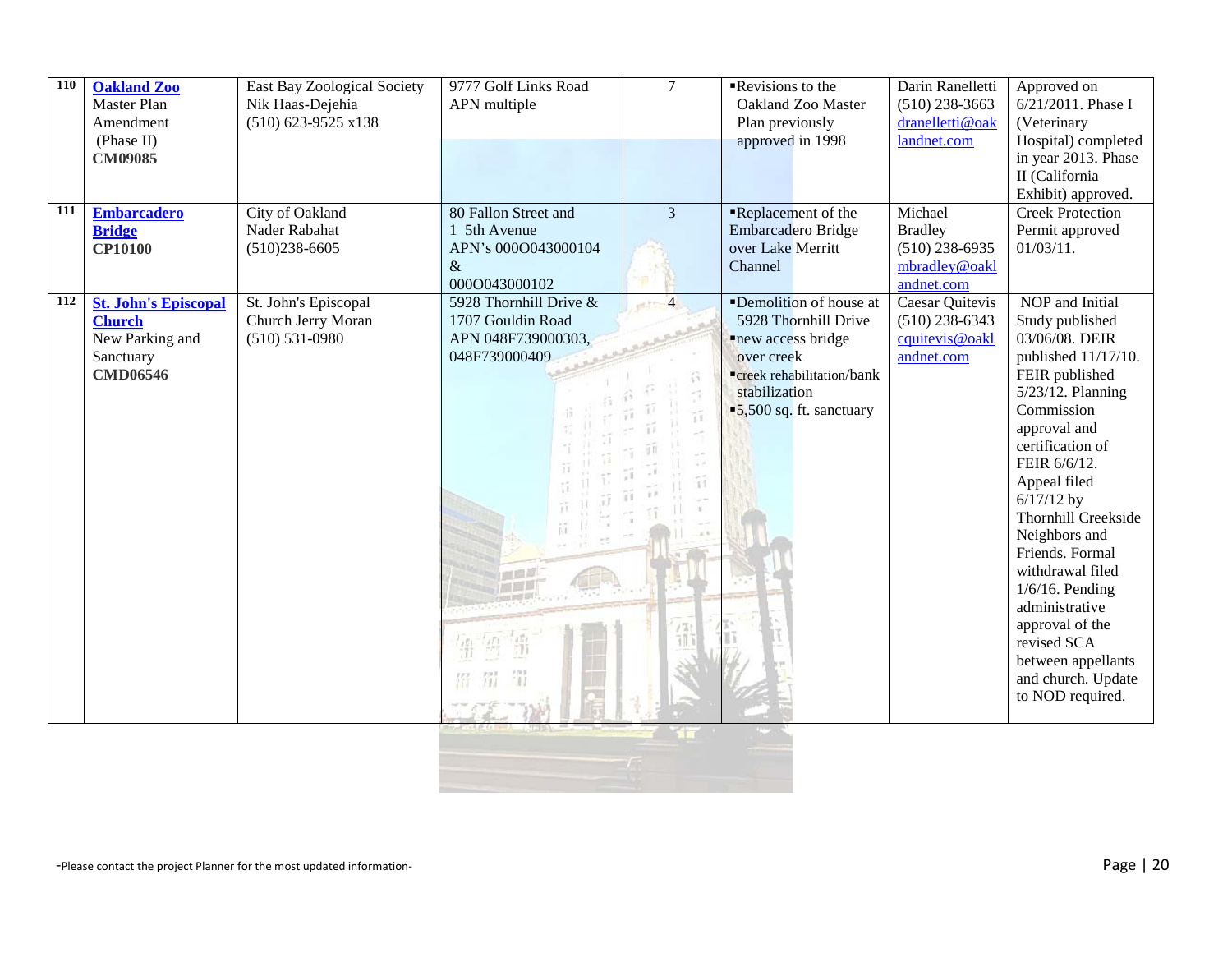| 110<br>111 | <b>Oakland Zoo</b><br>Master Plan<br>Amendment<br>(Phase II)<br>CM09085                         | <b>East Bay Zoological Society</b><br>Nik Haas-Dejehia<br>$(510)$ 623-9525 x138 | 9777 Golf Links Road<br>APN multiple                                               | $\overline{7}$      | Revisions to the<br>Oakland Zoo Master<br>Plan previously<br>approved in 1998                                                                                                     | Darin Ranelletti<br>$(510)$ 238-3663<br>dranelletti@oak<br>landnet.com       | Approved on<br>6/21/2011. Phase I<br>(Veterinary<br>Hospital) completed<br>in year 2013. Phase<br>II (California<br>Exhibit) approved.                                                                                                                                                                                                                                                                                                        |
|------------|-------------------------------------------------------------------------------------------------|---------------------------------------------------------------------------------|------------------------------------------------------------------------------------|---------------------|-----------------------------------------------------------------------------------------------------------------------------------------------------------------------------------|------------------------------------------------------------------------------|-----------------------------------------------------------------------------------------------------------------------------------------------------------------------------------------------------------------------------------------------------------------------------------------------------------------------------------------------------------------------------------------------------------------------------------------------|
|            | <b>Embarcadero</b><br><b>Bridge</b><br><b>CP10100</b>                                           | City of Oakland<br>Nader Rabahat<br>$(510)238-6605$                             | 80 Fallon Street and<br>1 5th Avenue<br>APN's 000O043000104<br>&<br>000O043000102  | $\overline{3}$      | Replacement of the<br>Embarcadero Bridge<br>over Lake Merritt<br>Channel                                                                                                          | Michael<br><b>Bradley</b><br>$(510)$ 238-6935<br>mbradley@oakl<br>andnet.com | <b>Creek Protection</b><br>Permit approved<br>$01/03/11$ .                                                                                                                                                                                                                                                                                                                                                                                    |
| 112        | <b>St. John's Episcopal</b><br><b>Church</b><br>New Parking and<br>Sanctuary<br><b>CMD06546</b> | St. John's Episcopal<br>Church Jerry Moran<br>$(510) 531 - 0980$                | 5928 Thornhill Drive &<br>1707 Gouldin Road<br>APN 048F739000303,<br>048F739000409 | $\overline{4}$<br>ŭ | Demolition of house at<br>5928 Thornhill Drive<br>new access bridge<br>over creek<br><b>"creek rehabilitation/bank</b><br>stabilization<br>$\blacksquare$ 5,500 sq. ft. sanctuary | <b>Caesar Quitevis</b><br>$(510)$ 238-6343<br>cquitevis@oakl<br>andnet.com   | NOP and Initial<br>Study published<br>03/06/08. DEIR<br>published 11/17/10.<br>FEIR published<br>5/23/12. Planning<br>Commission<br>approval and<br>certification of<br>FEIR 6/6/12.<br>Appeal filed<br>$6/17/12$ by<br>Thornhill Creekside<br>Neighbors and<br>Friends. Formal<br>withdrawal filed<br>$1/6/16$ . Pending<br>administrative<br>approval of the<br>revised SCA<br>between appellants<br>and church. Update<br>to NOD required. |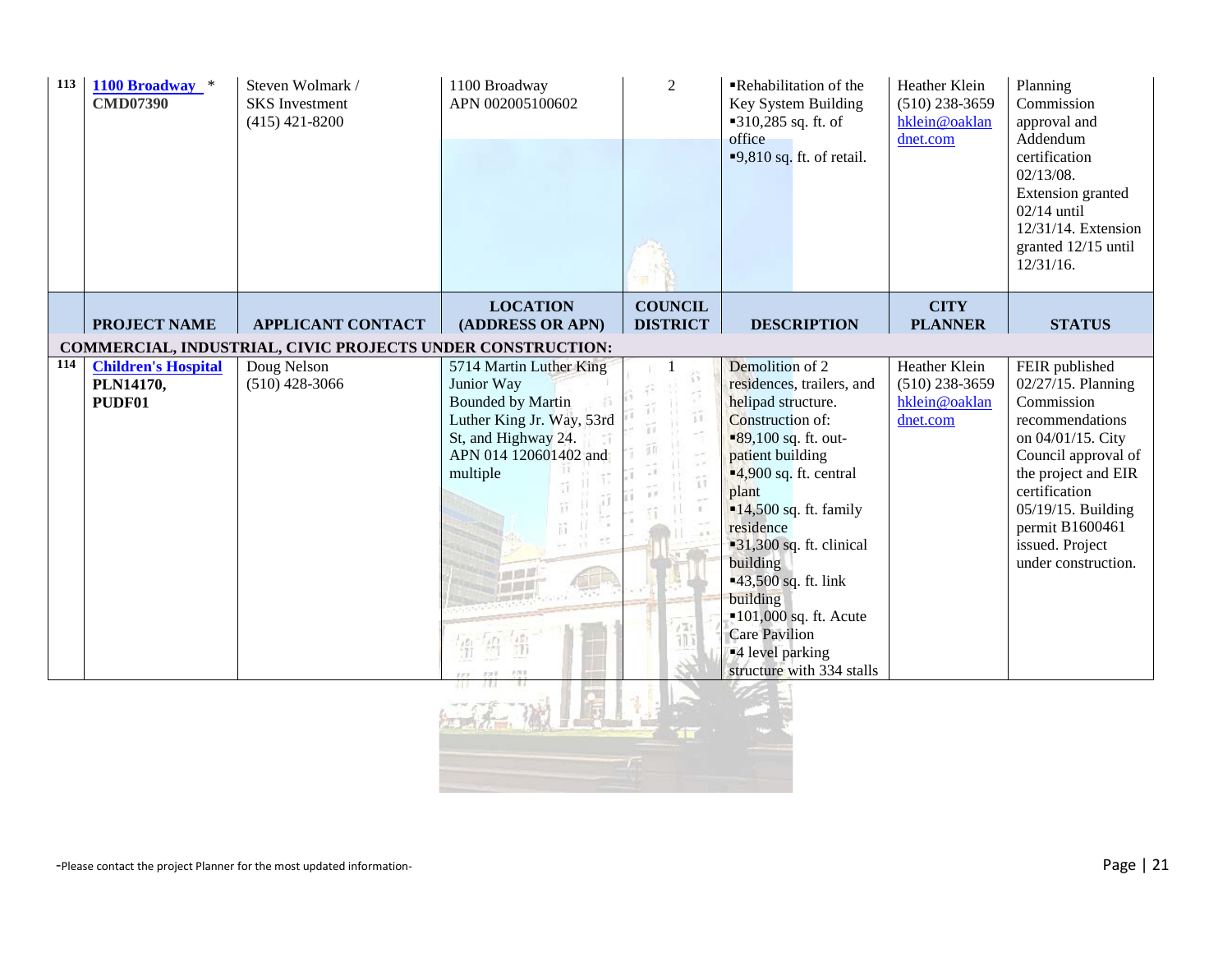| 113 | 1100 Broadway *<br><b>CMD07390</b> | Steven Wolmark /<br><b>SKS</b> Investment<br>$(415)$ 421-8200 | 1100 Broadway<br>APN 002005100602                | $\overline{2}$                    | Rehabilitation of the<br>Key System Building<br>$-310,285$ sq. ft. of<br>office<br>$\blacksquare$ 9,810 sq. ft. of retail. | Heather Klein<br>$(510)$ 238-3659<br>hklein@oaklan<br>dnet.com | Planning<br>Commission<br>approval and<br>Addendum<br>certification<br>$02/13/08$ .<br>Extension granted<br>$02/14$ until<br>12/31/14. Extension<br>granted 12/15 until<br>$12/31/16$ . |
|-----|------------------------------------|---------------------------------------------------------------|--------------------------------------------------|-----------------------------------|----------------------------------------------------------------------------------------------------------------------------|----------------------------------------------------------------|-----------------------------------------------------------------------------------------------------------------------------------------------------------------------------------------|
|     | <b>PROJECT NAME</b>                | <b>APPLICANT CONTACT</b>                                      | <b>LOCATION</b><br>(ADDRESS OR APN)              | <b>COUNCIL</b><br><b>DISTRICT</b> | <b>DESCRIPTION</b>                                                                                                         | <b>CITY</b><br><b>PLANNER</b>                                  | <b>STATUS</b>                                                                                                                                                                           |
|     |                                    | COMMERCIAL, INDUSTRIAL, CIVIC PROJECTS UNDER CONSTRUCTION:    |                                                  |                                   |                                                                                                                            |                                                                |                                                                                                                                                                                         |
| 114 | <b>Children's Hospital</b>         | Doug Nelson                                                   | 5714 Martin Luther King                          |                                   | Demolition of 2                                                                                                            | Heather Klein                                                  | FEIR published                                                                                                                                                                          |
|     | PLN14170,                          | $(510)$ 428-3066                                              | Junior Way                                       |                                   | residences, trailers, and                                                                                                  | $(510)$ 238-3659                                               | 02/27/15. Planning                                                                                                                                                                      |
|     | PUDF01                             |                                                               | <b>Bounded by Martin</b>                         | ŭ                                 | helipad structure.                                                                                                         | hklein@oaklan                                                  | Commission                                                                                                                                                                              |
|     |                                    |                                                               | Luther King Jr. Way, 53rd<br>St, and Highway 24. |                                   | Construction of:<br>$\blacksquare$ 89,100 sq. ft. out-                                                                     | dnet.com                                                       | recommendations<br>on 04/01/15. City                                                                                                                                                    |
|     |                                    |                                                               | APN 014 120601402 and                            |                                   | patient building                                                                                                           |                                                                | Council approval of                                                                                                                                                                     |
|     |                                    |                                                               | multiple                                         |                                   | $-4,900$ sq. ft. central                                                                                                   |                                                                | the project and EIR                                                                                                                                                                     |
|     |                                    |                                                               |                                                  | 33                                | plant                                                                                                                      |                                                                | certification                                                                                                                                                                           |
|     |                                    |                                                               |                                                  |                                   | $\blacksquare$ 14,500 sq. ft. family                                                                                       |                                                                | 05/19/15. Building                                                                                                                                                                      |
|     |                                    |                                                               |                                                  |                                   | residence                                                                                                                  |                                                                | permit B1600461<br>issued. Project                                                                                                                                                      |
|     |                                    |                                                               |                                                  |                                   | $-31,300$ sq. ft. clinical<br>building                                                                                     |                                                                | under construction.                                                                                                                                                                     |
|     |                                    |                                                               |                                                  |                                   | ■43,500 sq. ft. link                                                                                                       |                                                                |                                                                                                                                                                                         |
|     |                                    |                                                               |                                                  |                                   | building                                                                                                                   |                                                                |                                                                                                                                                                                         |
|     |                                    |                                                               |                                                  |                                   | $-101,000$ sq. ft. Acute                                                                                                   |                                                                |                                                                                                                                                                                         |
|     |                                    |                                                               |                                                  |                                   | <b>Care Pavilion</b><br><sup>4</sup> level parking                                                                         |                                                                |                                                                                                                                                                                         |
|     |                                    |                                                               |                                                  |                                   | structure with 334 stalls                                                                                                  |                                                                |                                                                                                                                                                                         |
|     |                                    |                                                               |                                                  |                                   |                                                                                                                            |                                                                |                                                                                                                                                                                         |
|     |                                    |                                                               |                                                  |                                   |                                                                                                                            |                                                                |                                                                                                                                                                                         |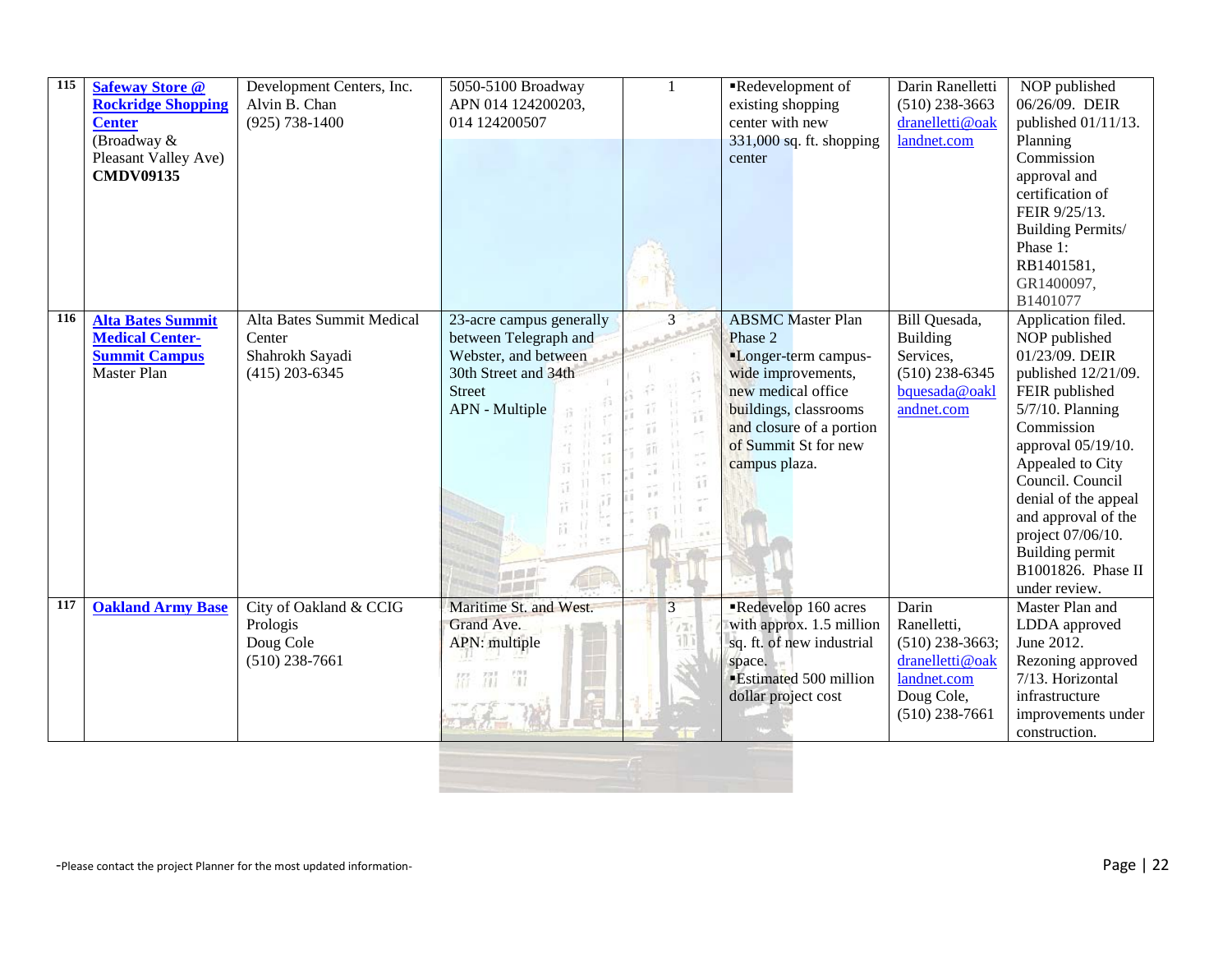| 115 | <b>Safeway Store @</b><br><b>Rockridge Shopping</b><br><b>Center</b><br>(Broadway &<br>Pleasant Valley Ave)<br><b>CMDV09135</b> | Development Centers, Inc.<br>Alvin B. Chan<br>$(925) 738 - 1400$           | 5050-5100 Broadway<br>APN 014 124200203,<br>014 124200507                                                                            | 1           | Redevelopment of<br>existing shopping<br>center with new<br>331,000 sq. ft. shopping<br>center                                                                                                        | Darin Ranelletti<br>$(510)$ 238-3663<br>dranelletti@oak<br>landnet.com                                        | NOP published<br>06/26/09. DEIR<br>published 01/11/13.<br>Planning<br>Commission<br>approval and<br>certification of<br>FEIR 9/25/13.<br>Building Permits/<br>Phase 1:<br>RB1401581,<br>GR1400097,<br>B1401077                                                                                                               |
|-----|---------------------------------------------------------------------------------------------------------------------------------|----------------------------------------------------------------------------|--------------------------------------------------------------------------------------------------------------------------------------|-------------|-------------------------------------------------------------------------------------------------------------------------------------------------------------------------------------------------------|---------------------------------------------------------------------------------------------------------------|------------------------------------------------------------------------------------------------------------------------------------------------------------------------------------------------------------------------------------------------------------------------------------------------------------------------------|
| 116 | <b>Alta Bates Summit</b><br><b>Medical Center-</b><br><b>Summit Campus</b><br><b>Master Plan</b>                                | Alta Bates Summit Medical<br>Center<br>Shahrokh Sayadi<br>$(415)$ 203-6345 | 23-acre campus generally<br>between Telegraph and<br>Webster, and between<br>30th Street and 34th<br><b>Street</b><br>APN - Multiple | 3<br>谷<br>ū | <b>ABSMC</b> Master Plan<br>Phase 2<br>"Longer-term campus-<br>wide improvements,<br>new medical office<br>buildings, classrooms<br>and closure of a portion<br>of Summit St for new<br>campus plaza. | Bill Quesada,<br><b>Building</b><br>Services,<br>$(510)$ 238-6345<br>bquesada@oakl<br>andnet.com              | Application filed.<br>NOP published<br>01/23/09. DEIR<br>published 12/21/09.<br>FEIR published<br>5/7/10. Planning<br>Commission<br>approval 05/19/10.<br>Appealed to City<br>Council. Council<br>denial of the appeal<br>and approval of the<br>project 07/06/10.<br>Building permit<br>B1001826. Phase II<br>under review. |
| 117 | <b>Oakland Army Base</b>                                                                                                        | City of Oakland & CCIG<br>Prologis<br>Doug Cole<br>$(510)$ 238-7661        | Maritime St. and West.<br>Grand Ave.<br>APN: multiple                                                                                | 3           | Redevelop 160 acres<br>with approx. 1.5 million<br>sq. ft. of new industrial<br>space.<br><b>Estimated 500 million</b><br>dollar project cost                                                         | Darin<br>Ranelletti,<br>$(510)$ 238-3663;<br>dranelletti@oak<br>landnet.com<br>Doug Cole,<br>$(510)$ 238-7661 | Master Plan and<br>LDDA approved<br>June 2012.<br>Rezoning approved<br>7/13. Horizontal<br>infrastructure<br>improvements under<br>construction.                                                                                                                                                                             |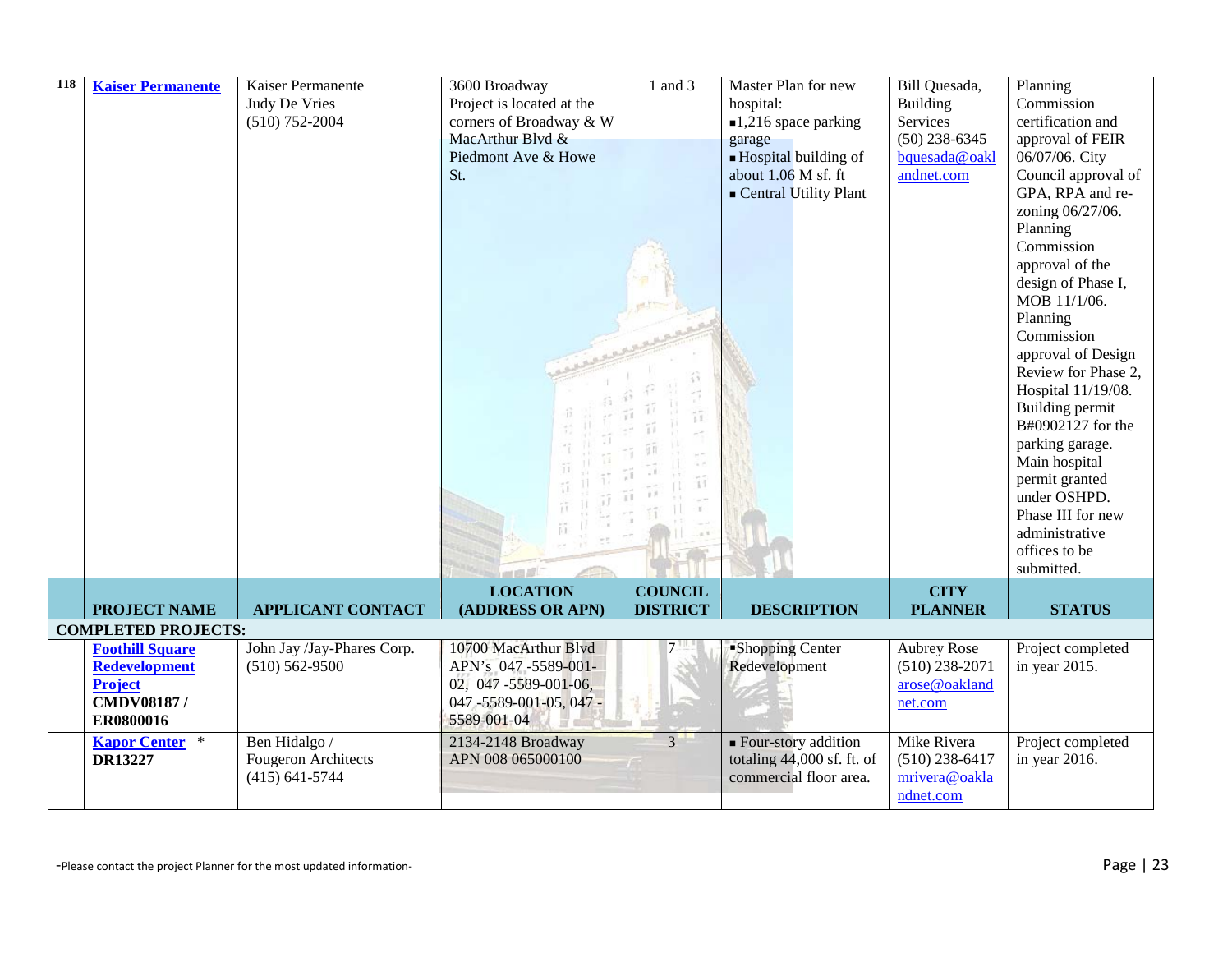| 118 | <b>Kaiser Permanente</b>                             | Kaiser Permanente<br>Judy De Vries<br>$(510)$ 752-2004 | 3600 Broadway<br>Project is located at the<br>corners of Broadway & W<br>MacArthur Blvd &<br>Piedmont Ave & Howe<br>St. | 1 and 3         | Master Plan for new<br>hospital:<br>$\blacksquare$ 1,216 space parking<br>garage<br>$\blacksquare$ Hospital building of<br>about 1.06 M sf. ft<br>Central Utility Plant | Bill Quesada,<br>Building<br>Services<br>$(50)$ 238-6345<br>bquesada@oakl<br>andnet.com | Planning<br>Commission<br>certification and<br>approval of FEIR<br>06/07/06. City<br>Council approval of<br>GPA, RPA and re-<br>zoning 06/27/06.<br>Planning<br>Commission<br>approval of the<br>design of Phase I,<br>MOB 11/1/06.<br>Planning<br>Commission<br>approval of Design<br>Review for Phase 2,<br>Hospital 11/19/08.<br>Building permit<br>B#0902127 for the<br>parking garage.<br>Main hospital<br>permit granted<br>under OSHPD.<br>Phase III for new<br>administrative<br>offices to be<br>submitted. |
|-----|------------------------------------------------------|--------------------------------------------------------|-------------------------------------------------------------------------------------------------------------------------|-----------------|-------------------------------------------------------------------------------------------------------------------------------------------------------------------------|-----------------------------------------------------------------------------------------|----------------------------------------------------------------------------------------------------------------------------------------------------------------------------------------------------------------------------------------------------------------------------------------------------------------------------------------------------------------------------------------------------------------------------------------------------------------------------------------------------------------------|
|     |                                                      |                                                        | <b>LOCATION</b>                                                                                                         | <b>COUNCIL</b>  |                                                                                                                                                                         | <b>CITY</b>                                                                             |                                                                                                                                                                                                                                                                                                                                                                                                                                                                                                                      |
|     | <b>PROJECT NAME</b>                                  | <b>APPLICANT CONTACT</b>                               | (ADDRESS OR APN)                                                                                                        | <b>DISTRICT</b> | <b>DESCRIPTION</b>                                                                                                                                                      | <b>PLANNER</b>                                                                          | <b>STATUS</b>                                                                                                                                                                                                                                                                                                                                                                                                                                                                                                        |
|     | <b>COMPLETED PROJECTS:</b><br><b>Foothill Square</b> | John Jay /Jay-Phares Corp.                             | 10700 MacArthur Blvd                                                                                                    |                 | "Shopping Center                                                                                                                                                        | <b>Aubrey Rose</b>                                                                      | Project completed                                                                                                                                                                                                                                                                                                                                                                                                                                                                                                    |
|     | <b>Redevelopment</b>                                 | $(510) 562 - 9500$                                     | APN's 047-5589-001-                                                                                                     |                 | Redevelopment                                                                                                                                                           | $(510)$ 238-2071                                                                        | in year 2015.                                                                                                                                                                                                                                                                                                                                                                                                                                                                                                        |
|     | <b>Project</b>                                       |                                                        | 02, 047-5589-001-06,                                                                                                    |                 |                                                                                                                                                                         | arose@oakland                                                                           |                                                                                                                                                                                                                                                                                                                                                                                                                                                                                                                      |
|     | CMDV08187/                                           |                                                        | 047-5589-001-05, 047-                                                                                                   |                 |                                                                                                                                                                         | net.com                                                                                 |                                                                                                                                                                                                                                                                                                                                                                                                                                                                                                                      |
|     | ER0800016                                            |                                                        | 5589-001-04                                                                                                             |                 |                                                                                                                                                                         |                                                                                         |                                                                                                                                                                                                                                                                                                                                                                                                                                                                                                                      |
|     | <b>Kapor Center</b> *<br>DR13227                     | Ben Hidalgo /<br><b>Fougeron Architects</b>            | 2134-2148 Broadway<br>APN 008 065000100                                                                                 | $\overline{3}$  | ■ Four-story addition<br>totaling $44,000$ sf. ft. of                                                                                                                   | Mike Rivera<br>$(510)$ 238-6417                                                         | Project completed                                                                                                                                                                                                                                                                                                                                                                                                                                                                                                    |
|     |                                                      | $(415) 641 - 5744$                                     |                                                                                                                         |                 | commercial floor area.                                                                                                                                                  | mrivera@oakla                                                                           | in year 2016.                                                                                                                                                                                                                                                                                                                                                                                                                                                                                                        |
|     |                                                      |                                                        |                                                                                                                         |                 |                                                                                                                                                                         | ndnet.com                                                                               |                                                                                                                                                                                                                                                                                                                                                                                                                                                                                                                      |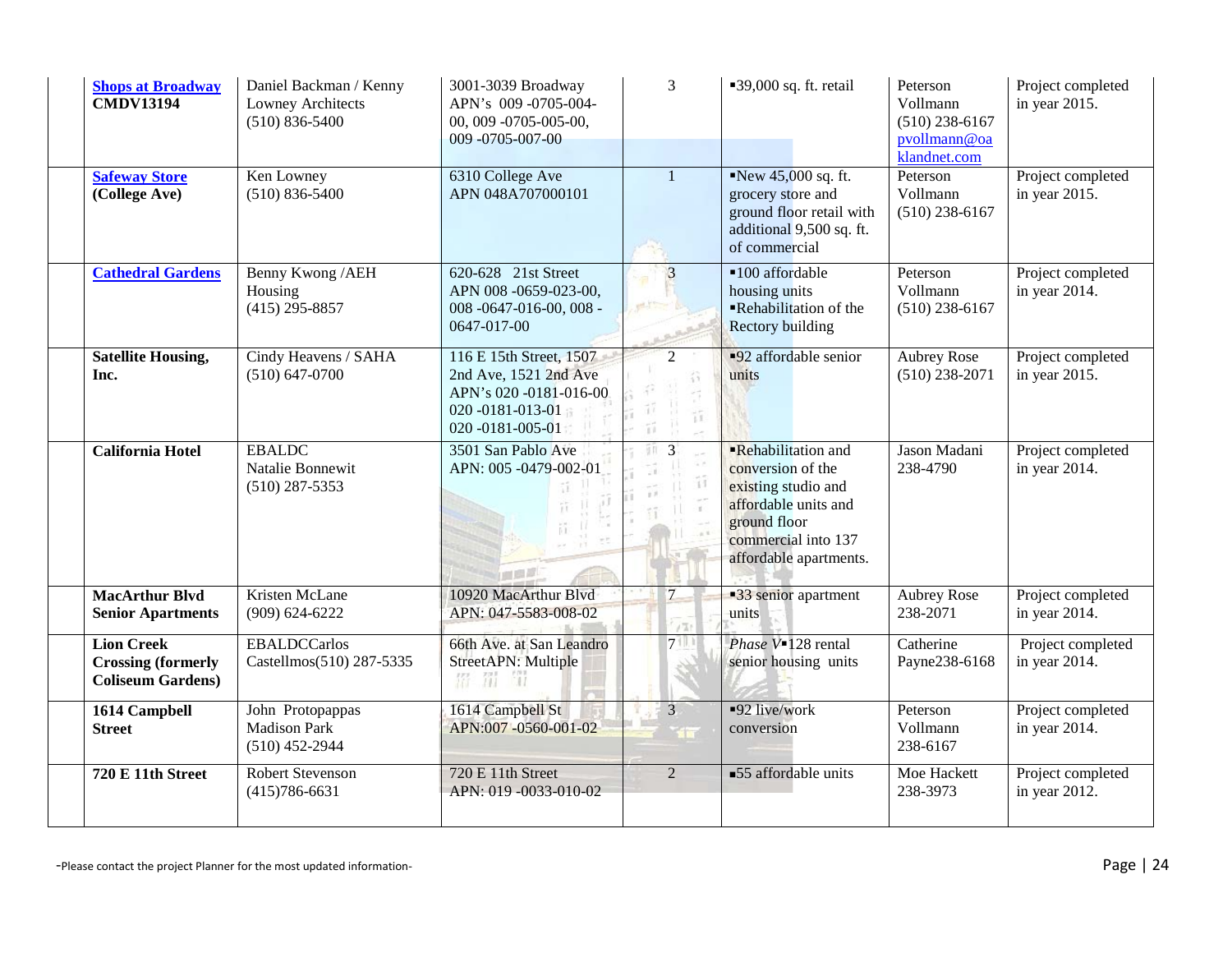| <b>Shops at Broadway</b><br><b>CMDV13194</b>                               | Daniel Backman / Kenny<br>Lowney Architects<br>$(510) 836 - 5400$ | 3001-3039 Broadway<br>APN's 009-0705-004-<br>00, 009 -0705-005-00,<br>009-0705-007-00                              | 3                                            | ■39,000 sq. ft. retail                                                                                                                                  | Peterson<br>Vollmann<br>$(510)$ 238-6167<br>pvollmann@oa<br>klandnet.com | Project completed<br>in year 2015. |
|----------------------------------------------------------------------------|-------------------------------------------------------------------|--------------------------------------------------------------------------------------------------------------------|----------------------------------------------|---------------------------------------------------------------------------------------------------------------------------------------------------------|--------------------------------------------------------------------------|------------------------------------|
| <b>Safeway Store</b><br>(College Ave)                                      | Ken Lowney<br>$(510) 836 - 5400$                                  | 6310 College Ave<br>APN 048A707000101                                                                              | $\mathbf{1}$                                 | New 45,000 sq. ft.<br>grocery store and<br>ground floor retail with<br>additional 9,500 sq. ft.<br>of commercial                                        | Peterson<br>Vollmann<br>$(510)$ 238-6167                                 | Project completed<br>in year 2015. |
| <b>Cathedral Gardens</b>                                                   | Benny Kwong / AEH<br>Housing<br>$(415)$ 295-8857                  | 620-628 21st Street<br>APN 008 -0659-023-00,<br>008 -0647-016-00, 008 -<br>0647-017-00                             | $\overline{3}$<br>e4.f                       | ■100 affordable<br>housing units<br>Rehabilitation of the<br><b>Rectory building</b>                                                                    | Peterson<br>Vollmann<br>$(510)$ 238-6167                                 | Project completed<br>in year 2014. |
| <b>Satellite Housing,</b><br>Inc.                                          | Cindy Heavens / SAHA<br>$(510) 647 - 0700$                        | 116 E 15th Street, 1507<br>2nd Ave, 1521 2nd Ave<br>APN's 020 -0181-016-00<br>020 -0181-013-01<br>020 -0181-005-01 | $\mathcal{D}$<br>$\tilde{\mathbb{1}}$<br>ïï. | <b>-92</b> affordable senior<br>units                                                                                                                   | <b>Aubrey Rose</b><br>$(510)$ 238-2071                                   | Project completed<br>in year 2015. |
| <b>California Hotel</b>                                                    | <b>EBALDC</b><br>Natalie Bonnewit<br>$(510)$ 287-5353             | 3501 San Pablo Ave<br>APN: 005 -0479-002-01<br>画面是                                                                 | $\overline{3}$<br>äπ<br>îî                   | Rehabilitation and<br>conversion of the<br>existing studio and<br>affordable units and<br>ground floor<br>commercial into 137<br>affordable apartments. | Jason Madani<br>238-4790                                                 | Project completed<br>in year 2014. |
| <b>MacArthur Blvd</b><br><b>Senior Apartments</b>                          | Kristen McLane<br>$(909) 624 - 6222$                              | 10920 MacArthur Blvd<br>APN: 047-5583-008-02                                                                       | $\overline{7}$                               | •33 senior apartment<br>units                                                                                                                           | <b>Aubrey Rose</b><br>238-2071                                           | Project completed<br>in year 2014. |
| <b>Lion Creek</b><br><b>Crossing (formerly</b><br><b>Coliseum Gardens)</b> | <b>EBALDCCarlos</b><br>Castellmos(510) 287-5335                   | 66th Ave. at San Leandro<br>StreetAPN: Multiple<br>猫的<br>招                                                         | $7^{\circ}$                                  | Phase V=128 rental<br>senior housing units                                                                                                              | Catherine<br>Payne238-6168                                               | Project completed<br>in year 2014. |
| 1614 Campbell<br><b>Street</b>                                             | John Protopappas<br><b>Madison Park</b><br>$(510)$ 452-2944       | 1614 Campbell St<br>APN:007-0560-001-02                                                                            | $\overline{3}$<br><b>STEP</b>                | ■92 live/work<br>conversion                                                                                                                             | Peterson<br>Vollmann<br>238-6167                                         | Project completed<br>in year 2014. |
| 720 E 11th Street                                                          | <b>Robert Stevenson</b><br>$(415)786-6631$                        | 720 E 11th Street<br>APN: 019 -0033-010-02                                                                         | $\overline{2}$                               | <b>55</b> affordable units                                                                                                                              | Moe Hackett<br>238-3973                                                  | Project completed<br>in year 2012. |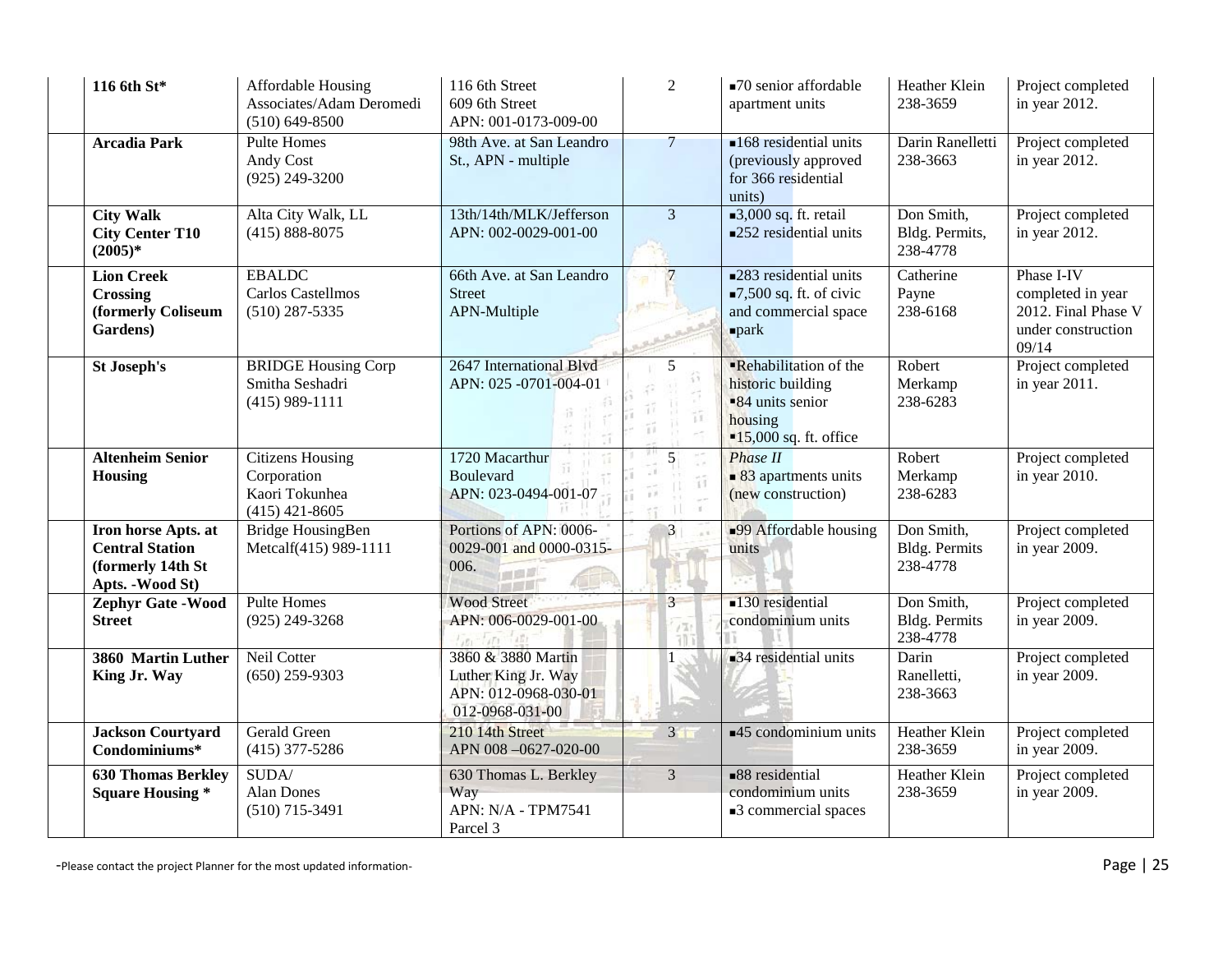| 116 6th St*                                                                             | Affordable Housing<br>Associates/Adam Deromedi<br>$(510) 649 - 8500$         | 116 6th Street<br>609 6th Street<br>APN: 001-0173-009-00                             | $\overline{2}$            | ■70 senior affordable<br>apartment units                                                                                 | Heather Klein<br>238-3659                      | Project completed<br>in year 2012.                                                    |
|-----------------------------------------------------------------------------------------|------------------------------------------------------------------------------|--------------------------------------------------------------------------------------|---------------------------|--------------------------------------------------------------------------------------------------------------------------|------------------------------------------------|---------------------------------------------------------------------------------------|
| <b>Arcadia Park</b>                                                                     | <b>Pulte Homes</b><br>Andy Cost<br>$(925)$ 249-3200                          | 98th Ave. at San Leandro<br>St., APN - multiple                                      | $\overline{7}$            | $\blacksquare$ 168 residential units<br>(previously approved<br>for 366 residential<br>units)                            | Darin Ranelletti<br>238-3663                   | Project completed<br>in year 2012.                                                    |
| <b>City Walk</b><br><b>City Center T10</b><br>$(2005)*$                                 | Alta City Walk, LL<br>$(415) 888 - 8075$                                     | 13th/14th/MLK/Jefferson<br>APN: 002-0029-001-00                                      | $\overline{3}$            | $\Box$ 3,000 sq. ft. retail<br>■252 residential units                                                                    | Don Smith,<br>Bldg. Permits,<br>238-4778       | Project completed<br>in year 2012.                                                    |
| <b>Lion Creek</b><br><b>Crossing</b><br>(formerly Coliseum<br>Gardens)                  | <b>EBALDC</b><br>Carlos Castellmos<br>$(510)$ 287-5335                       | 66th Ave. at San Leandro<br><b>Street</b><br>APN-Multiple                            | $\overline{7}$<br>et t'   | <b>283</b> residential units<br>$\blacksquare$ 7,500 sq. ft. of civic<br>and commercial space<br>$\blacksquare$ park     | Catherine<br>Payne<br>238-6168                 | Phase I-IV<br>completed in year<br>2012. Final Phase V<br>under construction<br>09/14 |
| St Joseph's                                                                             | <b>BRIDGE Housing Corp</b><br>Smitha Seshadri<br>$(415)$ 989-1111            | 2647 International Blvd<br>APN: 025 -0701-004-01                                     | 5<br>îî                   | <b>Rehabilitation of the</b><br>historic building<br>•84 units senior<br>housing<br>$\blacksquare$ 15,000 sq. ft. office | Robert<br>Merkamp<br>238-6283                  | Project completed<br>in year 2011.                                                    |
| <b>Altenheim Senior</b><br><b>Housing</b>                                               | <b>Citizens Housing</b><br>Corporation<br>Kaori Tokunhea<br>$(415)$ 421-8605 | 1720 Macarthur<br><b>Boulevard</b><br>APN: 023-0494-001-07                           | 5<br>33<br>$\mathbb{R}^2$ | <b>Phase II</b><br>$\blacksquare$ 83 apartments units<br>(new construction)                                              | Robert<br>Merkamp<br>238-6283                  | Project completed<br>in year 2010.                                                    |
| Iron horse Apts. at<br><b>Central Station</b><br>(formerly 14th St)<br>Apts. - Wood St) | Bridge HousingBen<br>Metcalf(415) 989-1111                                   | Portions of APN: 0006-<br>0029-001 and 0000-0315-<br>006.                            | $\mathbf{3}$              | <b>99 Affordable housing</b><br>units                                                                                    | Don Smith,<br><b>Bldg. Permits</b><br>238-4778 | Project completed<br>in year 2009.                                                    |
| Zephyr Gate - Wood<br><b>Street</b>                                                     | <b>Pulte Homes</b><br>$(925)$ 249-3268                                       | <b>Wood Street</b><br>APN: 006-0029-001-00<br>$\frac{1}{2}$                          | $\overline{3}$<br>/Tr     | $\blacksquare$ 130 residential<br>condominium units                                                                      | Don Smith,<br><b>Bldg. Permits</b><br>238-4778 | Project completed<br>in year 2009.                                                    |
| 3860 Martin Luther<br>King Jr. Way                                                      | Neil Cotter<br>$(650)$ 259-9303                                              | 3860 & 3880 Martin<br>Luther King Jr. Way<br>APN: 012-0968-030-01<br>012-0968-031-00 |                           | 34 residential units                                                                                                     | Darin<br>Ranelletti,<br>238-3663               | Project completed<br>in year 2009.                                                    |
| <b>Jackson Courtyard</b><br>Condominiums*                                               | Gerald Green<br>$(415)$ 377-5286                                             | 210 14th Street<br>APN 008-0627-020-00                                               | 3 <sup>2</sup>            | $\blacktriangleleft$ 45 condominium units                                                                                | Heather Klein<br>238-3659                      | Project completed<br>in year 2009.                                                    |
| <b>630 Thomas Berkley</b><br><b>Square Housing *</b>                                    | SUDA/<br><b>Alan Dones</b><br>$(510)$ 715-3491                               | 630 Thomas L. Berkley<br>Way<br>APN: N/A - TPM7541<br>Parcel 3                       | $\overline{3}$            | $\blacksquare$ 88 residential<br>condominium units<br>3 commercial spaces                                                | Heather Klein<br>238-3659                      | Project completed<br>in year 2009.                                                    |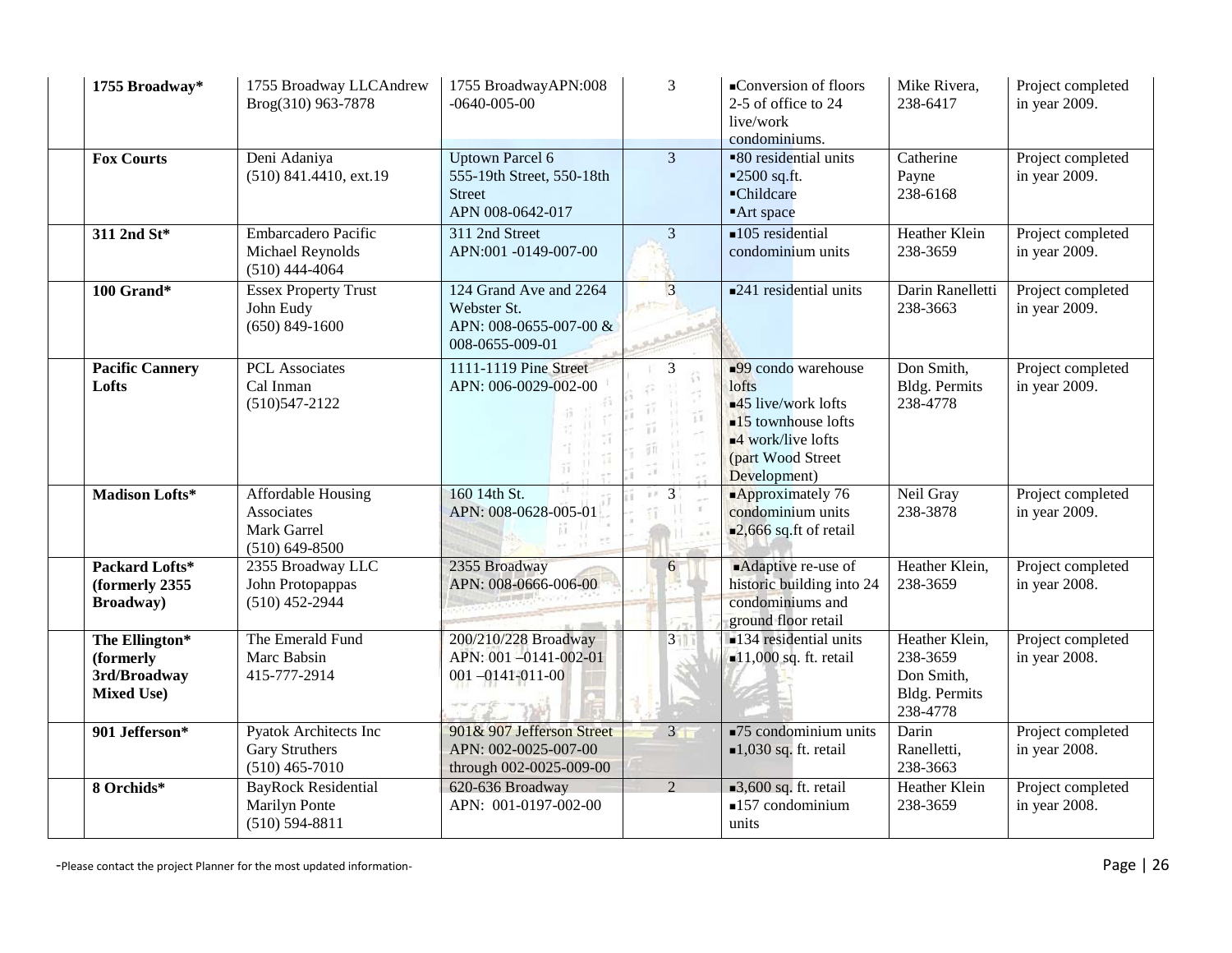| 1755 Broadway*                                                   | 1755 Broadway LLCAndrew<br>Brog(310) 963-7878                             | 1755 BroadwayAPN:008<br>$-0640 - 005 - 00$                                               | $\overline{3}$                    | ■Conversion of floors<br>2-5 of office to 24<br>live/work<br>condominiums.                                                                                                             | Mike Rivera,<br>238-6417                                              | Project completed<br>in year 2009. |
|------------------------------------------------------------------|---------------------------------------------------------------------------|------------------------------------------------------------------------------------------|-----------------------------------|----------------------------------------------------------------------------------------------------------------------------------------------------------------------------------------|-----------------------------------------------------------------------|------------------------------------|
| <b>Fox Courts</b>                                                | Deni Adaniya<br>$(510)$ 841.4410, ext.19                                  | <b>Uptown Parcel 6</b><br>555-19th Street, 550-18th<br><b>Street</b><br>APN 008-0642-017 | $\overline{3}$                    | ■80 residential units<br>$=2500$ sq.ft.<br>-Childcare<br>■Art space                                                                                                                    | Catherine<br>Payne<br>238-6168                                        | Project completed<br>in year 2009. |
| 311 2nd St*                                                      | <b>Embarcadero Pacific</b><br>Michael Reynolds<br>$(510)$ 444-4064        | 311 2nd Street<br>APN:001 -0149-007-00                                                   | 3                                 | $\blacksquare$ 105 residential<br>condominium units                                                                                                                                    | Heather Klein<br>238-3659                                             | Project completed<br>in year 2009. |
| 100 Grand*                                                       | <b>Essex Property Trust</b><br>John Eudy<br>$(650) 849 - 1600$            | 124 Grand Ave and 2264<br>Webster St.<br>APN: 008-0655-007-00 &<br>008-0655-009-01       | $\overline{3}$<br>进上生             | $\blacksquare$ 241 residential units                                                                                                                                                   | Darin Ranelletti<br>238-3663                                          | Project completed<br>in year 2009. |
| <b>Pacific Cannery</b><br>Lofts                                  | <b>PCL</b> Associates<br>Cal Inman<br>$(510)547 - 2122$                   | 1111-1119 Pine Street<br>APN: 006-0029-002-00                                            | $\overline{3}$<br>îΪ<br>G e<br>85 | $\Box$ 99 condo warehouse<br>lofts<br>$\blacksquare$ 45 live/work lofts<br>$\blacksquare$ 15 townhouse lofts<br>$\blacksquare$ 4 work/live lofts<br>(part Wood Street)<br>Development) | Don Smith,<br>Bldg. Permits<br>238-4778                               | Project completed<br>in year 2009. |
| Madison Lofts*                                                   | Affordable Housing<br>Associates<br>Mark Garrel<br>$(510)$ 649-8500       | 160 14th St.<br>APN: 008-0628-005-01                                                     | 3<br>y'                           | $\blacksquare$ Approximately 76<br>condominium units<br>$\blacksquare$ 2,666 sq.ft of retail                                                                                           | Neil Gray<br>238-3878                                                 | Project completed<br>in year 2009. |
| Packard Lofts*<br>(formerly 2355<br><b>Broadway</b> )            | 2355 Broadway LLC<br>John Protopappas<br>$(510)$ 452-2944                 | 2355 Broadway<br>APN: 008-0666-006-00                                                    | 6                                 | <b>Adaptive re-use of</b><br>historic building into 24<br>condominiums and<br>ground floor retail                                                                                      | Heather Klein,<br>238-3659                                            | Project completed<br>in year 2008. |
| The Ellington*<br>(formerly<br>3rd/Broadway<br><b>Mixed Use)</b> | The Emerald Fund<br>Marc Babsin<br>415-777-2914                           | 200/210/228 Broadway<br>APN: 001-0141-002-01<br>$001 - 0141 - 011 - 00$                  | $3 - 1$                           | •134 residential units<br>$\blacksquare$ 11,000 sq. ft. retail                                                                                                                         | Heather Klein,<br>238-3659<br>Don Smith,<br>Bldg. Permits<br>238-4778 | Project completed<br>in year 2008. |
| 901 Jefferson*                                                   | <b>Pyatok Architects Inc</b><br><b>Gary Struthers</b><br>$(510)$ 465-7010 | 901& 907 Jefferson Street<br>APN: 002-0025-007-00<br>through 002-0025-009-00             | $3 -$                             | $\blacksquare$ 75 condominium units<br>$\blacksquare$ 1,030 sq. ft. retail                                                                                                             | Darin<br>Ranelletti,<br>238-3663                                      | Project completed<br>in year 2008. |
| 8 Orchids*                                                       | <b>BayRock Residential</b><br>Marilyn Ponte<br>$(510) 594 - 8811$         | 620-636 Broadway<br>APN: 001-0197-002-00                                                 | $\mathcal{D}_{\alpha}$            | $\Box$ 3,600 sq. ft. retail<br>$\blacksquare$ 157 condominium<br>units                                                                                                                 | Heather Klein<br>238-3659                                             | Project completed<br>in year 2008. |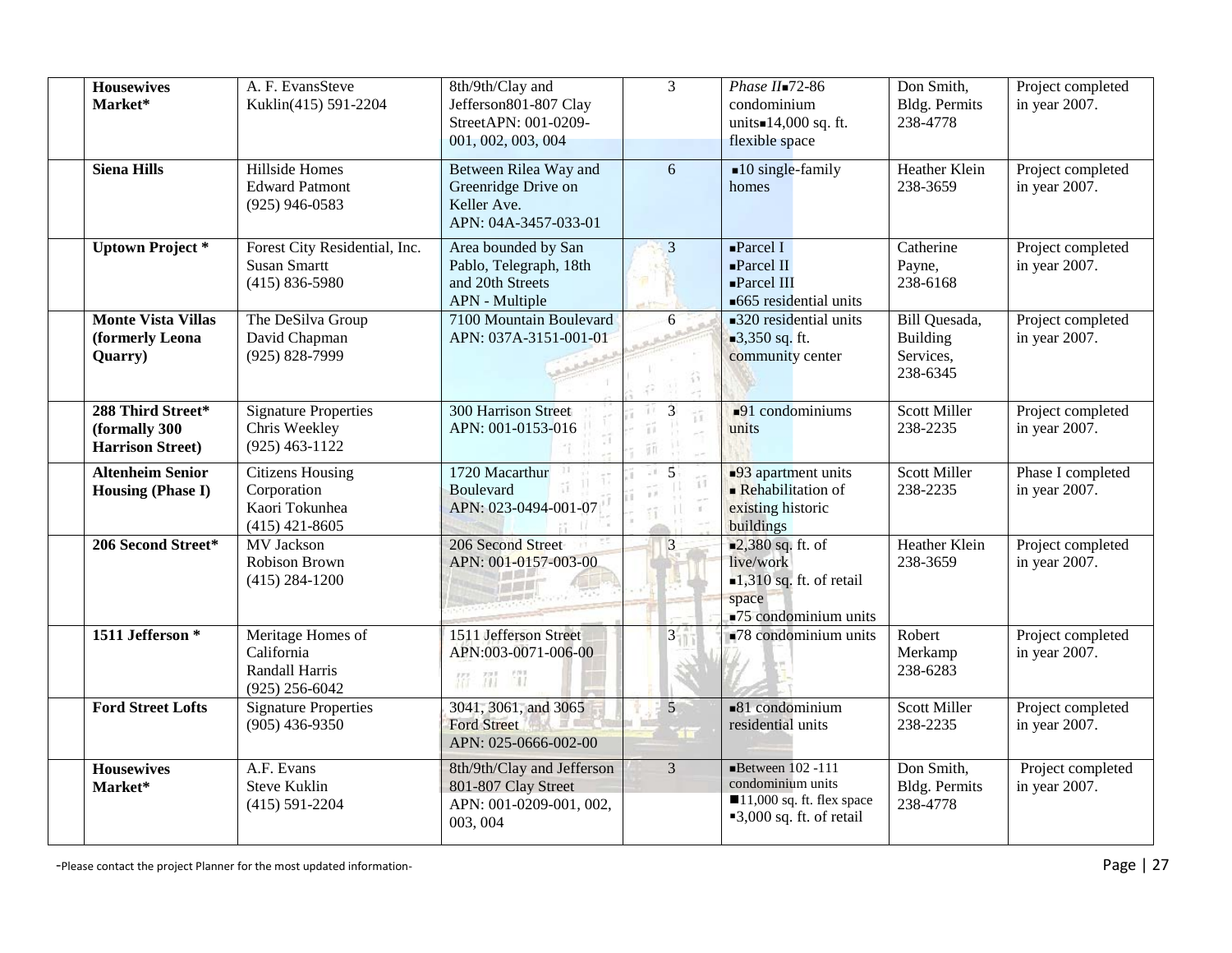| <b>Housewives</b><br>Market*                                  | A. F. EvansSteve<br>Kuklin(415) 591-2204                                     | 8th/9th/Clay and<br>Jefferson801-807 Clay<br>StreetAPN: 001-0209-<br>001, 002, 003, 004  | $\overline{3}$                                  | Phase $II$ =72-86<br>condominium<br>units=14,000 sq. ft.<br>flexible space                                                            | Don Smith,<br><b>Bldg. Permits</b><br>238-4778                    | Project completed<br>in year 2007. |
|---------------------------------------------------------------|------------------------------------------------------------------------------|------------------------------------------------------------------------------------------|-------------------------------------------------|---------------------------------------------------------------------------------------------------------------------------------------|-------------------------------------------------------------------|------------------------------------|
| <b>Siena Hills</b>                                            | Hillside Homes<br><b>Edward Patmont</b><br>$(925)$ 946-0583                  | Between Rilea Way and<br>Greenridge Drive on<br>Keller Ave.<br>APN: 04A-3457-033-01      | 6                                               | $\blacksquare$ 10 single-family<br>homes                                                                                              | Heather Klein<br>238-3659                                         | Project completed<br>in year 2007. |
| <b>Uptown Project*</b>                                        | Forest City Residential, Inc.<br><b>Susan Smartt</b><br>$(415) 836 - 5980$   | Area bounded by San<br>Pablo, Telegraph, 18th<br>and 20th Streets<br>APN - Multiple      | $\overline{3}$                                  | $\blacksquare$ Parcel I<br>$\blacksquare$ Parcel II<br>-Parcel III<br>■665 residential units                                          | Catherine<br>Payne,<br>238-6168                                   | Project completed<br>in year 2007. |
| <b>Monte Vista Villas</b><br>(formerly Leona<br>Quarry)       | The DeSilva Group<br>David Chapman<br>$(925) 828 - 7999$                     | 7100 Mountain Boulevard<br>APN: 037A-3151-001-01                                         | 6<br>谷                                          | ■320 residential units<br>■3,350 sq. ft.<br>community center                                                                          | <b>Bill Quesada</b> ,<br><b>Building</b><br>Services,<br>238-6345 | Project completed<br>in year 2007. |
| 288 Third Street*<br>(formally 300<br><b>Harrison Street)</b> | <b>Signature Properties</b><br>Chris Weekley<br>$(925)$ 463-1122             | <b>300 Harrison Street</b><br>APN: 001-0153-016                                          | $\overline{3}$<br>ü<br>ïΪ<br>īñ                 | $-91$ condominiums<br>units                                                                                                           | <b>Scott Miller</b><br>238-2235                                   | Project completed<br>in year 2007. |
| <b>Altenheim Senior</b><br><b>Housing (Phase I)</b>           | <b>Citizens Housing</b><br>Corporation<br>Kaori Tokunhea<br>$(415)$ 421-8605 | 1720 Macarthur<br>Boulevard<br>APN: 023-0494-001-07                                      | 5<br>$\pm$<br>$\widehat{1}\widehat{1}$<br>$\pm$ | •93 apartment units<br>Rehabilitation of<br>existing historic<br>buildings                                                            | <b>Scott Miller</b><br>238-2235                                   | Phase I completed<br>in year 2007. |
| 206 Second Street*                                            | MV Jackson<br>Robison Brown<br>$(415) 284 - 1200$                            | 206 Second Street<br>APN: 001-0157-003-00                                                | $\overline{3}$                                  | $\blacksquare$ 2,380 sq. ft. of<br>live/work<br>$-1,310$ sq. ft. of retail<br>space<br>$\blacksquare$ 75 condominium units            | <b>Heather Klein</b><br>238-3659                                  | Project completed<br>in year 2007. |
| 1511 Jefferson <sup>*</sup>                                   | Meritage Homes of<br>California<br>Randall Harris<br>$(925)$ 256-6042        | 1511 Jefferson Street<br>APN:003-0071-006-00<br>留罚罚                                      | $\overline{3}$                                  | $\blacksquare$ 78 condominium units                                                                                                   | Robert<br>Merkamp<br>238-6283                                     | Project completed<br>in year 2007. |
| <b>Ford Street Lofts</b>                                      | <b>Signature Properties</b><br>$(905)$ 436-9350                              | 3041, 3061, and 3065<br><b>Ford Street</b><br>APN: 025-0666-002-00                       | 5 <sup>5</sup><br><b>The Story</b>              | $-81$ condominium<br>residential units                                                                                                | <b>Scott Miller</b><br>238-2235                                   | Project completed<br>in year 2007. |
| <b>Housewives</b><br>Market*                                  | A.F. Evans<br><b>Steve Kuklin</b><br>$(415) 591 - 2204$                      | 8th/9th/Clay and Jefferson<br>801-807 Clay Street<br>APN: 001-0209-001, 002,<br>003, 004 | $\overline{3}$                                  | Between $102 - 111$<br>condominium units<br>$\blacksquare$ 11,000 sq. ft. flex space<br>$\blacktriangleright$ 3,000 sq. ft. of retail | Don Smith,<br><b>Bldg. Permits</b><br>238-4778                    | Project completed<br>in year 2007. |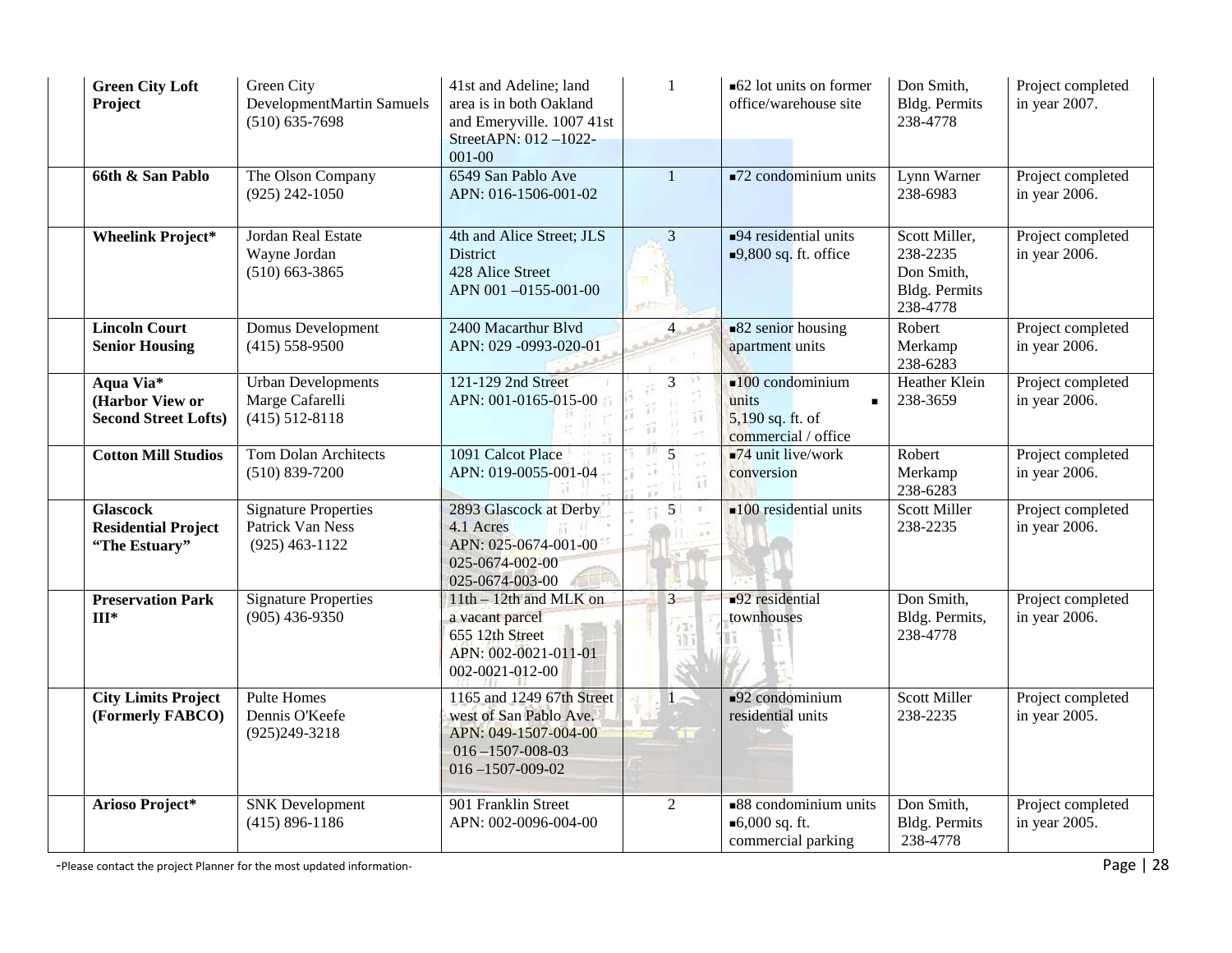| <b>Green City Loft</b><br>Project                              | Green City<br>DevelopmentMartin Samuels<br>$(510) 635 - 7698$       | 41st and Adeline; land<br>area is in both Oakland<br>and Emeryville. 1007 41st<br>StreetAPN: 012-1022-<br>001-00                  | -1                      | ■62 lot units on former<br>office/warehouse site                                                     | Don Smith,<br><b>Bldg. Permits</b><br>238-4778                              | Project completed<br>in year 2007. |
|----------------------------------------------------------------|---------------------------------------------------------------------|-----------------------------------------------------------------------------------------------------------------------------------|-------------------------|------------------------------------------------------------------------------------------------------|-----------------------------------------------------------------------------|------------------------------------|
| 66th & San Pablo                                               | The Olson Company<br>$(925)$ 242-1050                               | 6549 San Pablo Ave<br>APN: 016-1506-001-02                                                                                        | $\mathbf{1}$            | $\blacksquare$ 72 condominium units                                                                  | Lynn Warner<br>238-6983                                                     | Project completed<br>in year 2006. |
| <b>Wheelink Project*</b>                                       | Jordan Real Estate<br>Wayne Jordan<br>$(510)$ 663-3865              | 4th and Alice Street; JLS<br>District<br>428 Alice Street<br>APN 001-0155-001-00                                                  | $\overline{3}$          | $\blacksquare$ 94 residential units<br>$\blacksquare$ 9,800 sq. ft. office                           | Scott Miller,<br>238-2235<br>Don Smith,<br><b>Bldg. Permits</b><br>238-4778 | Project completed<br>in year 2006. |
| <b>Lincoln Court</b><br><b>Senior Housing</b>                  | Domus Development<br>$(415) 558 - 9500$                             | 2400 Macarthur Blvd<br>APN: 029 -0993-020-01                                                                                      | $\overline{4}$          | $\blacksquare$ 82 senior housing<br>apartment units                                                  | Robert<br>Merkamp<br>238-6283                                               | Project completed<br>in year 2006. |
| Aqua Via*<br>(Harbor View or<br><b>Second Street Lofts)</b>    | <b>Urban Developments</b><br>Marge Cafarelli<br>$(415)$ 512-8118    | 121-129 2nd Street<br>APN: 001-0165-015-00                                                                                        | 3<br>33<br>Tī.          | $\blacksquare$ 100 condominium<br>units<br>$\blacksquare$<br>5,190 sq. ft. of<br>commercial / office | <b>Heather Klein</b><br>238-3659                                            | Project completed<br>in year 2006. |
| <b>Cotton Mill Studios</b>                                     | <b>Tom Dolan Architects</b><br>$(510) 839 - 7200$                   | 1091 Calcot Place<br>APN: 019-0055-001-04                                                                                         | 5<br>Ħ                  | $-74$ unit live/work<br>conversion                                                                   | Robert<br>Merkamp<br>238-6283                                               | Project completed<br>in year 2006. |
| <b>Glascock</b><br><b>Residential Project</b><br>"The Estuary" | <b>Signature Properties</b><br>Patrick Van Ness<br>$(925)$ 463-1122 | 2893 Glascock at Derby<br>4.1 Acres<br>APN: 025-0674-001-00<br>025-0674-002-00<br>025-0674-003-00                                 | 5 <sup>1</sup><br>$\pm$ | $\blacksquare$ 100 residential units                                                                 | <b>Scott Miller</b><br>238-2235                                             | Project completed<br>in year 2006. |
| <b>Preservation Park</b><br>$III*$                             | <b>Signature Properties</b><br>$(905)$ 436-9350                     | $11th - 12th$ and MLK on<br>a vacant parcel<br>655 12th Street<br>APN: 002-0021-011-01<br>002-0021-012-00                         | $\overline{3}$<br>705   | $\blacksquare$ 92 residential<br>townhouses                                                          | Don Smith,<br>Bldg. Permits,<br>238-4778                                    | Project completed<br>in year 2006. |
| <b>City Limits Project</b><br>(Formerly FABCO)                 | <b>Pulte Homes</b><br>Dennis O'Keefe<br>$(925)249-3218$             | 1165 and 1249 67th Street<br>west of San Pablo Ave.<br>APN: 049-1507-004-00<br>$016 - 1507 - 008 - 03$<br>$016 - 1507 - 009 - 02$ | <b>SILE</b>             | $\blacksquare$ 92 condominium<br>residential units                                                   | <b>Scott Miller</b><br>238-2235                                             | Project completed<br>in year 2005. |
| Arioso Project*                                                | <b>SNK</b> Development<br>$(415) 896 - 1186$                        | 901 Franklin Street<br>APN: 002-0096-004-00                                                                                       | $\mathfrak{2}$          | $\blacksquare$ 88 condominium units<br>■ $6,000$ sq. ft.<br>commercial parking                       | Don Smith,<br><b>Bldg. Permits</b><br>238-4778                              | Project completed<br>in year 2005. |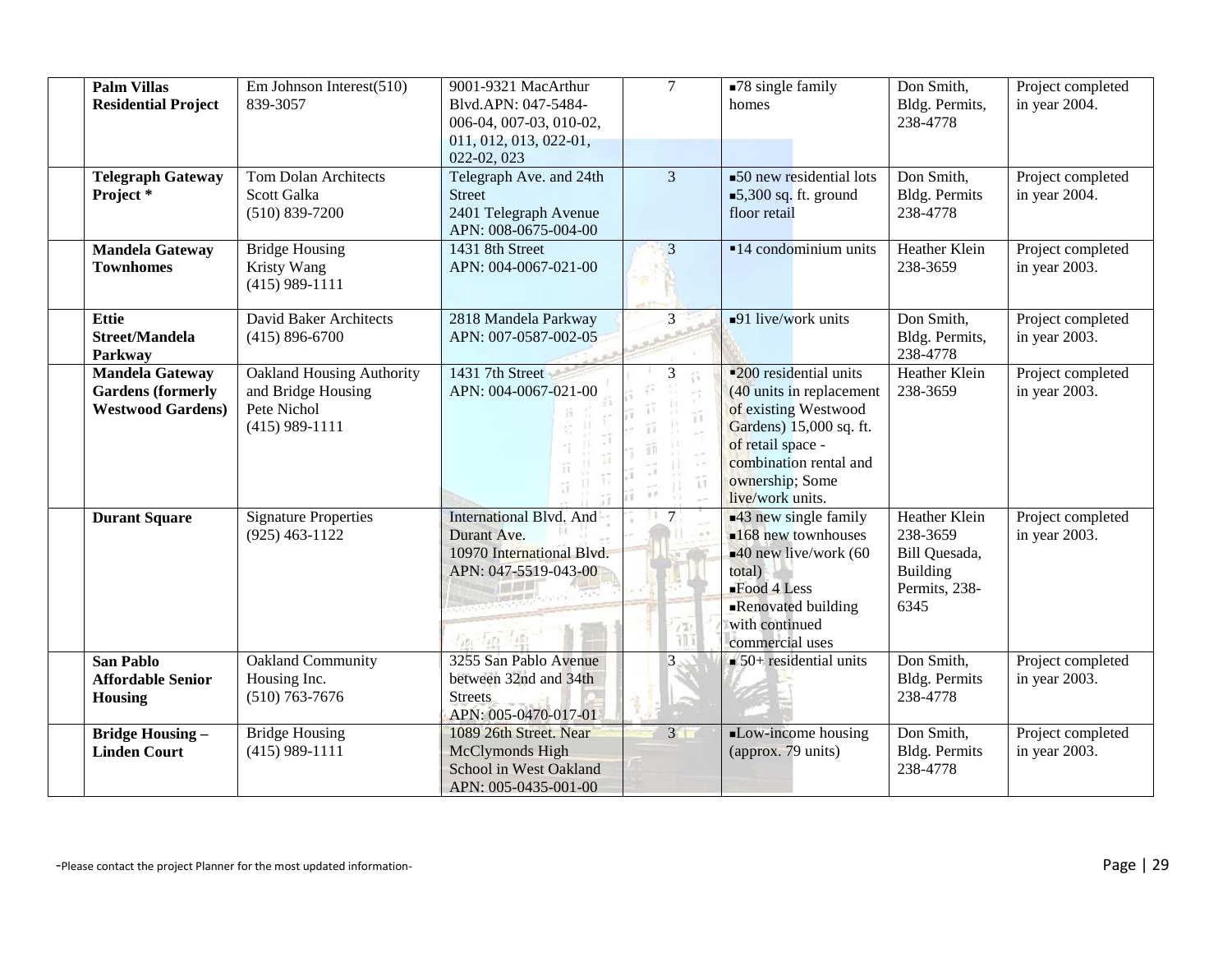| <b>Palm Villas</b><br><b>Residential Project</b>                               | Em Johnson Interest(510)<br>839-3057                                                      | 9001-9321 MacArthur<br>Blvd.APN: 047-5484-<br>006-04, 007-03, 010-02,<br>011, 012, 013, 022-01,<br>022-02, 023   | $\tau$                              | $\blacksquare$ 78 single family<br>homes                                                                                                                                                                      | Don Smith,<br>Bldg. Permits,<br>238-4778                                               | Project completed<br>in year 2004. |
|--------------------------------------------------------------------------------|-------------------------------------------------------------------------------------------|------------------------------------------------------------------------------------------------------------------|-------------------------------------|---------------------------------------------------------------------------------------------------------------------------------------------------------------------------------------------------------------|----------------------------------------------------------------------------------------|------------------------------------|
| <b>Telegraph Gateway</b><br>Project*                                           | <b>Tom Dolan Architects</b><br>Scott Galka<br>$(510) 839 - 7200$                          | Telegraph Ave. and 24th<br><b>Street</b><br>2401 Telegraph Avenue<br>APN: 008-0675-004-00                        | $\overline{3}$                      | $\overline{\phantom{0}}$ 50 new residential lots<br>■5,300 sq. ft. ground<br>floor retail                                                                                                                     | Don Smith,<br>Bldg. Permits<br>238-4778                                                | Project completed<br>in year 2004. |
| <b>Mandela Gateway</b><br><b>Townhomes</b>                                     | <b>Bridge Housing</b><br>Kristy Wang<br>$(415)$ 989-1111                                  | 1431 8th Street<br>APN: 004-0067-021-00                                                                          | $\overline{3}$                      | $\blacksquare$ 14 condominium units                                                                                                                                                                           | Heather Klein<br>238-3659                                                              | Project completed<br>in year 2003. |
| <b>Ettie</b><br><b>Street/Mandela</b><br>Parkway                               | David Baker Architects<br>$(415) 896 - 6700$                                              | 2818 Mandela Parkway<br>APN: 007-0587-002-05                                                                     | $\overline{3}$                      | $\blacksquare$ 91 live/work units                                                                                                                                                                             | Don Smith,<br>Bldg. Permits,<br>238-4778                                               | Project completed<br>in year 2003. |
| <b>Mandela Gateway</b><br><b>Gardens</b> (formerly<br><b>Westwood Gardens)</b> | <b>Oakland Housing Authority</b><br>and Bridge Housing<br>Pete Nichol<br>$(415)$ 989-1111 | 1431 7th Street<br>APN: 004-0067-021-00                                                                          | 3<br>ü<br>$-16$<br>îî               | <b>-200</b> residential units<br>$(40 \text{ units in replacement})$<br>of existing Westwood<br>Gardens) 15,000 sq. ft.<br>of retail space -<br>combination rental and<br>ownership; Some<br>live/work units. | Heather Klein<br>238-3659                                                              | Project completed<br>in year 2003. |
| <b>Durant Square</b>                                                           | <b>Signature Properties</b><br>$(925)$ 463-1122                                           | International Blvd. And<br>Durant Ave.<br>10970 International Blvd.<br>APN: 047-5519-043-00<br>$100 - 100 - 100$ | 7 <sub>1</sub><br>$\frac{775}{111}$ | ■43 new single family<br>$\blacksquare$ 168 new townhouses<br>$-40$ new live/work (60<br>total)<br>$-Food 4 Less$<br>Renovated building<br>with continued<br>commercial uses                                  | Heather Klein<br>238-3659<br>Bill Quesada,<br><b>Building</b><br>Permits, 238-<br>6345 | Project completed<br>in year 2003. |
| <b>San Pablo</b><br><b>Affordable Senior</b><br><b>Housing</b>                 | Oakland Community<br>Housing Inc.<br>$(510)$ 763-7676                                     | 3255 San Pablo Avenue<br>between 32nd and 34th<br><b>Streets</b><br>APN: 005-0470-017-01                         | 3                                   | $\blacksquare$ 50+ residential units                                                                                                                                                                          | Don Smith,<br><b>Bldg. Permits</b><br>238-4778                                         | Project completed<br>in year 2003. |
| <b>Bridge Housing -</b><br><b>Linden Court</b>                                 | <b>Bridge Housing</b><br>$(415)$ 989-1111                                                 | 1089 26th Street. Near<br>McClymonds High<br>School in West Oakland<br>APN: 005-0435-001-00                      | 3 <sup>1</sup>                      | Low-income housing<br>(approx. 79 units)                                                                                                                                                                      | Don Smith,<br><b>Bldg. Permits</b><br>238-4778                                         | Project completed<br>in year 2003. |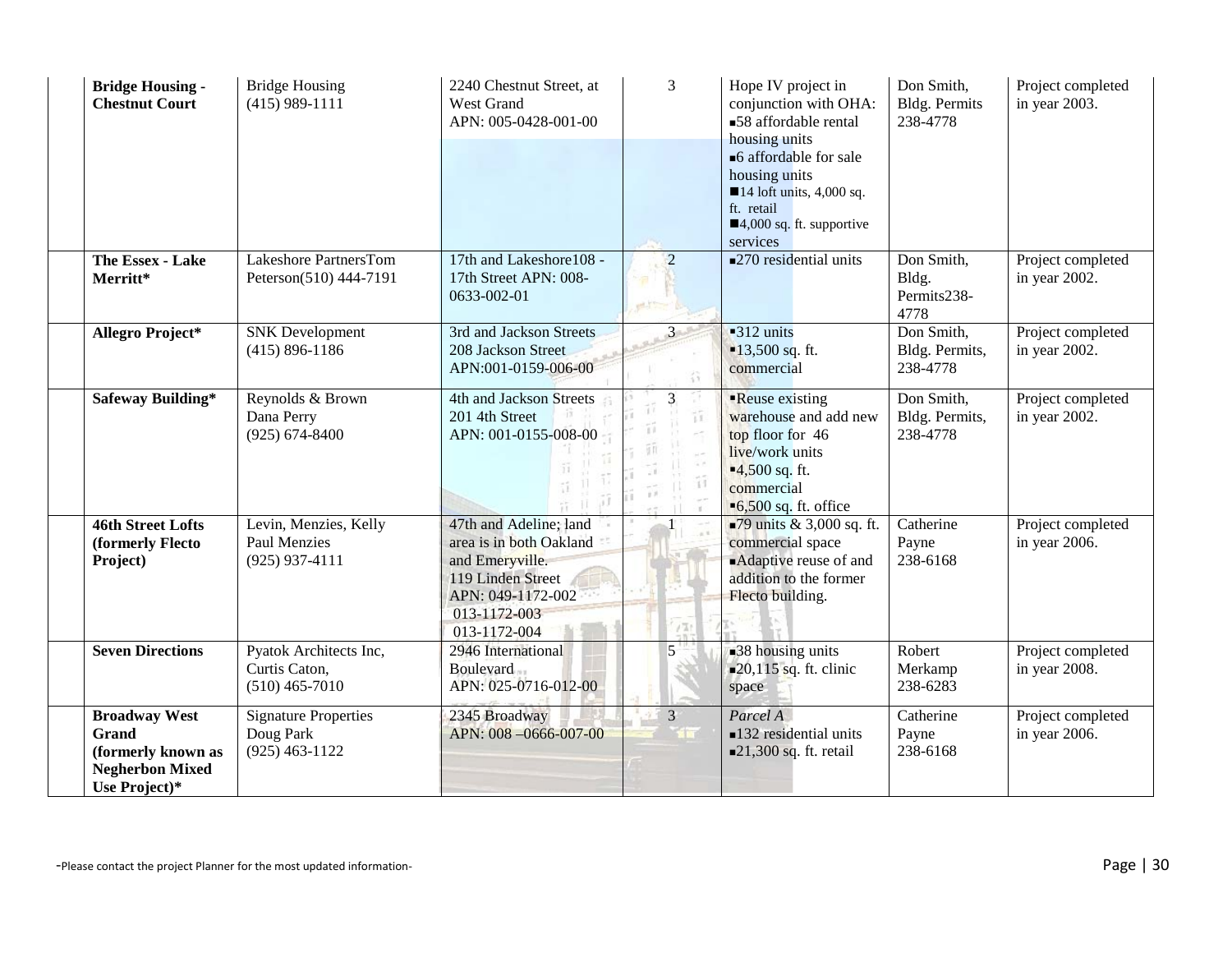| <b>Bridge Housing -</b><br><b>Chestnut Court</b>                                                      | <b>Bridge Housing</b><br>$(415)$ 989-1111                        | 2240 Chestnut Street, at<br>West Grand<br>APN: 005-0428-001-00                                                                                 | 3                          | Hope IV project in<br>conjunction with OHA:<br>■58 affordable rental<br>housing units<br>■6 affordable for sale<br>housing units<br>$\blacksquare$ 14 loft units, 4,000 sq.<br>ft. retail<br>$\blacksquare$ 4,000 sq. ft. supportive<br>services | Don Smith,<br><b>Bldg. Permits</b><br>238-4778 | Project completed<br>in year 2003. |
|-------------------------------------------------------------------------------------------------------|------------------------------------------------------------------|------------------------------------------------------------------------------------------------------------------------------------------------|----------------------------|--------------------------------------------------------------------------------------------------------------------------------------------------------------------------------------------------------------------------------------------------|------------------------------------------------|------------------------------------|
| The Essex - Lake<br>Merritt*                                                                          | Lakeshore PartnersTom<br>Peterson(510) 444-7191                  | 17th and Lakeshore108 -<br>17th Street APN: 008-<br>0633-002-01                                                                                | $\overline{2}$<br>ed.T3    | ■270 residential units                                                                                                                                                                                                                           | Don Smith,<br>Bldg.<br>Permits238-<br>4778     | Project completed<br>in year 2002. |
| Allegro Project*                                                                                      | <b>SNK</b> Development<br>$(415) 896 - 1186$                     | 3rd and Jackson Streets<br>208 Jackson Street<br>APN:001-0159-006-00                                                                           | $\mathbf{3}$<br>谷          | $-312$ units<br>$13,500$ sq. ft.<br>commercial                                                                                                                                                                                                   | Don Smith,<br>Bldg. Permits,<br>238-4778       | Project completed<br>in year 2002. |
| <b>Safeway Building*</b>                                                                              | Reynolds & Brown<br>Dana Perry<br>$(925) 674 - 8400$             | 4th and Jackson Streets<br>201 4th Street<br>APN: 001-0155-008-00                                                                              | $\overline{3}$<br>îî.<br>Ħ | Reuse existing<br>warehouse and add new<br>top floor for 46<br>live/work units<br>$-4,500$ sq. ft.<br>commercial<br>$\blacksquare$ 6,500 sq. ft. office                                                                                          | Don Smith,<br>Bldg. Permits,<br>238-4778       | Project completed<br>in year 2002. |
| <b>46th Street Lofts</b><br>(formerly Flecto<br>Project)                                              | Levin, Menzies, Kelly<br><b>Paul Menzies</b><br>$(925)$ 937-4111 | 47th and Adeline; land<br>area is in both Oakland<br>and Emeryville.<br>119 Linden Street<br>APN: 049-1172-002<br>013-1172-003<br>013-1172-004 |                            | ■79 units $& 3,000$ sq. ft.<br>commercial space<br>Adaptive reuse of and<br>addition to the former<br>Flecto building.                                                                                                                           | Catherine<br>Payne<br>238-6168                 | Project completed<br>in year 2006. |
| <b>Seven Directions</b>                                                                               | Pyatok Architects Inc,<br>Curtis Caton,<br>$(510)$ 465-7010      | 2946 International<br><b>Boulevard</b><br>APN: 025-0716-012-00                                                                                 | 5                          | 38 housing units<br>$\blacksquare$ 20,115 sq. ft. clinic<br>space                                                                                                                                                                                | Robert<br>Merkamp<br>238-6283                  | Project completed<br>in year 2008. |
| <b>Broadway West</b><br><b>Grand</b><br>(formerly known as<br><b>Negherbon Mixed</b><br>Use Project)* | <b>Signature Properties</b><br>Doug Park<br>$(925)$ 463-1122     | 2345 Broadway<br>APN: 008-0666-007-00                                                                                                          | $\overline{3}$             | Parcel A<br>$\blacksquare$ 132 residential units<br>$\blacksquare$ 21,300 sq. ft. retail                                                                                                                                                         | Catherine<br>Payne<br>238-6168                 | Project completed<br>in year 2006. |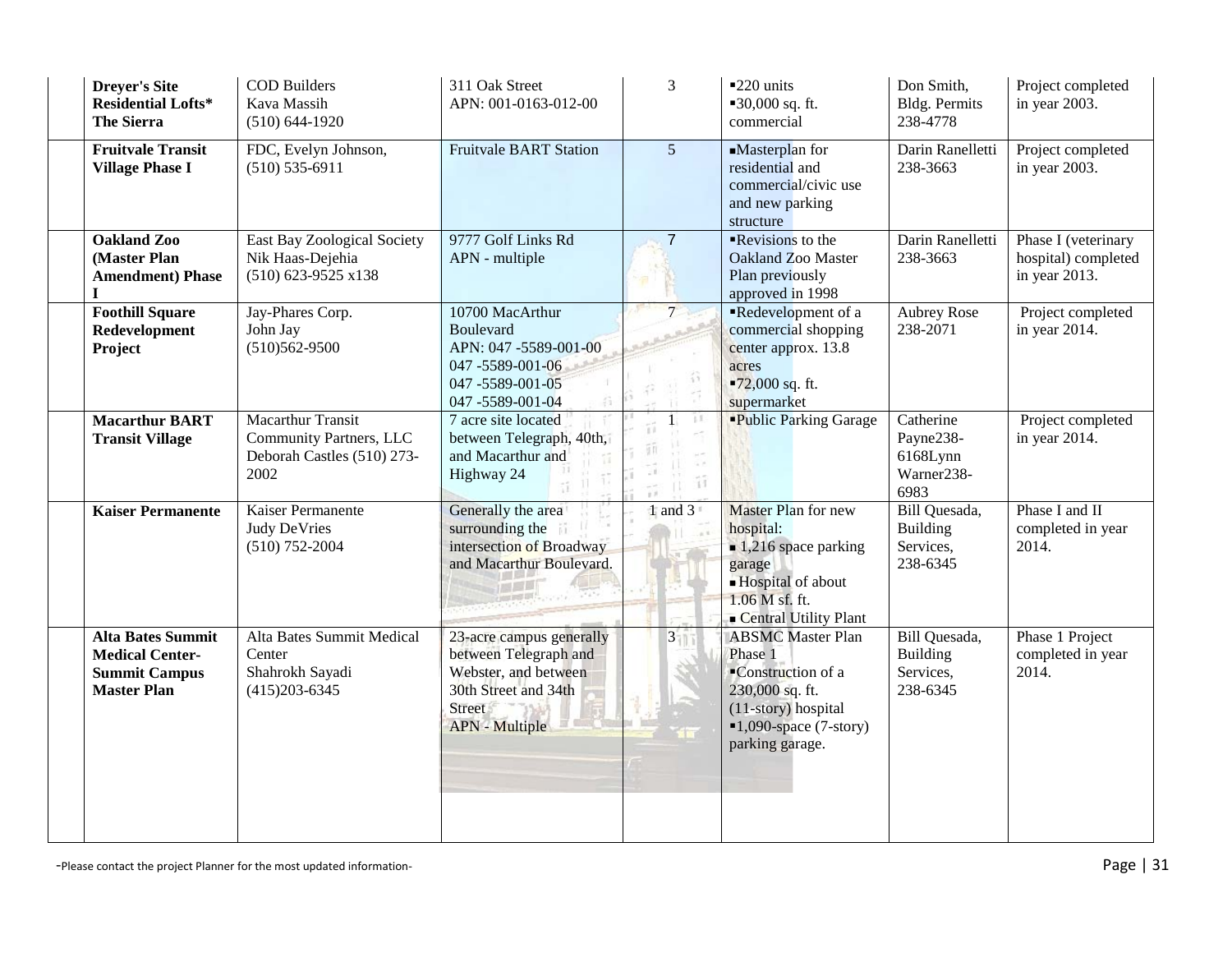| <b>Dreyer's Site</b><br><b>Residential Lofts*</b><br><b>The Sierra</b>                           | <b>COD Builders</b><br>Kava Massih<br>$(510) 644 - 1920$                                  | 311 Oak Street<br>APN: 001-0163-012-00                                                                                               | $\overline{3}$          | $\blacksquare$ 220 units<br>■30,000 sq. ft.<br>commercial                                                                                                      | Don Smith,<br><b>Bldg. Permits</b><br>238-4778                    | Project completed<br>in year 2003.                          |
|--------------------------------------------------------------------------------------------------|-------------------------------------------------------------------------------------------|--------------------------------------------------------------------------------------------------------------------------------------|-------------------------|----------------------------------------------------------------------------------------------------------------------------------------------------------------|-------------------------------------------------------------------|-------------------------------------------------------------|
| <b>Fruitvale Transit</b><br><b>Village Phase I</b>                                               | FDC, Evelyn Johnson,<br>$(510) 535 - 6911$                                                | <b>Fruitvale BART Station</b>                                                                                                        | 5 <sup>5</sup>          | Masterplan for<br>residential and<br>commercial/civic use<br>and new parking<br>structure                                                                      | Darin Ranelletti<br>238-3663                                      | Project completed<br>in year 2003.                          |
| <b>Oakland Zoo</b><br>(Master Plan<br><b>Amendment</b> ) Phase<br>T                              | <b>East Bay Zoological Society</b><br>Nik Haas-Dejehia<br>$(510)$ 623-9525 x138           | 9777 Golf Links Rd<br>APN - multiple                                                                                                 | $\overline{7}$          | $\blacksquare$ Revisions to the<br>Oakland Zoo Master<br>Plan previously<br>approved in 1998                                                                   | Darin Ranelletti<br>238-3663                                      | Phase I (veterinary<br>hospital) completed<br>in year 2013. |
| <b>Foothill Square</b><br>Redevelopment<br>Project                                               | Jay-Phares Corp.<br>John Jay<br>$(510)562-9500$                                           | 10700 MacArthur<br><b>Boulevard</b><br>APN: 047 -5589-001-00<br>047-5589-001-06<br>047-5589-001-05<br>047 -5589-001-04               | 7 <sup>1</sup>          | Redevelopment of a<br>commercial shopping<br>center approx. 13.8<br>acres<br>$-72,000$ sq. ft.<br>supermarket                                                  | <b>Aubrey Rose</b><br>238-2071                                    | Project completed<br>in year 2014.                          |
| <b>Macarthur BART</b><br><b>Transit Village</b>                                                  | <b>Macarthur Transit</b><br>Community Partners, LLC<br>Deborah Castles (510) 273-<br>2002 | 7 acre site located<br>between Telegraph, 40th,<br>and Macarthur and<br>Highway 24                                                   | 3E<br>$\mathbf{1}$<br>Ĥ | <b>Public Parking Garage</b>                                                                                                                                   | Catherine<br>Payne238-<br>6168Lynn<br>Warner238-<br>6983          | Project completed<br>in year 2014.                          |
| <b>Kaiser Permanente</b>                                                                         | Kaiser Permanente<br><b>Judy DeVries</b><br>$(510)$ 752-2004                              | Generally the area<br>surrounding the<br>intersection of Broadway<br>and Macarthur Boulevard.                                        | 1 and $31$              | <b>Master Plan for new</b><br>hospital:<br>$\blacksquare$ 1,216 space parking<br>garage<br>-Hospital of about<br>1.06 M sf. ft.<br>Central Utility Plant       | Bill Quesada,<br><b>Building</b><br>Services,<br>238-6345         | Phase I and II<br>completed in year<br>2014.                |
| <b>Alta Bates Summit</b><br><b>Medical Center-</b><br><b>Summit Campus</b><br><b>Master Plan</b> | Alta Bates Summit Medical<br>Center<br>Shahrokh Sayadi<br>$(415)203 - 6345$               | 23-acre campus generally<br>between Telegraph and<br>Webster, and between<br>30th Street and 34th<br>Street<br><b>APN</b> - Multiple | $3 - 3$                 | <b>ABSMC</b> Master Plan<br>Phase 1<br>■Construction of a<br>230,000 sq. ft.<br>(11-story) hospital<br>$\blacksquare$ 1,090-space (7-story)<br>parking garage. | <b>Bill Quesada</b> ,<br><b>Building</b><br>Services,<br>238-6345 | Phase 1 Project<br>completed in year<br>2014.               |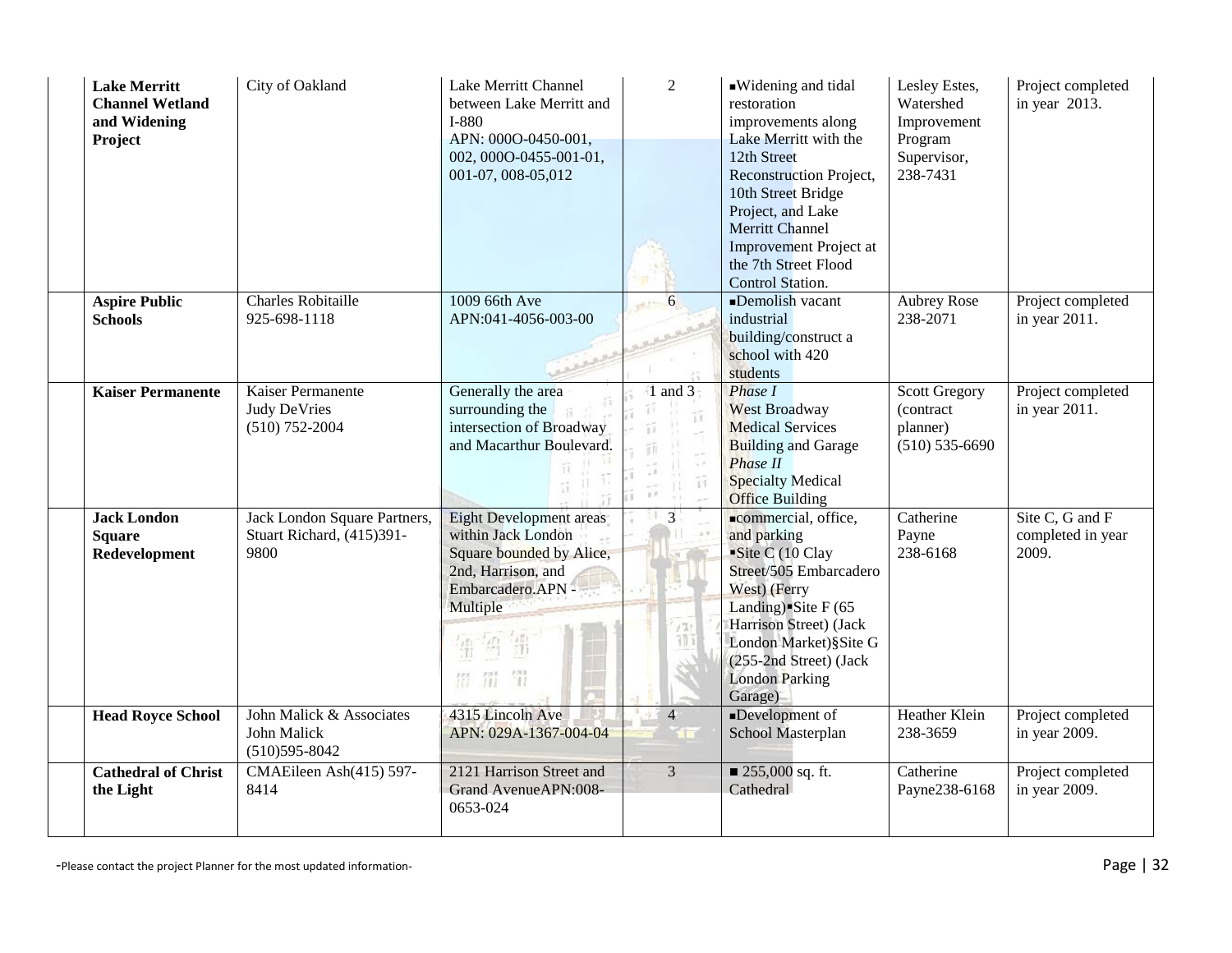| <b>Lake Merritt</b><br><b>Channel Wetland</b><br>and Widening<br>Project | City of Oakland                                                   | Lake Merritt Channel<br>between Lake Merritt and<br>I-880<br>APN: 000O-0450-001,<br>002, 000O-0455-001-01,<br>001-07, 008-05,012                                     | 2                                            | Widening and tidal<br>restoration<br>improvements along<br>Lake Merritt with the<br>12th Street<br>Reconstruction Project,<br>10th Street Bridge<br>Project, and Lake<br><b>Merritt Channel</b><br>Improvement Project at<br>the 7th Street Flood<br>Control Station. | Lesley Estes,<br>Watershed<br>Improvement<br>Program<br>Supervisor,<br>238-7431 | Project completed<br>in year 2013.            |
|--------------------------------------------------------------------------|-------------------------------------------------------------------|----------------------------------------------------------------------------------------------------------------------------------------------------------------------|----------------------------------------------|-----------------------------------------------------------------------------------------------------------------------------------------------------------------------------------------------------------------------------------------------------------------------|---------------------------------------------------------------------------------|-----------------------------------------------|
| <b>Aspire Public</b><br><b>Schools</b>                                   | <b>Charles Robitaille</b><br>925-698-1118                         | 1009 66th Ave<br>APN:041-4056-003-00                                                                                                                                 | 6<br>and from                                | Demolish vacant<br>industrial<br>building/construct a<br>school with 420<br>students                                                                                                                                                                                  | <b>Aubrey Rose</b><br>238-2071                                                  | Project completed<br>in year 2011.            |
| <b>Kaiser Permanente</b>                                                 | Kaiser Permanente<br><b>Judy DeVries</b><br>$(510)$ 752-2004      | Generally the area<br>surrounding the<br>intersection of Broadway<br>and Macarthur Boulevard.                                                                        | $1$ and $3$<br>ü<br>$\frac{1}{2}$<br>Ħ<br>y' | Phase I<br><b>West Broadway</b><br><b>Medical Services</b><br><b>Building and Garage</b><br>Phase II<br><b>Specialty Medical</b><br><b>Office Building</b>                                                                                                            | <b>Scott Gregory</b><br>(contract<br>planner)<br>$(510) 535 - 6690$             | Project completed<br>in year 2011.            |
| <b>Jack London</b><br><b>Square</b><br>Redevelopment                     | Jack London Square Partners,<br>Stuart Richard, (415)391-<br>9800 | Eight Development areas<br>within Jack London<br>Square bounded by Alice,<br>2nd, Harrison, and<br>Embarcadero.APN -<br>Multiple<br>請<br>fill <sup>1</sup><br>罚<br>招 | $\overline{3}$<br>/Tr<br>71) T               | commercial, office,<br>and parking<br>Site C (10 Clay<br>Street/505 Embarcadero<br>West) (Ferry<br>Landing) Site $F(65)$<br>Harrison Street) (Jack<br>London Market)§Site G<br>(255-2nd Street) (Jack<br><b>London Parking</b><br>Garage)                             | Catherine<br>Payne<br>238-6168                                                  | Site C, G and F<br>completed in year<br>2009. |
| <b>Head Royce School</b>                                                 | John Malick & Associates<br>John Malick<br>$(510)595 - 8042$      | 4315 Lincoln Ave<br>APN: 029A-1367-004-04                                                                                                                            | $\overline{4}$                               | Development of<br>School Masterplan                                                                                                                                                                                                                                   | <b>Heather Klein</b><br>238-3659                                                | Project completed<br>in year 2009.            |
| <b>Cathedral of Christ</b><br>the Light                                  | CMAEileen Ash(415) 597-<br>8414                                   | 2121 Harrison Street and<br>Grand AvenueAPN:008-<br>0653-024                                                                                                         | $\overline{3}$                               | ■ 255,000 sq. ft.<br>Cathedral                                                                                                                                                                                                                                        | Catherine<br>Payne238-6168                                                      | Project completed<br>in year 2009.            |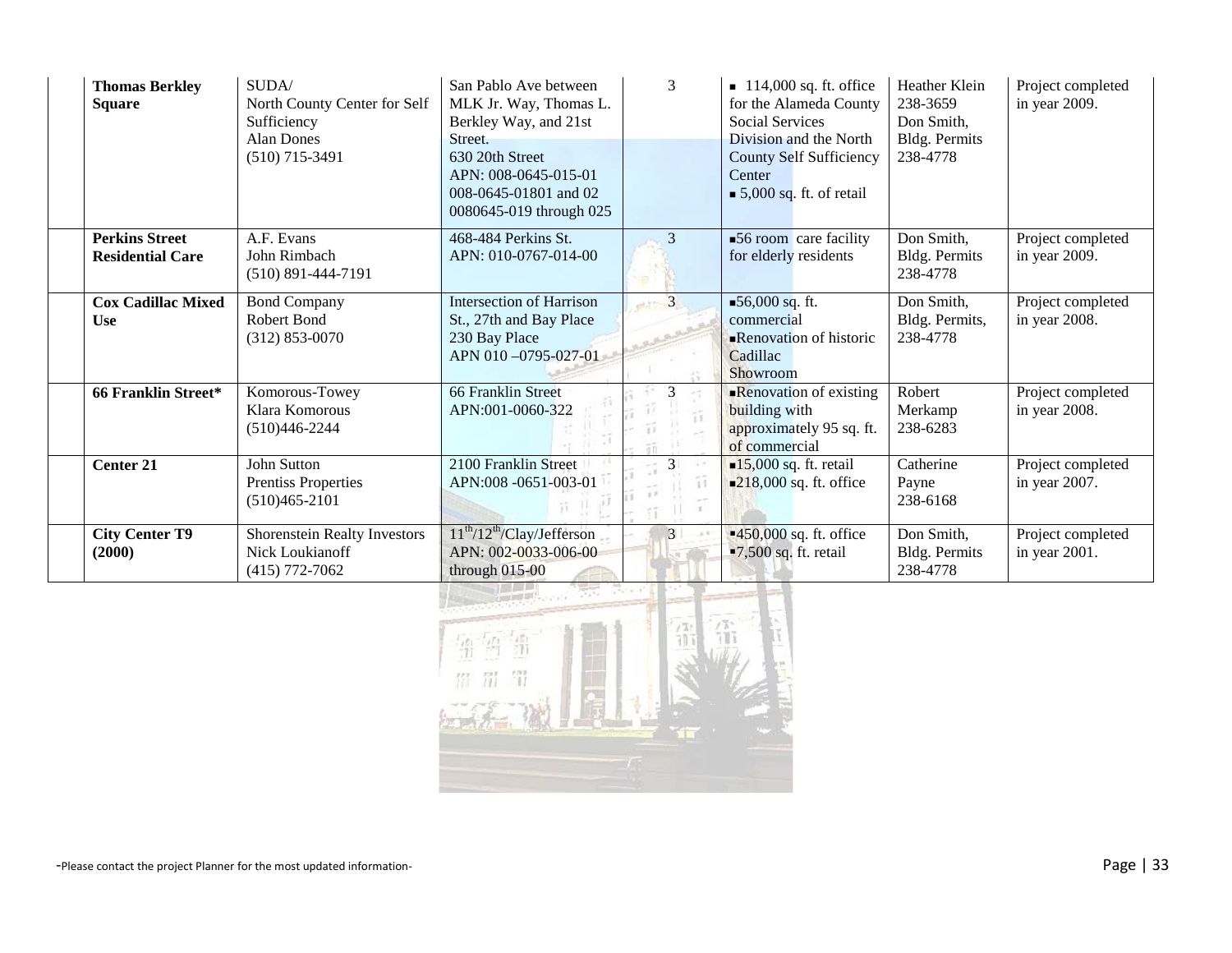| <b>Thomas Berkley</b><br><b>Square</b> | SUDA/<br>North County Center for Self<br>Sufficiency<br><b>Alan Dones</b><br>$(510)$ 715-3491 | San Pablo Ave between<br>MLK Jr. Way, Thomas L.<br>Berkley Way, and 21st<br>Street.<br>630 20th Street<br>APN: 008-0645-015-01<br>008-0645-01801 and 02<br>0080645-019 through 025 | 3                    | $\blacksquare$ 114,000 sq. ft. office<br>for the Alameda County<br><b>Social Services</b><br>Division and the North<br><b>County Self Sufficiency</b><br>Center<br>$\bullet$ 5,000 sq. ft. of retail | Heather Klein<br>238-3659<br>Don Smith,<br>Bldg. Permits<br>238-4778 | Project completed<br>in year 2009. |
|----------------------------------------|-----------------------------------------------------------------------------------------------|------------------------------------------------------------------------------------------------------------------------------------------------------------------------------------|----------------------|------------------------------------------------------------------------------------------------------------------------------------------------------------------------------------------------------|----------------------------------------------------------------------|------------------------------------|
| <b>Perkins Street</b>                  | A.F. Evans                                                                                    | 468-484 Perkins St.                                                                                                                                                                | 3                    | $\blacktriangleright$ 56 room care facility                                                                                                                                                          | Don Smith,                                                           | Project completed                  |
| <b>Residential Care</b>                | John Rimbach<br>$(510)$ 891-444-7191                                                          | APN: 010-0767-014-00                                                                                                                                                               |                      | for elderly residents                                                                                                                                                                                | Bldg. Permits<br>238-4778                                            | in year 2009.                      |
| <b>Cox Cadillac Mixed</b>              | <b>Bond Company</b>                                                                           | Intersection of Harrison                                                                                                                                                           |                      | ■56,000 sq. ft.                                                                                                                                                                                      | Don Smith,                                                           | Project completed                  |
| <b>Use</b>                             | Robert Bond                                                                                   | St., 27th and Bay Place                                                                                                                                                            |                      | commercial                                                                                                                                                                                           | Bldg. Permits,                                                       | in year 2008.                      |
|                                        | $(312)$ 853-0070                                                                              | 230 Bay Place                                                                                                                                                                      |                      | <b>Renovation of historic</b>                                                                                                                                                                        | 238-4778                                                             |                                    |
|                                        |                                                                                               | APN 010-0795-027-01                                                                                                                                                                |                      | Cadillac<br>Showroom                                                                                                                                                                                 |                                                                      |                                    |
| <b>66 Franklin Street*</b>             | Komorous-Towey                                                                                | 66 Franklin Street                                                                                                                                                                 | 3                    | $\blacksquare$ Renovation of existing                                                                                                                                                                | Robert                                                               | Project completed                  |
|                                        | Klara Komorous                                                                                | APN:001-0060-322                                                                                                                                                                   | $\tilde{\mathbf{r}}$ | building with                                                                                                                                                                                        | Merkamp                                                              | in year 2008.                      |
|                                        | $(510)446 - 2244$                                                                             |                                                                                                                                                                                    |                      | approximately 95 sq. ft.                                                                                                                                                                             | 238-6283                                                             |                                    |
|                                        | John Sutton                                                                                   |                                                                                                                                                                                    | 3                    | of commercial                                                                                                                                                                                        |                                                                      |                                    |
| <b>Center 21</b>                       | <b>Prentiss Properties</b>                                                                    | 2100 Franklin Street<br>APN:008 -0651-003-01                                                                                                                                       |                      | $\blacksquare$ 15,000 sq. ft. retail<br>$\blacksquare$ 218,000 sq. ft. office                                                                                                                        | Catherine<br>Payne                                                   | Project completed<br>in year 2007. |
|                                        | $(510)465 - 2101$                                                                             |                                                                                                                                                                                    |                      |                                                                                                                                                                                                      | 238-6168                                                             |                                    |
|                                        |                                                                                               |                                                                                                                                                                                    |                      |                                                                                                                                                                                                      |                                                                      |                                    |
| <b>City Center T9</b>                  | Shorenstein Realty Investors                                                                  | $11th/12th/Clay/Jefferson$                                                                                                                                                         | $\overline{3}$<br>n  | $-450,000$ sq. ft. office                                                                                                                                                                            | Don Smith,                                                           | Project completed                  |
| (2000)                                 | Nick Loukianoff                                                                               | APN: 002-0033-006-00                                                                                                                                                               |                      | $-7,500$ sq. ft. retail                                                                                                                                                                              | Bldg. Permits                                                        | in year 2001.                      |
|                                        | $(415)$ 772-7062                                                                              | through $015-00$                                                                                                                                                                   |                      |                                                                                                                                                                                                      | 238-4778                                                             |                                    |

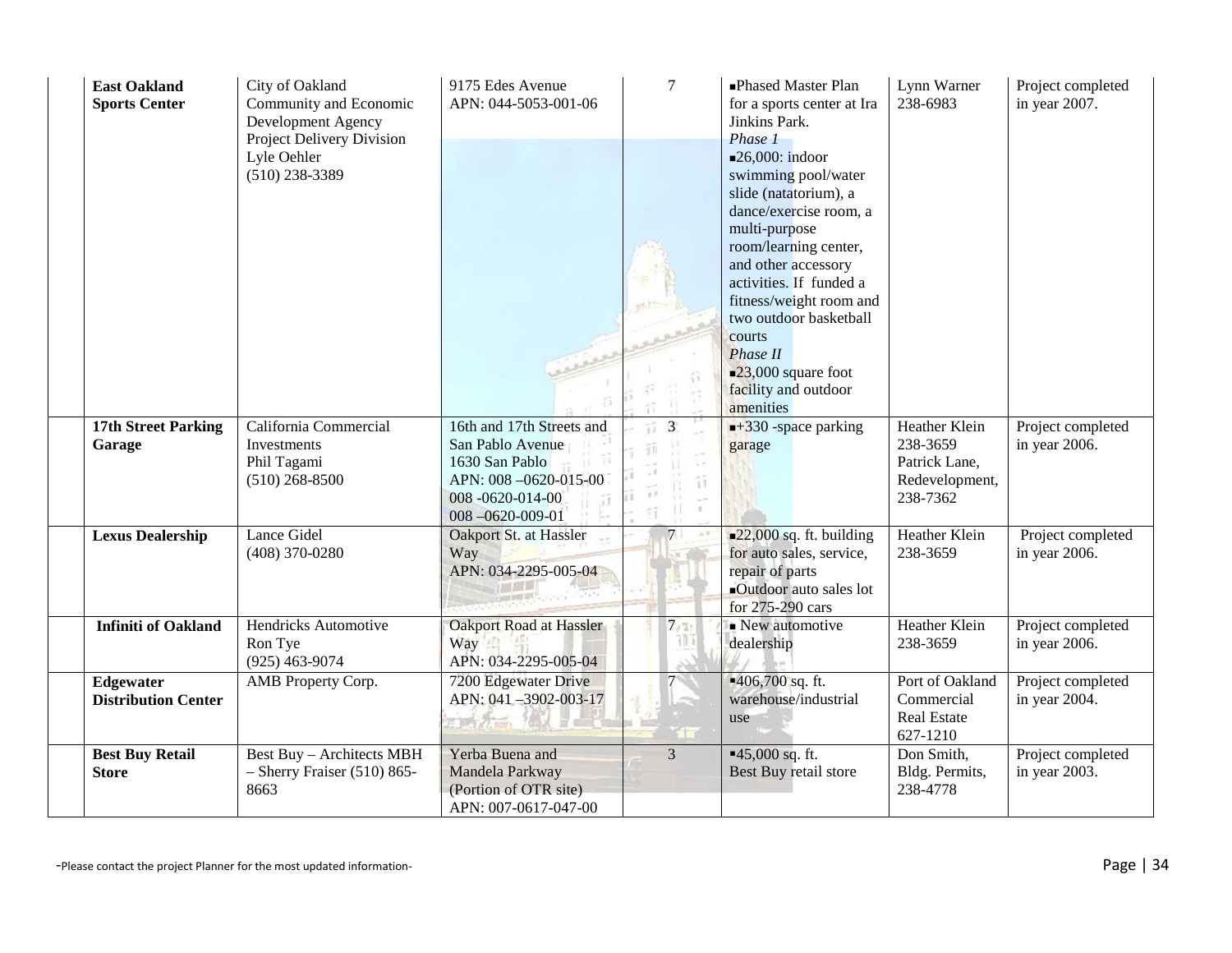| <b>East Oakland</b><br><b>Sports Center</b> | City of Oakland<br>Community and Economic<br>Development Agency<br>Project Delivery Division<br>Lyle Oehler<br>$(510)$ 238-3389 | 9175 Edes Avenue<br>APN: 044-5053-001-06                                                                                              | $\tau$                              | -Phased Master Plan<br>for a sports center at Ira<br>Jinkins Park.<br>Phase 1                                                                                                                                                                                                                                                                            | Lynn Warner<br>238-6983                                                  | Project completed<br>in year 2007. |
|---------------------------------------------|---------------------------------------------------------------------------------------------------------------------------------|---------------------------------------------------------------------------------------------------------------------------------------|-------------------------------------|----------------------------------------------------------------------------------------------------------------------------------------------------------------------------------------------------------------------------------------------------------------------------------------------------------------------------------------------------------|--------------------------------------------------------------------------|------------------------------------|
|                                             |                                                                                                                                 |                                                                                                                                       |                                     | $\blacksquare$ 26,000: indoor<br>swimming pool/water<br>slide (natatorium), a<br>dance/exercise room, a<br>multi-purpose<br>room/learning center,<br>and other accessory<br>activities. If funded a<br>fitness/weight room and<br>two outdoor basketball<br>courts<br>Phase II<br>$\blacksquare$ 23,000 square foot<br>facility and outdoor<br>amenities |                                                                          |                                    |
| <b>17th Street Parking</b><br>Garage        | California Commercial<br>Investments<br>Phil Tagami<br>$(510)$ 268-8500                                                         | 16th and 17th Streets and<br>San Pablo Avenue<br>1630 San Pablo<br>APN: 008-0620-015-00<br>008-0620-014-00<br>$008 - 0620 - 009 - 01$ | 3<br>Ϋ́Î<br>$\mathbb{H}$<br>$\pm$ : | $+330$ -space parking<br>garage                                                                                                                                                                                                                                                                                                                          | Heather Klein<br>238-3659<br>Patrick Lane,<br>Redevelopment,<br>238-7362 | Project completed<br>in year 2006. |
| <b>Lexus Dealership</b>                     | <b>Lance Gidel</b><br>$(408)$ 370-0280                                                                                          | Oakport St. at Hassler<br>Way<br>APN: 034-2295-005-04                                                                                 | $7^{\circ}$                         | $\blacksquare$ 22,000 sq. ft. building<br>for auto sales, service,<br>repair of parts<br>Outdoor auto sales lot<br>for 275-290 cars                                                                                                                                                                                                                      | Heather Klein<br>238-3659                                                | Project completed<br>in year 2006. |
| <b>Infiniti of Oakland</b>                  | Hendricks Automotive<br>Ron Tye<br>$(925)$ 463-9074                                                                             | Oakport Road at Hassler<br>Way<br>APN: 034-2295-005-04                                                                                | 7/7                                 | $\blacksquare$ New automotive<br>dealership                                                                                                                                                                                                                                                                                                              | Heather Klein<br>238-3659                                                | Project completed<br>in year 2006. |
| Edgewater<br><b>Distribution Center</b>     | AMB Property Corp.                                                                                                              | 7200 Edgewater Drive<br>APN: 041-3902-003-17                                                                                          |                                     | $-406,700$ sq. ft.<br>warehouse/industrial<br>use                                                                                                                                                                                                                                                                                                        | Port of Oakland<br>Commercial<br>Real Estate<br>627-1210                 | Project completed<br>in year 2004. |
| <b>Best Buy Retail</b><br><b>Store</b>      | <b>Best Buy - Architects MBH</b><br>$-$ Sherry Fraiser (510) 865-<br>8663                                                       | Yerba Buena and<br>Mandela Parkway<br>(Portion of OTR site)<br>APN: 007-0617-047-00                                                   | $\overline{3}$                      | $-45,000$ sq. ft.<br>Best Buy retail store                                                                                                                                                                                                                                                                                                               | Don Smith,<br>Bldg. Permits,<br>238-4778                                 | Project completed<br>in year 2003. |